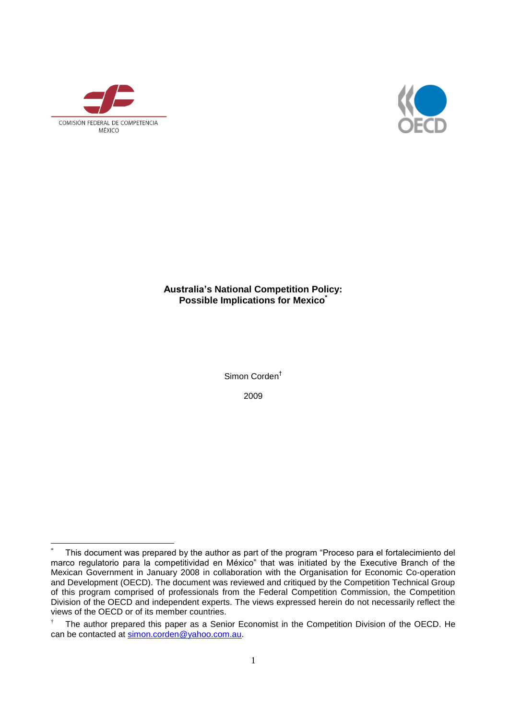

 $\overline{a}$ 



# **Australia's National Competition Policy: Possible Implications for Mexico\***

Simon Corden†

2009

This document was prepared by the author as part of the program "Proceso para el fortalecimiento del marco regulatorio para la competitividad en México" that was initiated by the Executive Branch of the Mexican Government in January 2008 in collaboration with the Organisation for Economic Co-operation and Development (OECD). The document was reviewed and critiqued by the Competition Technical Group of this program comprised of professionals from the Federal Competition Commission, the Competition Division of the OECD and independent experts. The views expressed herein do not necessarily reflect the views of the OECD or of its member countries.

 $\dagger$  The author prepared this paper as a Senior Economist in the Competition Division of the OECD. He can be contacted at [simon.corden@yahoo.com.au.](mailto:simon.corden@yahoo.com.au)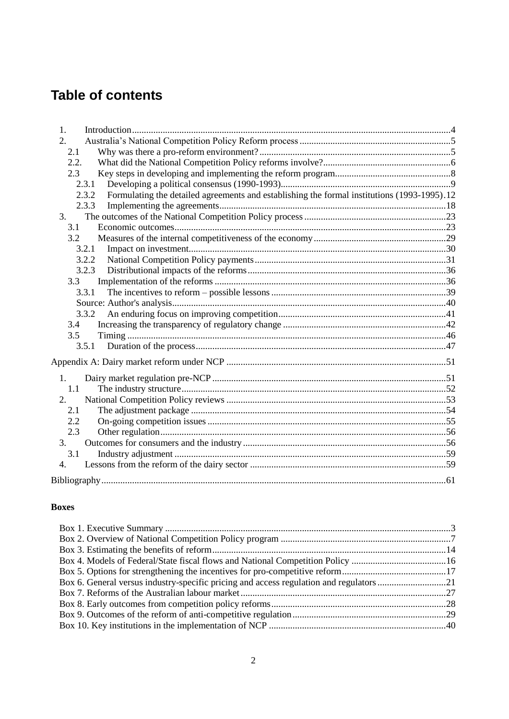# **Table of contents**

| 1.                                                                                                   |  |
|------------------------------------------------------------------------------------------------------|--|
| 2.                                                                                                   |  |
| 2.1                                                                                                  |  |
| 2.2.                                                                                                 |  |
| 2.3                                                                                                  |  |
| 2.3.1                                                                                                |  |
| Formulating the detailed agreements and establishing the formal institutions (1993-1995).12<br>2.3.2 |  |
| 2.3.3                                                                                                |  |
| 3.                                                                                                   |  |
| 3.1                                                                                                  |  |
| 3.2                                                                                                  |  |
| 3.2.1                                                                                                |  |
| 3.2.2                                                                                                |  |
| 3.2.3                                                                                                |  |
| 3.3                                                                                                  |  |
| 3.3.1                                                                                                |  |
|                                                                                                      |  |
| 3.3.2                                                                                                |  |
| 3.4                                                                                                  |  |
| 3.5                                                                                                  |  |
| 3.5.1                                                                                                |  |
|                                                                                                      |  |
| 1.                                                                                                   |  |
| 1.1                                                                                                  |  |
| 2.                                                                                                   |  |
| 2.1                                                                                                  |  |
| 2.2                                                                                                  |  |
| 2.3                                                                                                  |  |
| 3.                                                                                                   |  |
| 3.1                                                                                                  |  |
| $\overline{4}$ .                                                                                     |  |
|                                                                                                      |  |

### **Boxes**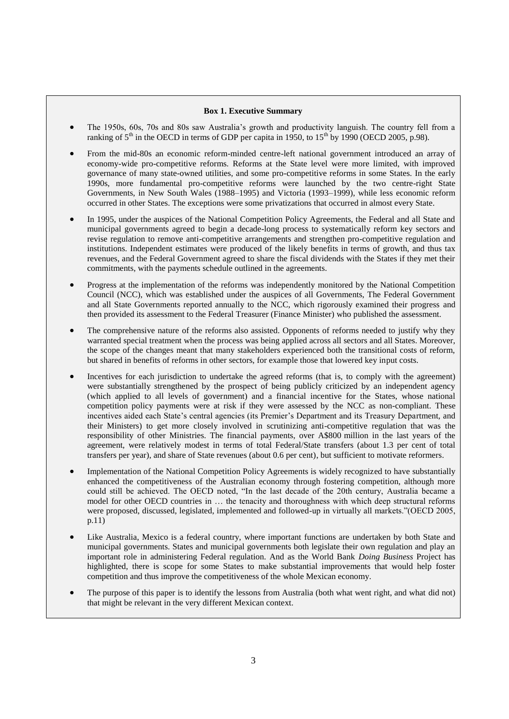### **Box 1. Executive Summary**

- The 1950s, 60s, 70s and 80s saw Australia's growth and productivity languish. The country fell from a ranking of  $5<sup>th</sup>$  in the OECD in terms of GDP per capita in 1950, to  $15<sup>th</sup>$  by 1990 (OECD 2005, p.98).
- From the mid-80s an economic reform-minded centre-left national government introduced an array of economy-wide pro-competitive reforms. Reforms at the State level were more limited, with improved governance of many state-owned utilities, and some pro-competitive reforms in some States. In the early 1990s, more fundamental pro-competitive reforms were launched by the two centre-right State Governments, in New South Wales (1988–1995) and Victoria (1993–1999), while less economic reform occurred in other States. The exceptions were some privatizations that occurred in almost every State.
- In 1995, under the auspices of the National Competition Policy Agreements, the Federal and all State and municipal governments agreed to begin a decade-long process to systematically reform key sectors and revise regulation to remove anti-competitive arrangements and strengthen pro-competitive regulation and institutions. Independent estimates were produced of the likely benefits in terms of growth, and thus tax revenues, and the Federal Government agreed to share the fiscal dividends with the States if they met their commitments, with the payments schedule outlined in the agreements.
- Progress at the implementation of the reforms was independently monitored by the National Competition Council (NCC), which was established under the auspices of all Governments, The Federal Government and all State Governments reported annually to the NCC, which rigorously examined their progress and then provided its assessment to the Federal Treasurer (Finance Minister) who published the assessment.
- The comprehensive nature of the reforms also assisted. Opponents of reforms needed to justify why they warranted special treatment when the process was being applied across all sectors and all States. Moreover, the scope of the changes meant that many stakeholders experienced both the transitional costs of reform, but shared in benefits of reforms in other sectors, for example those that lowered key input costs.
- Incentives for each jurisdiction to undertake the agreed reforms (that is, to comply with the agreement) were substantially strengthened by the prospect of being publicly criticized by an independent agency (which applied to all levels of government) and a financial incentive for the States, whose national competition policy payments were at risk if they were assessed by the NCC as non-compliant. These incentives aided each State's central agencies (its Premier's Department and its Treasury Department, and their Ministers) to get more closely involved in scrutinizing anti-competitive regulation that was the responsibility of other Ministries. The financial payments, over A\$800 million in the last years of the agreement, were relatively modest in terms of total Federal/State transfers (about 1.3 per cent of total transfers per year), and share of State revenues (about 0.6 per cent), but sufficient to motivate reformers.
- Implementation of the National Competition Policy Agreements is widely recognized to have substantially enhanced the competitiveness of the Australian economy through fostering competition, although more could still be achieved. The OECD noted, "In the last decade of the 20th century, Australia became a model for other OECD countries in … the tenacity and thoroughness with which deep structural reforms were proposed, discussed, legislated, implemented and followed-up in virtually all markets."(OECD 2005, p.11)
- Like Australia, Mexico is a federal country, where important functions are undertaken by both State and municipal governments. States and municipal governments both legislate their own regulation and play an important role in administering Federal regulation. And as the World Bank *Doing Business* Project has highlighted, there is scope for some States to make substantial improvements that would help foster competition and thus improve the competitiveness of the whole Mexican economy.
- The purpose of this paper is to identify the lessons from Australia (both what went right, and what did not) that might be relevant in the very different Mexican context.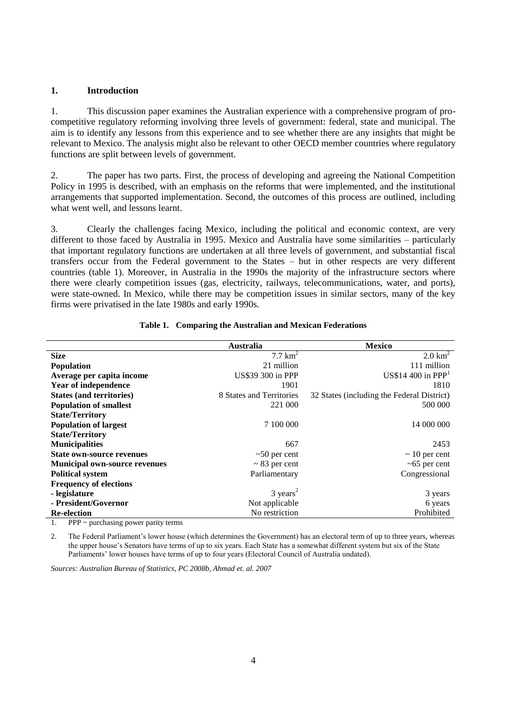### **1. Introduction**

1. This discussion paper examines the Australian experience with a comprehensive program of procompetitive regulatory reforming involving three levels of government: federal, state and municipal. The aim is to identify any lessons from this experience and to see whether there are any insights that might be relevant to Mexico. The analysis might also be relevant to other OECD member countries where regulatory functions are split between levels of government.

2. The paper has two parts. First, the process of developing and agreeing the National Competition Policy in 1995 is described, with an emphasis on the reforms that were implemented, and the institutional arrangements that supported implementation. Second, the outcomes of this process are outlined, including what went well, and lessons learnt.

3. Clearly the challenges facing Mexico, including the political and economic context, are very different to those faced by Australia in 1995. Mexico and Australia have some similarities – particularly that important regulatory functions are undertaken at all three levels of government, and substantial fiscal transfers occur from the Federal government to the States – but in other respects are very different countries (table 1). Moreover, in Australia in the 1990s the majority of the infrastructure sectors where there were clearly competition issues (gas, electricity, railways, telecommunications, water, and ports), were state-owned. In Mexico, while there may be competition issues in similar sectors, many of the key firms were privatised in the late 1980s and early 1990s.

|                                      | <b>Australia</b>         | <b>Mexico</b>                              |
|--------------------------------------|--------------------------|--------------------------------------------|
| <b>Size</b>                          | $7.7 \text{ km}^2$       | $2.0 \text{ km}^2$                         |
| <b>Population</b>                    | 21 million               | 111 million                                |
| Average per capita income            | US\$39 300 in PPP        | US\$14 400 in $PPP1$                       |
| <b>Year of independence</b>          | 1901                     | 1810                                       |
| <b>States (and territories)</b>      | 8 States and Territories | 32 States (including the Federal District) |
| <b>Population of smallest</b>        | 221 000                  | 500 000                                    |
| <b>State/Territory</b>               |                          |                                            |
| <b>Population of largest</b>         | 7 100 000                | 14 000 000                                 |
| <b>State/Territory</b>               |                          |                                            |
| <b>Municipalities</b>                | 667                      | 2453                                       |
| <b>State own-source revenues</b>     | $\sim$ 50 per cent       | $\sim$ 10 per cent                         |
| <b>Municipal own-source revenues</b> | $\sim$ 83 per cent       | $~5$ per cent                              |
| <b>Political system</b>              | Parliamentary            | Congressional                              |
| <b>Frequency of elections</b>        |                          |                                            |
| - legislature                        | $3 \text{ years}^2$      | 3 years                                    |
| - President/Governor                 | Not applicable           | 6 years                                    |
| <b>Re-election</b>                   | No restriction           | Prohibited                                 |

#### **Table 1. Comparing the Australian and Mexican Federations**

<span id="page-3-0"></span>1. PPP ~ purchasing power parity terms

<span id="page-3-1"></span>2. The Federal Parliament's lower house (which determines the Government) has an electoral term of up to three years, whereas the upper house's Senators have terms of up to six years. Each State has a somewhat different system but six of the State Parliaments' lower houses have terms of up to four years (Electoral Council of Australia undated).

*Sources: Australian Bureau of Statistics, PC 2008b, Ahmad et. al. 2007*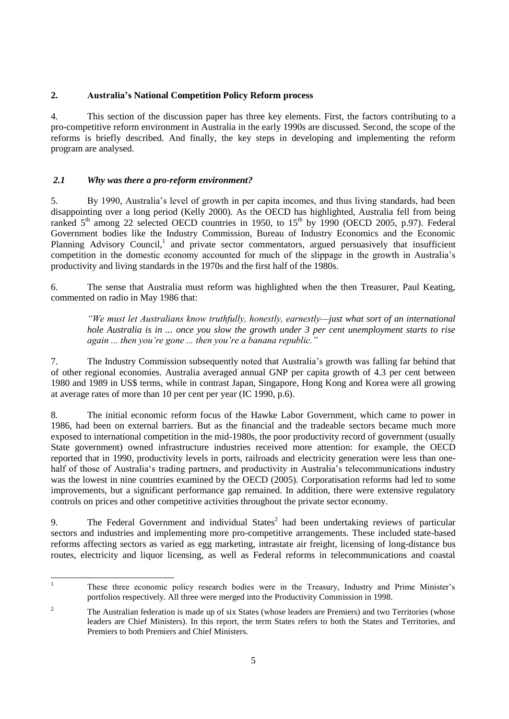### **2. Australia's National Competition Policy Reform process**

4. This section of the discussion paper has three key elements. First, the factors contributing to a pro-competitive reform environment in Australia in the early 1990s are discussed. Second, the scope of the reforms is briefly described. And finally, the key steps in developing and implementing the reform program are analysed.

# *2.1 Why was there a pro-reform environment?*

5. By 1990, Australia's level of growth in per capita incomes, and thus living standards, had been disappointing over a long period (Kelly 2000). As the OECD has highlighted, Australia fell from being ranked  $5<sup>th</sup>$  among 22 selected OECD countries in 1950, to  $15<sup>th</sup>$  by 1990 (OECD 2005, p.97). Federal Government bodies like the Industry Commission, Bureau of Industry Economics and the Economic Planning Advisory Council,<sup>1</sup> and private sector commentators, argued persuasively that insufficient competition in the domestic economy accounted for much of the slippage in the growth in Australia's productivity and living standards in the 1970s and the first half of the 1980s.

6. The sense that Australia must reform was highlighted when the then Treasurer, Paul Keating, commented on radio in May 1986 that:

*―We must let Australians know truthfully, honestly, earnestly—just what sort of an international hole Australia is in ... once you slow the growth under 3 per cent unemployment starts to rise again ... then you're gone ... then you're a banana republic.‖*

7. The Industry Commission subsequently noted that Australia's growth was falling far behind that of other regional economies. Australia averaged annual GNP per capita growth of 4.3 per cent between 1980 and 1989 in US\$ terms, while in contrast Japan, Singapore, Hong Kong and Korea were all growing at average rates of more than 10 per cent per year (IC 1990, p.6).

8. The initial economic reform focus of the Hawke Labor Government, which came to power in 1986, had been on external barriers. But as the financial and the tradeable sectors became much more exposed to international competition in the mid-1980s, the poor productivity record of government (usually State government) owned infrastructure industries received more attention: for example, the OECD reported that in 1990, productivity levels in ports, railroads and electricity generation were less than onehalf of those of Australia's trading partners, and productivity in Australia's telecommunications industry was the lowest in nine countries examined by the OECD (2005). Corporatisation reforms had led to some improvements, but a significant performance gap remained. In addition, there were extensive regulatory controls on prices and other competitive activities throughout the private sector economy.

9. The Federal Government and individual States<sup>2</sup> had been undertaking reviews of particular sectors and industries and implementing more pro-competitive arrangements. These included state-based reforms affecting sectors as varied as egg marketing, intrastate air freight, licensing of long-distance bus routes, electricity and liquor licensing, as well as Federal reforms in telecommunications and coastal

 $\overline{1}$ <sup>1</sup> These three economic policy research bodies were in the Treasury, Industry and Prime Minister's portfolios respectively. All three were merged into the Productivity Commission in 1998.

<sup>&</sup>lt;sup>2</sup> The Australian federation is made up of six States (whose leaders are Premiers) and two Territories (whose leaders are Chief Ministers). In this report, the term States refers to both the States and Territories, and Premiers to both Premiers and Chief Ministers.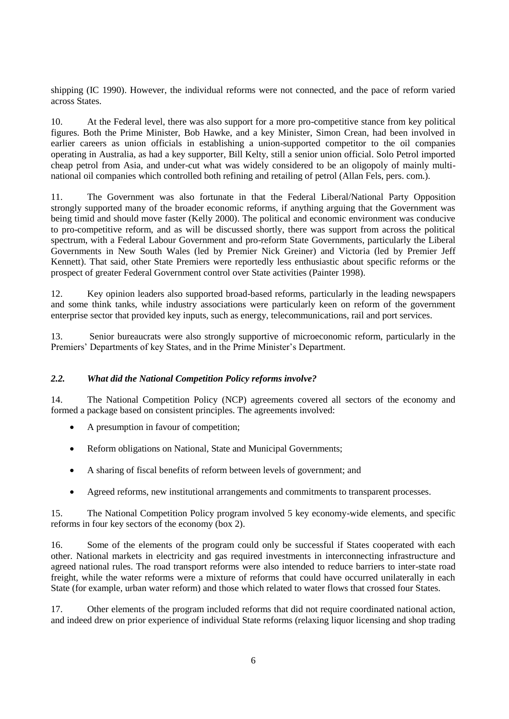shipping (IC 1990). However, the individual reforms were not connected, and the pace of reform varied across States.

10. At the Federal level, there was also support for a more pro-competitive stance from key political figures. Both the Prime Minister, Bob Hawke, and a key Minister, Simon Crean, had been involved in earlier careers as union officials in establishing a union-supported competitor to the oil companies operating in Australia, as had a key supporter, Bill Kelty, still a senior union official. Solo Petrol imported cheap petrol from Asia, and under-cut what was widely considered to be an oligopoly of mainly multinational oil companies which controlled both refining and retailing of petrol (Allan Fels, pers. com.).

11. The Government was also fortunate in that the Federal Liberal/National Party Opposition strongly supported many of the broader economic reforms, if anything arguing that the Government was being timid and should move faster (Kelly 2000). The political and economic environment was conducive to pro-competitive reform, and as will be discussed shortly, there was support from across the political spectrum, with a Federal Labour Government and pro-reform State Governments, particularly the Liberal Governments in New South Wales (led by Premier Nick Greiner) and Victoria (led by Premier Jeff Kennett). That said, other State Premiers were reportedly less enthusiastic about specific reforms or the prospect of greater Federal Government control over State activities (Painter 1998).

12. Key opinion leaders also supported broad-based reforms, particularly in the leading newspapers and some think tanks, while industry associations were particularly keen on reform of the government enterprise sector that provided key inputs, such as energy, telecommunications, rail and port services.

13. Senior bureaucrats were also strongly supportive of microeconomic reform, particularly in the Premiers' Departments of key States, and in the Prime Minister's Department.

### *2.2. What did the National Competition Policy reforms involve?*

14. The National Competition Policy (NCP) agreements covered all sectors of the economy and formed a package based on consistent principles. The agreements involved:

- A presumption in favour of competition;
- Reform obligations on National, State and Municipal Governments:
- A sharing of fiscal benefits of reform between levels of government; and
- Agreed reforms, new institutional arrangements and commitments to transparent processes.

15. The National Competition Policy program involved 5 key economy-wide elements, and specific reforms in four key sectors of the economy (box 2).

16. Some of the elements of the program could only be successful if States cooperated with each other. National markets in electricity and gas required investments in interconnecting infrastructure and agreed national rules. The road transport reforms were also intended to reduce barriers to inter-state road freight, while the water reforms were a mixture of reforms that could have occurred unilaterally in each State (for example, urban water reform) and those which related to water flows that crossed four States.

17. Other elements of the program included reforms that did not require coordinated national action, and indeed drew on prior experience of individual State reforms (relaxing liquor licensing and shop trading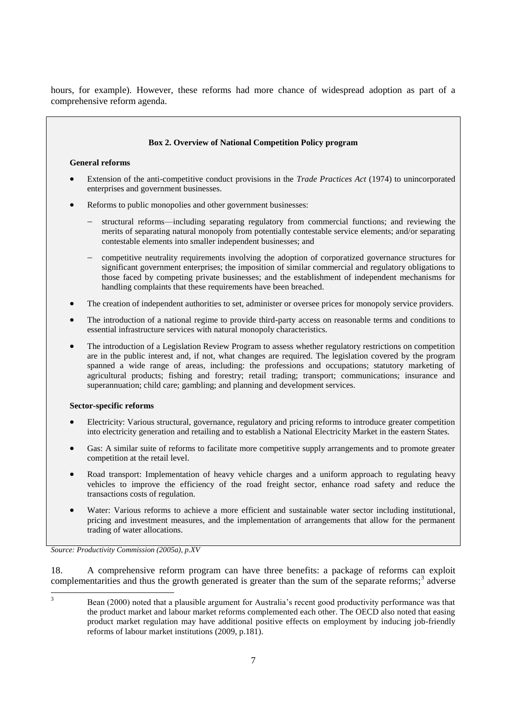hours, for example). However, these reforms had more chance of widespread adoption as part of a comprehensive reform agenda.



18. A comprehensive reform program can have three benefits: a package of reforms can exploit complementarities and thus the growth generated is greater than the sum of the separate reforms;<sup>3</sup> adverse

 $\overline{3}$ <sup>3</sup> Bean (2000) noted that a plausible argument for Australia's recent good productivity performance was that the product market and labour market reforms complemented each other. The OECD also noted that easing product market regulation may have additional positive effects on employment by inducing job-friendly reforms of labour market institutions (2009, p.181).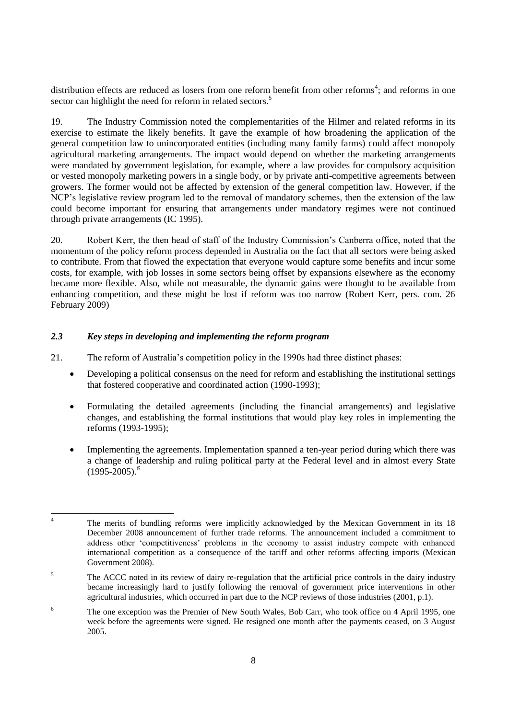distribution effects are reduced as losers from one reform benefit from other reforms<sup>4</sup>; and reforms in one sector can highlight the need for reform in related sectors.<sup>5</sup>

19. The Industry Commission noted the complementarities of the Hilmer and related reforms in its exercise to estimate the likely benefits. It gave the example of how broadening the application of the general competition law to unincorporated entities (including many family farms) could affect monopoly agricultural marketing arrangements. The impact would depend on whether the marketing arrangements were mandated by government legislation, for example, where a law provides for compulsory acquisition or vested monopoly marketing powers in a single body, or by private anti-competitive agreements between growers. The former would not be affected by extension of the general competition law. However, if the NCP's legislative review program led to the removal of mandatory schemes, then the extension of the law could become important for ensuring that arrangements under mandatory regimes were not continued through private arrangements (IC 1995).

20. Robert Kerr, the then head of staff of the Industry Commission's Canberra office, noted that the momentum of the policy reform process depended in Australia on the fact that all sectors were being asked to contribute. From that flowed the expectation that everyone would capture some benefits and incur some costs, for example, with job losses in some sectors being offset by expansions elsewhere as the economy became more flexible. Also, while not measurable, the dynamic gains were thought to be available from enhancing competition, and these might be lost if reform was too narrow (Robert Kerr, pers. com. 26 February 2009)

### *2.3 Key steps in developing and implementing the reform program*

- 21. The reform of Australia's competition policy in the 1990s had three distinct phases:
	- Developing a political consensus on the need for reform and establishing the institutional settings that fostered cooperative and coordinated action (1990-1993);
	- Formulating the detailed agreements (including the financial arrangements) and legislative changes, and establishing the formal institutions that would play key roles in implementing the reforms (1993-1995);
	- Implementing the agreements. Implementation spanned a ten-year period during which there was a change of leadership and ruling political party at the Federal level and in almost every State (1995-2005).*<sup>6</sup>*

 $\overline{A}$ <sup>4</sup> The merits of bundling reforms were implicitly acknowledged by the Mexican Government in its 18 December 2008 announcement of further trade reforms. The announcement included a commitment to address other 'competitiveness' problems in the economy to assist industry compete with enhanced international competition as a consequence of the tariff and other reforms affecting imports (Mexican Government 2008).

<sup>&</sup>lt;sup>5</sup> The ACCC noted in its review of dairy re-regulation that the artificial price controls in the dairy industry became increasingly hard to justify following the removal of government price interventions in other agricultural industries, which occurred in part due to the NCP reviews of those industries (2001, p.1).

<sup>&</sup>lt;sup>6</sup> The one exception was the Premier of New South Wales, Bob Carr, who took office on 4 April 1995, one week before the agreements were signed. He resigned one month after the payments ceased, on 3 August 2005.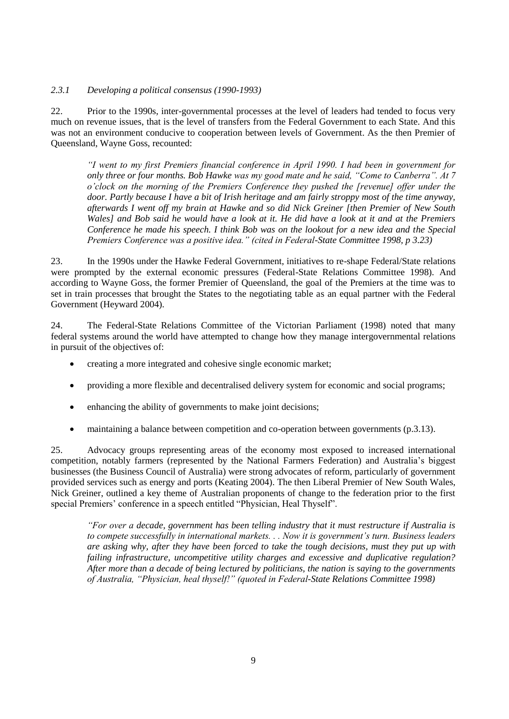### *2.3.1 Developing a political consensus (1990-1993)*

22. Prior to the 1990s, inter-governmental processes at the level of leaders had tended to focus very much on revenue issues, that is the level of transfers from the Federal Government to each State. And this was not an environment conducive to cooperation between levels of Government. As the then Premier of Queensland, Wayne Goss, recounted:

*―I went to my first Premiers financial conference in April 1990. I had been in government for only three or four months. Bob Hawke was my good mate and he said, "Come to Canberra". At 7 o'clock on the morning of the Premiers Conference they pushed the [revenue] offer under the door. Partly because I have a bit of Irish heritage and am fairly stroppy most of the time anyway, afterwards I went off my brain at Hawke and so did Nick Greiner [then Premier of New South Wales] and Bob said he would have a look at it. He did have a look at it and at the Premiers Conference he made his speech. I think Bob was on the lookout for a new idea and the Special Premiers Conference was a positive idea.‖ (cited in Federal-State Committee 1998, p 3.23)*

23. In the 1990s under the Hawke Federal Government, initiatives to re-shape Federal/State relations were prompted by the external economic pressures (Federal-State Relations Committee 1998). And according to Wayne Goss, the former Premier of Queensland, the goal of the Premiers at the time was to set in train processes that brought the States to the negotiating table as an equal partner with the Federal Government (Heyward 2004).

24. The Federal-State Relations Committee of the Victorian Parliament (1998) noted that many federal systems around the world have attempted to change how they manage intergovernmental relations in pursuit of the objectives of:

- creating a more integrated and cohesive single economic market;
- providing a more flexible and decentralised delivery system for economic and social programs;
- enhancing the ability of governments to make joint decisions;
- maintaining a balance between competition and co-operation between governments (p.3.13).

25. Advocacy groups representing areas of the economy most exposed to increased international competition, notably farmers (represented by the National Farmers Federation) and Australia's biggest businesses (the Business Council of Australia) were strong advocates of reform, particularly of government provided services such as energy and ports (Keating 2004). The then Liberal Premier of New South Wales, Nick Greiner, outlined a key theme of Australian proponents of change to the federation prior to the first special Premiers' conference in a speech entitled "Physician, Heal Thyself".

*―For over a decade, government has been telling industry that it must restructure if Australia is to compete successfully in international markets. . . Now it is government's turn. Business leaders are asking why, after they have been forced to take the tough decisions, must they put up with failing infrastructure, uncompetitive utility charges and excessive and duplicative regulation? After more than a decade of being lectured by politicians, the nation is saying to the governments*  of Australia, "Physician, heal thyself!" (quoted in Federal-State Relations Committee 1998)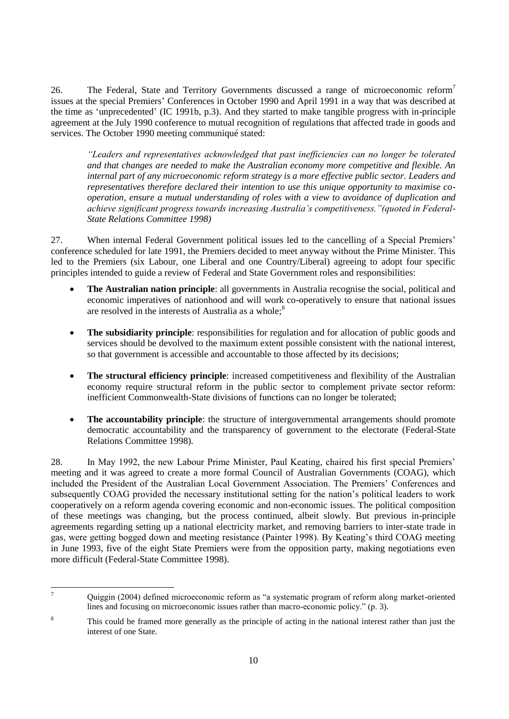26. The Federal, State and Territory Governments discussed a range of microeconomic reform<sup>7</sup> issues at the special Premiers' Conferences in October 1990 and April 1991 in a way that was described at the time as ‗unprecedented' (IC 1991b, p.3). And they started to make tangible progress with in-principle agreement at the July 1990 conference to mutual recognition of regulations that affected trade in goods and services. The October 1990 meeting communiqué stated:

*―Leaders and representatives acknowledged that past inefficiencies can no longer be tolerated and that changes are needed to make the Australian economy more competitive and flexible. An internal part of any microeconomic reform strategy is a more effective public sector. Leaders and representatives therefore declared their intention to use this unique opportunity to maximise cooperation, ensure a mutual understanding of roles with a view to avoidance of duplication and achieve significant progress towards increasing Australia's competitiveness.‖(quoted in Federal-State Relations Committee 1998)*

27. When internal Federal Government political issues led to the cancelling of a Special Premiers' conference scheduled for late 1991, the Premiers decided to meet anyway without the Prime Minister. This led to the Premiers (six Labour, one Liberal and one Country/Liberal) agreeing to adopt four specific principles intended to guide a review of Federal and State Government roles and responsibilities:

- **The Australian nation principle**: all governments in Australia recognise the social, political and economic imperatives of nationhood and will work co-operatively to ensure that national issues are resolved in the interests of Australia as a whole;<sup>8</sup>
- The subsidiarity principle: responsibilities for regulation and for allocation of public goods and services should be devolved to the maximum extent possible consistent with the national interest, so that government is accessible and accountable to those affected by its decisions;
- **The structural efficiency principle**: increased competitiveness and flexibility of the Australian economy require structural reform in the public sector to complement private sector reform: inefficient Commonwealth-State divisions of functions can no longer be tolerated;
- **The accountability principle**: the structure of intergovernmental arrangements should promote democratic accountability and the transparency of government to the electorate (Federal-State Relations Committee 1998).

28. In May 1992, the new Labour Prime Minister, Paul Keating, chaired his first special Premiers' meeting and it was agreed to create a more formal Council of Australian Governments (COAG), which included the President of the Australian Local Government Association. The Premiers' Conferences and subsequently COAG provided the necessary institutional setting for the nation's political leaders to work cooperatively on a reform agenda covering economic and non-economic issues. The political composition of these meetings was changing, but the process continued, albeit slowly. But previous in-principle agreements regarding setting up a national electricity market, and removing barriers to inter-state trade in gas, were getting bogged down and meeting resistance (Painter 1998). By Keating's third COAG meeting in June 1993, five of the eight State Premiers were from the opposition party, making negotiations even more difficult (Federal-State Committee 1998).

 $\overline{7}$ Quiggin (2004) defined microeconomic reform as "a systematic program of reform along market-oriented lines and focusing on microeconomic issues rather than macro-economic policy." (p. 3).

<sup>&</sup>lt;sup>8</sup> This could be framed more generally as the principle of acting in the national interest rather than just the interest of one State.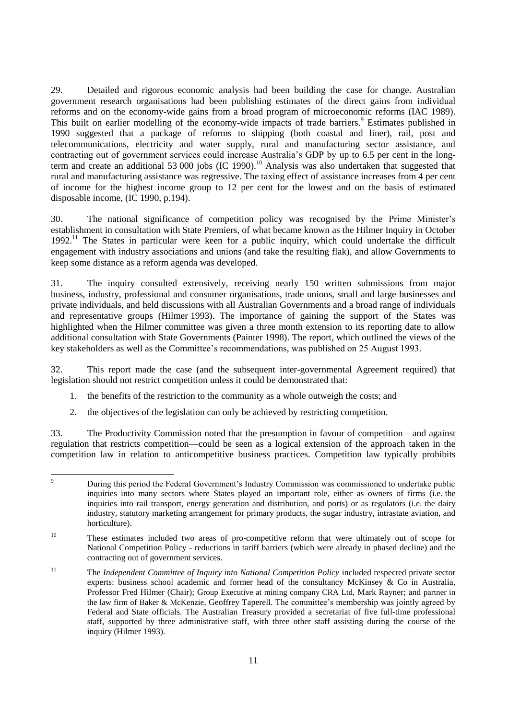29. Detailed and rigorous economic analysis had been building the case for change. Australian government research organisations had been publishing estimates of the direct gains from individual reforms and on the economy-wide gains from a broad program of microeconomic reforms (IAC 1989). This built on earlier modelling of the economy-wide impacts of trade barriers.<sup>9</sup> Estimates published in 1990 suggested that a package of reforms to shipping (both coastal and liner), rail, post and telecommunications, electricity and water supply, rural and manufacturing sector assistance, and contracting out of government services could increase Australia's GDP by up to 6.5 per cent in the longterm and create an additional 53 000 jobs (IC 1990).<sup>10</sup> Analysis was also undertaken that suggested that rural and manufacturing assistance was regressive. The taxing effect of assistance increases from 4 per cent of income for the highest income group to 12 per cent for the lowest and on the basis of estimated disposable income, (IC 1990, p.194).

30. The national significance of competition policy was recognised by the Prime Minister's establishment in consultation with State Premiers, of what became known as the Hilmer Inquiry in October 1992.<sup>11</sup> The States in particular were keen for a public inquiry, which could undertake the difficult engagement with industry associations and unions (and take the resulting flak), and allow Governments to keep some distance as a reform agenda was developed.

31. The inquiry consulted extensively, receiving nearly 150 written submissions from major business, industry, professional and consumer organisations, trade unions, small and large businesses and private individuals, and held discussions with all Australian Governments and a broad range of individuals and representative groups (Hilmer 1993). The importance of gaining the support of the States was highlighted when the Hilmer committee was given a three month extension to its reporting date to allow additional consultation with State Governments (Painter 1998). The report, which outlined the views of the key stakeholders as well as the Committee's recommendations, was published on 25 August 1993.

32. This report made the case (and the subsequent inter-governmental Agreement required) that legislation should not restrict competition unless it could be demonstrated that:

- 1. the benefits of the restriction to the community as a whole outweigh the costs; and
- 2. the objectives of the legislation can only be achieved by restricting competition.

33. The Productivity Commission noted that the presumption in favour of competition—and against regulation that restricts competition—could be seen as a logical extension of the approach taken in the competition law in relation to anticompetitive business practices. Competition law typically prohibits

 $\overline{9}$ <sup>9</sup> During this period the Federal Government's Industry Commission was commissioned to undertake public inquiries into many sectors where States played an important role, either as owners of firms (i.e. the inquiries into rail transport, energy generation and distribution, and ports) or as regulators (i.e. the dairy industry, statutory marketing arrangement for primary products, the sugar industry, intrastate aviation, and horticulture).

<sup>&</sup>lt;sup>10</sup> These estimates included two areas of pro-competitive reform that were ultimately out of scope for National Competition Policy - reductions in tariff barriers (which were already in phased decline) and the contracting out of government services.

<sup>11</sup> The *Independent Committee of Inquiry into National Competition Policy* included respected private sector experts: business school academic and former head of the consultancy McKinsey & Co in Australia, Professor Fred Hilmer (Chair); Group Executive at mining company CRA Ltd, Mark Rayner; and partner in the law firm of Baker & McKenzie, Geoffrey Taperell. The committee's membership was jointly agreed by Federal and State officials. The Australian Treasury provided a secretariat of five full-time professional staff, supported by three administrative staff, with three other staff assisting during the course of the inquiry (Hilmer 1993).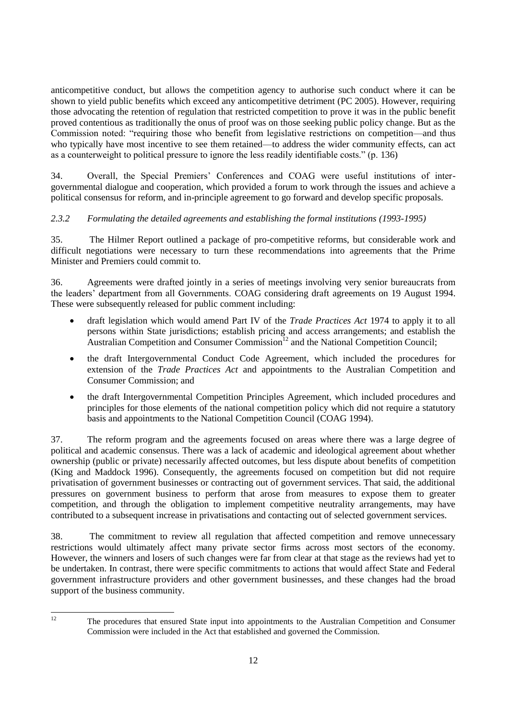anticompetitive conduct, but allows the competition agency to authorise such conduct where it can be shown to yield public benefits which exceed any anticompetitive detriment (PC 2005). However, requiring those advocating the retention of regulation that restricted competition to prove it was in the public benefit proved contentious as traditionally the onus of proof was on those seeking public policy change. But as the Commission noted: "requiring those who benefit from legislative restrictions on competition—and thus who typically have most incentive to see them retained—to address the wider community effects, can act as a counterweight to political pressure to ignore the less readily identifiable costs."  $(p. 136)$ 

34. Overall, the Special Premiers' Conferences and COAG were useful institutions of intergovernmental dialogue and cooperation, which provided a forum to work through the issues and achieve a political consensus for reform, and in-principle agreement to go forward and develop specific proposals.

# *2.3.2 Formulating the detailed agreements and establishing the formal institutions (1993-1995)*

35. The Hilmer Report outlined a package of pro-competitive reforms, but considerable work and difficult negotiations were necessary to turn these recommendations into agreements that the Prime Minister and Premiers could commit to.

36. Agreements were drafted jointly in a series of meetings involving very senior bureaucrats from the leaders' department from all Governments. COAG considering draft agreements on 19 August 1994. These were subsequently released for public comment including:

- draft legislation which would amend Part IV of the *Trade Practices Act* 1974 to apply it to all persons within State jurisdictions; establish pricing and access arrangements; and establish the Australian Competition and Consumer Commission<sup>12</sup> and the National Competition Council:
- the draft Intergovernmental Conduct Code Agreement, which included the procedures for extension of the *Trade Practices Act* and appointments to the Australian Competition and Consumer Commission; and
- the draft Intergovernmental Competition Principles Agreement, which included procedures and principles for those elements of the national competition policy which did not require a statutory basis and appointments to the National Competition Council (COAG 1994).

37. The reform program and the agreements focused on areas where there was a large degree of political and academic consensus. There was a lack of academic and ideological agreement about whether ownership (public or private) necessarily affected outcomes, but less dispute about benefits of competition (King and Maddock 1996). Consequently, the agreements focused on competition but did not require privatisation of government businesses or contracting out of government services. That said, the additional pressures on government business to perform that arose from measures to expose them to greater competition, and through the obligation to implement competitive neutrality arrangements, may have contributed to a subsequent increase in privatisations and contacting out of selected government services.

38. The commitment to review all regulation that affected competition and remove unnecessary restrictions would ultimately affect many private sector firms across most sectors of the economy. However, the winners and losers of such changes were far from clear at that stage as the reviews had yet to be undertaken. In contrast, there were specific commitments to actions that would affect State and Federal government infrastructure providers and other government businesses, and these changes had the broad support of the business community.

 $12$ 

<sup>12</sup> The procedures that ensured State input into appointments to the Australian Competition and Consumer Commission were included in the Act that established and governed the Commission.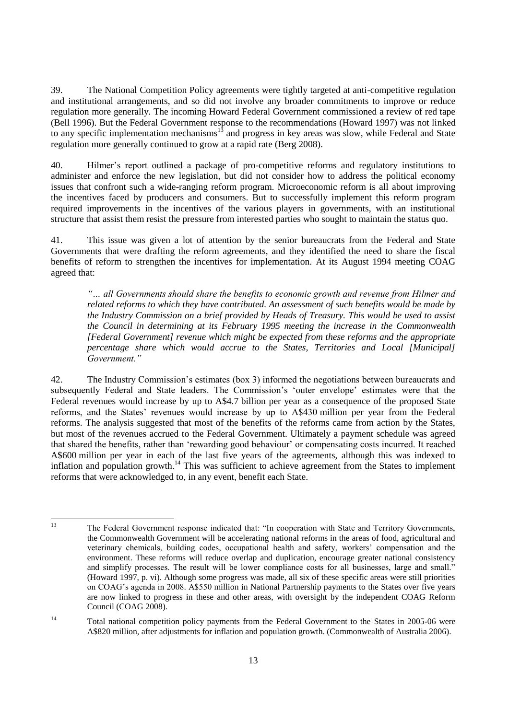39. The National Competition Policy agreements were tightly targeted at anti-competitive regulation and institutional arrangements, and so did not involve any broader commitments to improve or reduce regulation more generally. The incoming Howard Federal Government commissioned a review of red tape (Bell 1996). But the Federal Government response to the recommendations (Howard 1997) was not linked to any specific implementation mechanisms<sup>13</sup> and progress in key areas was slow, while Federal and State regulation more generally continued to grow at a rapid rate (Berg 2008).

40. Hilmer's report outlined a package of pro-competitive reforms and regulatory institutions to administer and enforce the new legislation, but did not consider how to address the political economy issues that confront such a wide-ranging reform program. Microeconomic reform is all about improving the incentives faced by producers and consumers. But to successfully implement this reform program required improvements in the incentives of the various players in governments, with an institutional structure that assist them resist the pressure from interested parties who sought to maintain the status quo.

41. This issue was given a lot of attention by the senior bureaucrats from the Federal and State Governments that were drafting the reform agreements, and they identified the need to share the fiscal benefits of reform to strengthen the incentives for implementation. At its August 1994 meeting COAG agreed that:

*―… all Governments should share the benefits to economic growth and revenue from Hilmer and related reforms to which they have contributed. An assessment of such benefits would be made by the Industry Commission on a brief provided by Heads of Treasury. This would be used to assist the Council in determining at its February 1995 meeting the increase in the Commonwealth [Federal Government] revenue which might be expected from these reforms and the appropriate percentage share which would accrue to the States, Territories and Local [Municipal] Government.‖*

42. The Industry Commission's estimates (box 3) informed the negotiations between bureaucrats and subsequently Federal and State leaders. The Commission's 'outer envelope' estimates were that the Federal revenues would increase by up to A\$4.7 billion per year as a consequence of the proposed State reforms, and the States' revenues would increase by up to A\$430 million per year from the Federal reforms. The analysis suggested that most of the benefits of the reforms came from action by the States, but most of the revenues accrued to the Federal Government. Ultimately a payment schedule was agreed that shared the benefits, rather than 'rewarding good behaviour' or compensating costs incurred. It reached A\$600 million per year in each of the last five years of the agreements, although this was indexed to inflation and population growth.<sup>14</sup> This was sufficient to achieve agreement from the States to implement reforms that were acknowledged to, in any event, benefit each State.

 $13$ The Federal Government response indicated that: "In cooperation with State and Territory Governments, the Commonwealth Government will be accelerating national reforms in the areas of food, agricultural and veterinary chemicals, building codes, occupational health and safety, workers' compensation and the environment. These reforms will reduce overlap and duplication, encourage greater national consistency and simplify processes. The result will be lower compliance costs for all businesses, large and small." (Howard 1997, p. vi). Although some progress was made, all six of these specific areas were still priorities on COAG's agenda in 2008. A\$550 million in National Partnership payments to the States over five years are now linked to progress in these and other areas, with oversight by the independent COAG Reform Council (COAG 2008).

<sup>&</sup>lt;sup>14</sup> Total national competition policy payments from the Federal Government to the States in 2005-06 were A\$820 million, after adjustments for inflation and population growth. (Commonwealth of Australia 2006).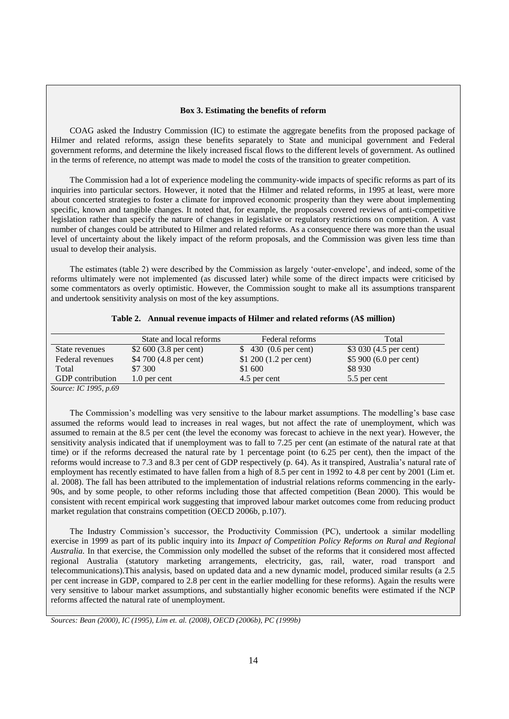#### **Box 3. Estimating the benefits of reform**

COAG asked the Industry Commission (IC) to estimate the aggregate benefits from the proposed package of Hilmer and related reforms, assign these benefits separately to State and municipal government and Federal government reforms, and determine the likely increased fiscal flows to the different levels of government. As outlined in the terms of reference, no attempt was made to model the costs of the transition to greater competition.

The Commission had a lot of experience modeling the community-wide impacts of specific reforms as part of its inquiries into particular sectors. However, it noted that the Hilmer and related reforms, in 1995 at least, were more about concerted strategies to foster a climate for improved economic prosperity than they were about implementing specific, known and tangible changes. It noted that, for example, the proposals covered reviews of anti-competitive legislation rather than specify the nature of changes in legislative or regulatory restrictions on competition. A vast number of changes could be attributed to Hilmer and related reforms. As a consequence there was more than the usual level of uncertainty about the likely impact of the reform proposals, and the Commission was given less time than usual to develop their analysis.

The estimates (table 2) were described by the Commission as largely ‗outer-envelope', and indeed, some of the reforms ultimately were not implemented (as discussed later) while some of the direct impacts were criticised by some commentators as overly optimistic. However, the Commission sought to make all its assumptions transparent and undertook sensitivity analysis on most of the key assumptions.

|                  | State and local reforms          | Federal reforms                  | Total                            |
|------------------|----------------------------------|----------------------------------|----------------------------------|
| State revenues   | \$2 600 $(3.8 \text{ per cent})$ | $$430(0.6)$ per cent)            | \$3 030 (4.5 per cent)           |
| Federal revenues | \$4 700 (4.8 per cent)           | \$1 200 $(1.2 \text{ per cent})$ | \$5 900 $(6.0 \text{ per cent})$ |

 $Total$  \$7 300 \$1 600 \$8 930 GDP contribution 1.0 per cent 4.5 per cent 5.5 per cent 5.5 per cent

#### **Table 2. Annual revenue impacts of Hilmer and related reforms (A\$ million)**

*Source: IC 1995, p.69*

The Commission's modelling was very sensitive to the labour market assumptions. The modelling's base case assumed the reforms would lead to increases in real wages, but not affect the rate of unemployment, which was assumed to remain at the 8.5 per cent (the level the economy was forecast to achieve in the next year). However, the sensitivity analysis indicated that if unemployment was to fall to 7.25 per cent (an estimate of the natural rate at that time) or if the reforms decreased the natural rate by 1 percentage point (to 6.25 per cent), then the impact of the reforms would increase to 7.3 and 8.3 per cent of GDP respectively (p. 64). As it transpired, Australia's natural rate of employment has recently estimated to have fallen from a high of 8.5 per cent in 1992 to 4.8 per cent by 2001 (Lim et. al. 2008). The fall has been attributed to the implementation of industrial relations reforms commencing in the early-90s, and by some people, to other reforms including those that affected competition (Bean 2000). This would be consistent with recent empirical work suggesting that improved labour market outcomes come from reducing product market regulation that constrains competition (OECD 2006b, p.107).

The Industry Commission's successor, the Productivity Commission (PC), undertook a similar modelling exercise in 1999 as part of its public inquiry into its *Impact of Competition Policy Reforms on Rural and Regional Australia.* In that exercise, the Commission only modelled the subset of the reforms that it considered most affected regional Australia (statutory marketing arrangements, electricity, gas, rail, water, road transport and telecommunications).This analysis, based on updated data and a new dynamic model, produced similar results (a 2.5 per cent increase in GDP, compared to 2.8 per cent in the earlier modelling for these reforms). Again the results were very sensitive to labour market assumptions, and substantially higher economic benefits were estimated if the NCP reforms affected the natural rate of unemployment.

*Sources: Bean (2000), IC (1995), Lim et. al. (2008), OECD (2006b), PC (1999b)*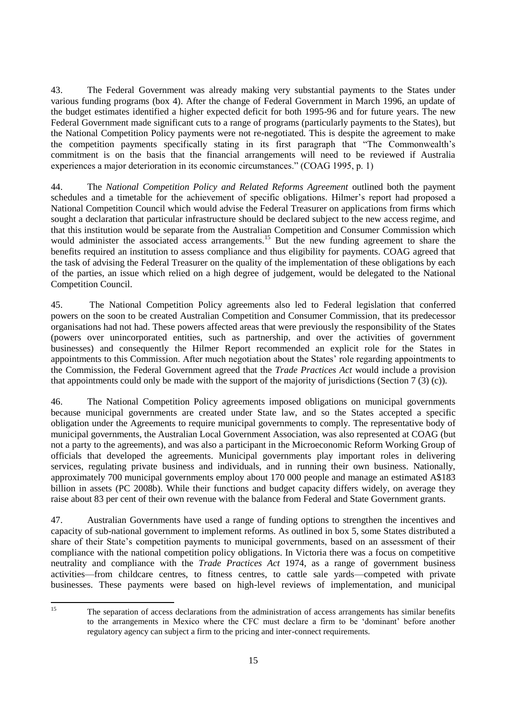43. The Federal Government was already making very substantial payments to the States under various funding programs (box 4). After the change of Federal Government in March 1996, an update of the budget estimates identified a higher expected deficit for both 1995-96 and for future years. The new Federal Government made significant cuts to a range of programs (particularly payments to the States), but the National Competition Policy payments were not re-negotiated. This is despite the agreement to make the competition payments specifically stating in its first paragraph that "The Commonwealth's commitment is on the basis that the financial arrangements will need to be reviewed if Australia experiences a major deterioration in its economic circumstances." (COAG 1995, p. 1)

44. The *National Competition Policy and Related Reforms Agreement* outlined both the payment schedules and a timetable for the achievement of specific obligations. Hilmer's report had proposed a National Competition Council which would advise the Federal Treasurer on applications from firms which sought a declaration that particular infrastructure should be declared subject to the new access regime, and that this institution would be separate from the Australian Competition and Consumer Commission which would administer the associated access arrangements.<sup>15</sup> But the new funding agreement to share the benefits required an institution to assess compliance and thus eligibility for payments. COAG agreed that the task of advising the Federal Treasurer on the quality of the implementation of these obligations by each of the parties, an issue which relied on a high degree of judgement, would be delegated to the National Competition Council.

45. The National Competition Policy agreements also led to Federal legislation that conferred powers on the soon to be created Australian Competition and Consumer Commission, that its predecessor organisations had not had. These powers affected areas that were previously the responsibility of the States (powers over unincorporated entities, such as partnership, and over the activities of government businesses) and consequently the Hilmer Report recommended an explicit role for the States in appointments to this Commission. After much negotiation about the States' role regarding appointments to the Commission, the Federal Government agreed that the *Trade Practices Act* would include a provision that appointments could only be made with the support of the majority of jurisdictions (Section 7 (3) (c)).

46. The National Competition Policy agreements imposed obligations on municipal governments because municipal governments are created under State law, and so the States accepted a specific obligation under the Agreements to require municipal governments to comply. The representative body of municipal governments, the Australian Local Government Association, was also represented at COAG (but not a party to the agreements), and was also a participant in the Microeconomic Reform Working Group of officials that developed the agreements. Municipal governments play important roles in delivering services, regulating private business and individuals, and in running their own business. Nationally, approximately 700 municipal governments employ about 170 000 people and manage an estimated A\$183 billion in assets (PC 2008b). While their functions and budget capacity differs widely, on average they raise about 83 per cent of their own revenue with the balance from Federal and State Government grants.

47. Australian Governments have used a range of funding options to strengthen the incentives and capacity of sub-national government to implement reforms. As outlined in box 5, some States distributed a share of their State's competition payments to municipal governments, based on an assessment of their compliance with the national competition policy obligations. In Victoria there was a focus on competitive neutrality and compliance with the *Trade Practices Act* 1974, as a range of government business activities—from childcare centres, to fitness centres, to cattle sale yards—competed with private businesses. These payments were based on high-level reviews of implementation, and municipal

 $15$ 

The separation of access declarations from the administration of access arrangements has similar benefits to the arrangements in Mexico where the CFC must declare a firm to be ‗dominant' before another regulatory agency can subject a firm to the pricing and inter-connect requirements.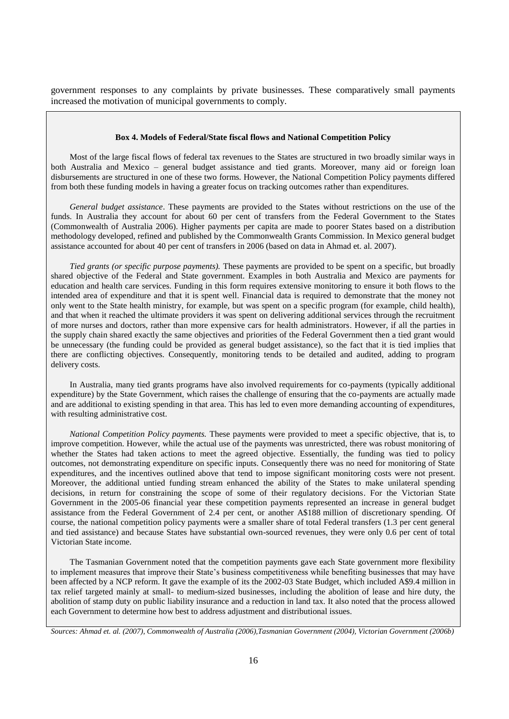government responses to any complaints by private businesses. These comparatively small payments increased the motivation of municipal governments to comply.

#### **Box 4. Models of Federal/State fiscal flows and National Competition Policy**

Most of the large fiscal flows of federal tax revenues to the States are structured in two broadly similar ways in both Australia and Mexico – general budget assistance and tied grants. Moreover, many aid or foreign loan disbursements are structured in one of these two forms. However, the National Competition Policy payments differed from both these funding models in having a greater focus on tracking outcomes rather than expenditures.

*General budget assistance*. These payments are provided to the States without restrictions on the use of the funds. In Australia they account for about 60 per cent of transfers from the Federal Government to the States (Commonwealth of Australia 2006). Higher payments per capita are made to poorer States based on a distribution methodology developed, refined and published by the Commonwealth Grants Commission. In Mexico general budget assistance accounted for about 40 per cent of transfers in 2006 (based on data in Ahmad et. al. 2007).

*Tied grants (or specific purpose payments).* These payments are provided to be spent on a specific, but broadly shared objective of the Federal and State government. Examples in both Australia and Mexico are payments for education and health care services. Funding in this form requires extensive monitoring to ensure it both flows to the intended area of expenditure and that it is spent well. Financial data is required to demonstrate that the money not only went to the State health ministry, for example, but was spent on a specific program (for example, child health), and that when it reached the ultimate providers it was spent on delivering additional services through the recruitment of more nurses and doctors, rather than more expensive cars for health administrators. However, if all the parties in the supply chain shared exactly the same objectives and priorities of the Federal Government then a tied grant would be unnecessary (the funding could be provided as general budget assistance), so the fact that it is tied implies that there are conflicting objectives. Consequently, monitoring tends to be detailed and audited, adding to program delivery costs.

In Australia, many tied grants programs have also involved requirements for co-payments (typically additional expenditure) by the State Government, which raises the challenge of ensuring that the co-payments are actually made and are additional to existing spending in that area. This has led to even more demanding accounting of expenditures, with resulting administrative cost.

*National Competition Policy payments.* These payments were provided to meet a specific objective, that is, to improve competition. However, while the actual use of the payments was unrestricted, there was robust monitoring of whether the States had taken actions to meet the agreed objective. Essentially, the funding was tied to policy outcomes, not demonstrating expenditure on specific inputs. Consequently there was no need for monitoring of State expenditures, and the incentives outlined above that tend to impose significant monitoring costs were not present. Moreover, the additional untied funding stream enhanced the ability of the States to make unilateral spending decisions, in return for constraining the scope of some of their regulatory decisions. For the Victorian State Government in the 2005-06 financial year these competition payments represented an increase in general budget assistance from the Federal Government of 2.4 per cent, or another A\$188 million of discretionary spending. Of course, the national competition policy payments were a smaller share of total Federal transfers (1.3 per cent general and tied assistance) and because States have substantial own-sourced revenues, they were only 0.6 per cent of total Victorian State income.

The Tasmanian Government noted that the competition payments gave each State government more flexibility to implement measures that improve their State's business competitiveness while benefiting businesses that may have been affected by a NCP reform. It gave the example of its the 2002-03 State Budget, which included A\$9.4 million in tax relief targeted mainly at small- to medium-sized businesses, including the abolition of lease and hire duty, the abolition of stamp duty on public liability insurance and a reduction in land tax. It also noted that the process allowed each Government to determine how best to address adjustment and distributional issues.

*Sources: Ahmad et. al. (2007), Commonwealth of Australia (2006),Tasmanian Government (2004), Victorian Government (2006b)*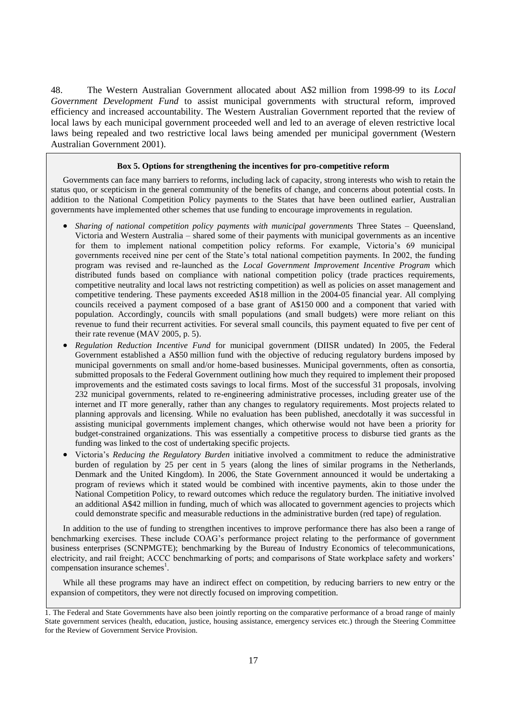48. The Western Australian Government allocated about A\$2 million from 1998-99 to its *Local Government Development Fund* to assist municipal governments with structural reform, improved efficiency and increased accountability. The Western Australian Government reported that the review of local laws by each municipal government proceeded well and led to an average of eleven restrictive local laws being repealed and two restrictive local laws being amended per municipal government (Western Australian Government 2001).

#### **Box 5. Options for strengthening the incentives for pro-competitive reform**

Governments can face many barriers to reforms, including lack of capacity, strong interests who wish to retain the status quo, or scepticism in the general community of the benefits of change, and concerns about potential costs. In addition to the National Competition Policy payments to the States that have been outlined earlier, Australian governments have implemented other schemes that use funding to encourage improvements in regulation.

- *Sharing of national competition policy payments with municipal governments* Three States Queensland, Victoria and Western Australia – shared some of their payments with municipal governments as an incentive for them to implement national competition policy reforms. For example, Victoria's 69 municipal governments received nine per cent of the State's total national competition payments. In 2002, the funding program was revised and re-launched as the *Local Government Improvement Incentive Program* which distributed funds based on compliance with national competition policy (trade practices requirements, competitive neutrality and local laws not restricting competition) as well as policies on asset management and competitive tendering. These payments exceeded A\$18 million in the 2004-05 financial year. All complying councils received a payment composed of a base grant of A\$150 000 and a component that varied with population. Accordingly, councils with small populations (and small budgets) were more reliant on this revenue to fund their recurrent activities. For several small councils, this payment equated to five per cent of their rate revenue (MAV 2005, p. 5).
- *Regulation Reduction Incentive Fund* for municipal government (DIISR undated) In 2005, the Federal Government established a A\$50 million fund with the objective of reducing regulatory burdens imposed by municipal governments on small and/or home-based businesses. Municipal governments, often as consortia, submitted proposals to the Federal Government outlining how much they required to implement their proposed improvements and the estimated costs savings to local firms. Most of the successful 31 proposals, involving 232 municipal governments, related to re-engineering administrative processes, including greater use of the internet and IT more generally, rather than any changes to regulatory requirements. Most projects related to planning approvals and licensing. While no evaluation has been published, anecdotally it was successful in assisting municipal governments implement changes, which otherwise would not have been a priority for budget-constrained organizations. This was essentially a competitive process to disburse tied grants as the funding was linked to the cost of undertaking specific projects.
- Victoria's *Reducing the Regulatory Burden* initiative involved a commitment to reduce the administrative burden of regulation by 25 per cent in 5 years (along the lines of similar programs in the Netherlands, Denmark and the United Kingdom). In 2006, the State Government announced it would be undertaking a program of reviews which it stated would be combined with incentive payments, akin to those under the National Competition Policy, to reward outcomes which reduce the regulatory burden. The initiative involved an additional A\$42 million in funding, much of which was allocated to government agencies to projects which could demonstrate specific and measurable reductions in the administrative burden (red tape) of regulation.

In addition to the use of funding to strengthen incentives to improve performance there has also been a range of benchmarking exercises. These include COAG's performance project relating to the performance of government business enterprises (SCNPMGTE); benchmarking by the Bureau of Industry Economics of telecommunications, electricity, and rail freight; ACCC benchmarking of ports; and comparisons of State workplace safety and workers' compensation insurance schemes<sup>1</sup>.

While all these programs may have an indirect effect on competition, by reducing barriers to new entry or the expansion of competitors, they were not directly focused on improving competition.

<sup>1.</sup> The Federal and State Governments have also been jointly reporting on the comparative performance of a broad range of mainly State government services (health, education, justice, housing assistance, emergency services etc.) through the Steering Committee for the Review of Government Service Provision.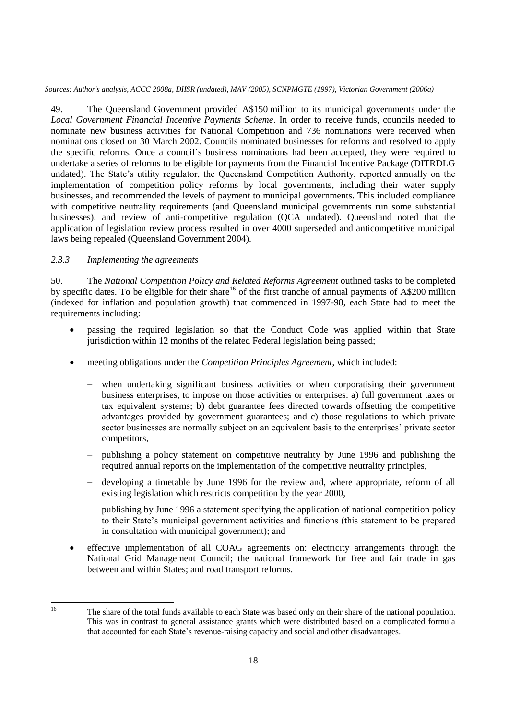*Sources: Author's analysis, ACCC 2008a, DIISR (undated), MAV (2005), SCNPMGTE (1997), Victorian Government (2006a)*

49. The Queensland Government provided A\$150 million to its municipal governments under the *Local Government Financial Incentive Payments Scheme*. In order to receive funds, councils needed to nominate new business activities for National Competition and 736 nominations were received when nominations closed on 30 March 2002. Councils nominated businesses for reforms and resolved to apply the specific reforms. Once a council's business nominations had been accepted, they were required to undertake a series of reforms to be eligible for payments from the Financial Incentive Package (DITRDLG undated). The State's utility regulator, the Queensland Competition Authority, reported annually on the implementation of competition policy reforms by local governments, including their water supply businesses, and recommended the levels of payment to municipal governments. This included compliance with competitive neutrality requirements (and Queensland municipal governments run some substantial businesses), and review of anti-competitive regulation (QCA undated). Queensland noted that the application of legislation review process resulted in over 4000 superseded and anticompetitive municipal laws being repealed (Queensland Government 2004).

### *2.3.3 Implementing the agreements*

50. The *National Competition Policy and Related Reforms Agreement* outlined tasks to be completed by specific dates. To be eligible for their share<sup>16</sup> of the first tranche of annual payments of A\$200 million (indexed for inflation and population growth) that commenced in 1997-98, each State had to meet the requirements including:

- passing the required legislation so that the Conduct Code was applied within that State jurisdiction within 12 months of the related Federal legislation being passed;
- meeting obligations under the *Competition Principles Agreement*, which included:
	- when undertaking significant business activities or when corporatising their government business enterprises, to impose on those activities or enterprises: a) full government taxes or tax equivalent systems; b) debt guarantee fees directed towards offsetting the competitive advantages provided by government guarantees; and c) those regulations to which private sector businesses are normally subject on an equivalent basis to the enterprises' private sector competitors,
	- publishing a policy statement on competitive neutrality by June 1996 and publishing the required annual reports on the implementation of the competitive neutrality principles,
	- developing a timetable by June 1996 for the review and, where appropriate, reform of all existing legislation which restricts competition by the year 2000,
	- publishing by June 1996 a statement specifying the application of national competition policy to their State's municipal government activities and functions (this statement to be prepared in consultation with municipal government); and
- effective implementation of all COAG agreements on: electricity arrangements through the National Grid Management Council; the national framework for free and fair trade in gas between and within States; and road transport reforms.

 $16$ 

The share of the total funds available to each State was based only on their share of the national population. This was in contrast to general assistance grants which were distributed based on a complicated formula that accounted for each State's revenue-raising capacity and social and other disadvantages.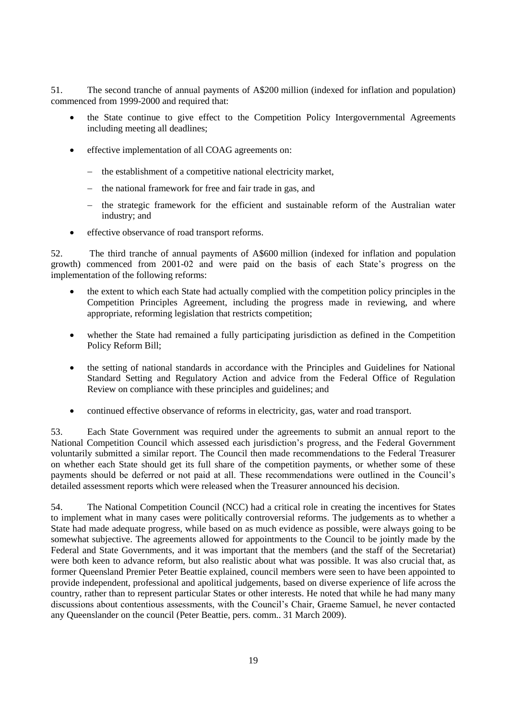51. The second tranche of annual payments of A\$200 million (indexed for inflation and population) commenced from 1999-2000 and required that:

- the State continue to give effect to the Competition Policy Intergovernmental Agreements including meeting all deadlines;
- effective implementation of all COAG agreements on:
	- the establishment of a competitive national electricity market,
	- the national framework for free and fair trade in gas, and
	- the strategic framework for the efficient and sustainable reform of the Australian water industry; and
- effective observance of road transport reforms.

52. The third tranche of annual payments of A\$600 million (indexed for inflation and population growth) commenced from 2001-02 and were paid on the basis of each State's progress on the implementation of the following reforms:

- the extent to which each State had actually complied with the competition policy principles in the Competition Principles Agreement, including the progress made in reviewing, and where appropriate, reforming legislation that restricts competition;
- whether the State had remained a fully participating jurisdiction as defined in the Competition Policy Reform Bill;
- the setting of national standards in accordance with the Principles and Guidelines for National Standard Setting and Regulatory Action and advice from the Federal Office of Regulation Review on compliance with these principles and guidelines; and
- continued effective observance of reforms in electricity, gas, water and road transport.

53. Each State Government was required under the agreements to submit an annual report to the National Competition Council which assessed each jurisdiction's progress, and the Federal Government voluntarily submitted a similar report. The Council then made recommendations to the Federal Treasurer on whether each State should get its full share of the competition payments, or whether some of these payments should be deferred or not paid at all. These recommendations were outlined in the Council's detailed assessment reports which were released when the Treasurer announced his decision.

54. The National Competition Council (NCC) had a critical role in creating the incentives for States to implement what in many cases were politically controversial reforms. The judgements as to whether a State had made adequate progress, while based on as much evidence as possible, were always going to be somewhat subjective. The agreements allowed for appointments to the Council to be jointly made by the Federal and State Governments, and it was important that the members (and the staff of the Secretariat) were both keen to advance reform, but also realistic about what was possible. It was also crucial that, as former Queensland Premier Peter Beattie explained, council members were seen to have been appointed to provide independent, professional and apolitical judgements, based on diverse experience of life across the country, rather than to represent particular States or other interests. He noted that while he had many many discussions about contentious assessments, with the Council's Chair, Graeme Samuel, he never contacted any Queenslander on the council (Peter Beattie, pers. comm.. 31 March 2009).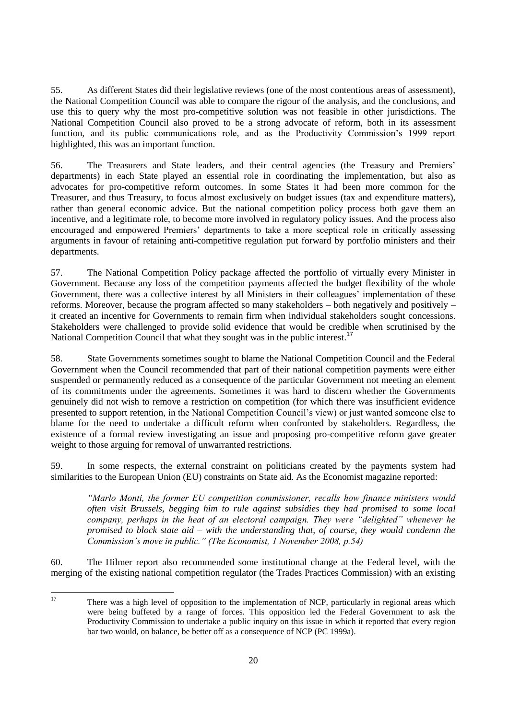55. As different States did their legislative reviews (one of the most contentious areas of assessment), the National Competition Council was able to compare the rigour of the analysis, and the conclusions, and use this to query why the most pro-competitive solution was not feasible in other jurisdictions. The National Competition Council also proved to be a strong advocate of reform, both in its assessment function, and its public communications role, and as the Productivity Commission's 1999 report highlighted, this was an important function.

56. The Treasurers and State leaders, and their central agencies (the Treasury and Premiers' departments) in each State played an essential role in coordinating the implementation, but also as advocates for pro-competitive reform outcomes. In some States it had been more common for the Treasurer, and thus Treasury, to focus almost exclusively on budget issues (tax and expenditure matters), rather than general economic advice. But the national competition policy process both gave them an incentive, and a legitimate role, to become more involved in regulatory policy issues. And the process also encouraged and empowered Premiers' departments to take a more sceptical role in critically assessing arguments in favour of retaining anti-competitive regulation put forward by portfolio ministers and their departments.

57. The National Competition Policy package affected the portfolio of virtually every Minister in Government. Because any loss of the competition payments affected the budget flexibility of the whole Government, there was a collective interest by all Ministers in their colleagues' implementation of these reforms. Moreover, because the program affected so many stakeholders – both negatively and positively – it created an incentive for Governments to remain firm when individual stakeholders sought concessions. Stakeholders were challenged to provide solid evidence that would be credible when scrutinised by the National Competition Council that what they sought was in the public interest.<sup>17</sup>

58. State Governments sometimes sought to blame the National Competition Council and the Federal Government when the Council recommended that part of their national competition payments were either suspended or permanently reduced as a consequence of the particular Government not meeting an element of its commitments under the agreements. Sometimes it was hard to discern whether the Governments genuinely did not wish to remove a restriction on competition (for which there was insufficient evidence presented to support retention, in the National Competition Council's view) or just wanted someone else to blame for the need to undertake a difficult reform when confronted by stakeholders. Regardless, the existence of a formal review investigating an issue and proposing pro-competitive reform gave greater weight to those arguing for removal of unwarranted restrictions.

59. In some respects, the external constraint on politicians created by the payments system had similarities to the European Union (EU) constraints on State aid. As the Economist magazine reported:

*―Marlo Monti, the former EU competition commissioner, recalls how finance ministers would often visit Brussels, begging him to rule against subsidies they had promised to some local company, perhaps in the heat of an electoral campaign. They were "delighted" whenever he promised to block state aid – with the understanding that, of course, they would condemn the Commission's move in public.‖ (The Economist, 1 November 2008, p.54)*

60. The Hilmer report also recommended some institutional change at the Federal level, with the merging of the existing national competition regulator (the Trades Practices Commission) with an existing

<sup>17</sup> There was a high level of opposition to the implementation of NCP, particularly in regional areas which were being buffeted by a range of forces. This opposition led the Federal Government to ask the Productivity Commission to undertake a public inquiry on this issue in which it reported that every region bar two would, on balance, be better off as a consequence of NCP (PC 1999a).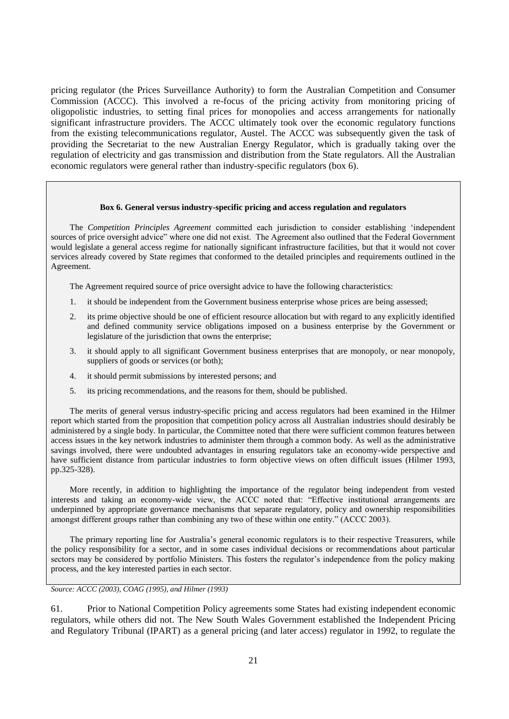pricing regulator (the Prices Surveillance Authority) to form the Australian Competition and Consumer Commission (ACCC). This involved a re-focus of the pricing activity from monitoring pricing of oligopolistic industries, to setting final prices for monopolies and access arrangements for nationally significant infrastructure providers. The ACCC ultimately took over the economic regulatory functions from the existing telecommunications regulator, Austel. The ACCC was subsequently given the task of providing the Secretariat to the new Australian Energy Regulator, which is gradually taking over the regulation of electricity and gas transmission and distribution from the State regulators. All the Australian economic regulators were general rather than industry-specific regulators (box 6).

#### **Box 6. General versus industry-specific pricing and access regulation and regulators**

The *Competition Principles Agreement* committed each jurisdiction to consider establishing 'independent sources of price oversight advice" where one did not exist. The Agreement also outlined that the Federal Government would legislate a general access regime for nationally significant infrastructure facilities, but that it would not cover services already covered by State regimes that conformed to the detailed principles and requirements outlined in the Agreement.

The Agreement required source of price oversight advice to have the following characteristics:

- 1. it should be independent from the Government business enterprise whose prices are being assessed;
- 2. its prime objective should be one of efficient resource allocation but with regard to any explicitly identified and defined community service obligations imposed on a business enterprise by the Government or legislature of the jurisdiction that owns the enterprise;
- 3. it should apply to all significant Government business enterprises that are monopoly, or near monopoly, suppliers of goods or services (or both);
- 4. it should permit submissions by interested persons; and
- 5. its pricing recommendations, and the reasons for them, should be published.

The merits of general versus industry-specific pricing and access regulators had been examined in the Hilmer report which started from the proposition that competition policy across all Australian industries should desirably be administered by a single body. In particular, the Committee noted that there were sufficient common features between access issues in the key network industries to administer them through a common body. As well as the administrative savings involved, there were undoubted advantages in ensuring regulators take an economy-wide perspective and have sufficient distance from particular industries to form objective views on often difficult issues (Hilmer 1993, pp.325-328).

More recently, in addition to highlighting the importance of the regulator being independent from vested interests and taking an economy-wide view, the ACCC noted that: "Effective institutional arrangements are underpinned by appropriate governance mechanisms that separate regulatory, policy and ownership responsibilities amongst different groups rather than combining any two of these within one entity." (ACCC 2003).

The primary reporting line for Australia's general economic regulators is to their respective Treasurers, while the policy responsibility for a sector, and in some cases individual decisions or recommendations about particular sectors may be considered by portfolio Ministers. This fosters the regulator's independence from the policy making process, and the key interested parties in each sector.

*Source: ACCC (2003), COAG (1995), and Hilmer (1993)*

61. Prior to National Competition Policy agreements some States had existing independent economic regulators, while others did not. The New South Wales Government established the Independent Pricing and Regulatory Tribunal (IPART) as a general pricing (and later access) regulator in 1992, to regulate the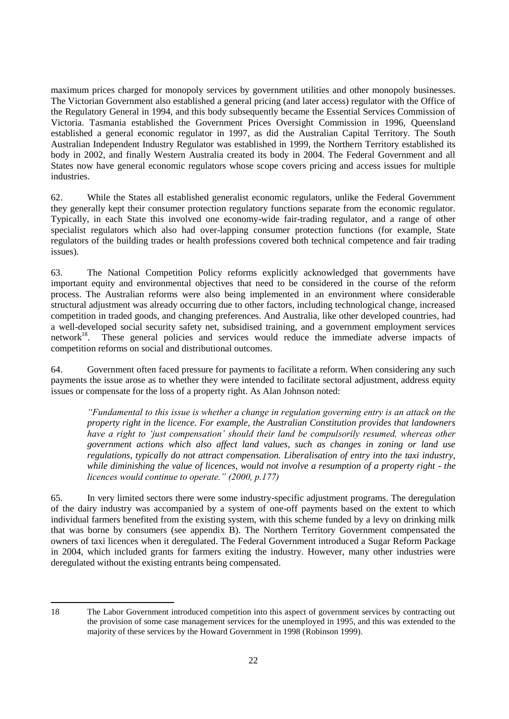maximum prices charged for monopoly services by government utilities and other monopoly businesses. The Victorian Government also established a general pricing (and later access) regulator with the Office of the Regulatory General in 1994, and this body subsequently became the Essential Services Commission of Victoria. Tasmania established the Government Prices Oversight Commission in 1996, Queensland established a general economic regulator in 1997, as did the Australian Capital Territory. The South Australian Independent Industry Regulator was established in 1999, the Northern Territory established its body in 2002, and finally Western Australia created its body in 2004. The Federal Government and all States now have general economic regulators whose scope covers pricing and access issues for multiple industries.

62. While the States all established generalist economic regulators, unlike the Federal Government they generally kept their consumer protection regulatory functions separate from the economic regulator. Typically, in each State this involved one economy-wide fair-trading regulator, and a range of other specialist regulators which also had over-lapping consumer protection functions (for example, State regulators of the building trades or health professions covered both technical competence and fair trading issues).

63. The National Competition Policy reforms explicitly acknowledged that governments have important equity and environmental objectives that need to be considered in the course of the reform process. The Australian reforms were also being implemented in an environment where considerable structural adjustment was already occurring due to other factors, including technological change, increased competition in traded goods, and changing preferences. And Australia, like other developed countries, had a well-developed social security safety net, subsidised training, and a government employment services network<sup>18</sup>. These general policies and services would reduce the immediate adverse impacts of competition reforms on social and distributional outcomes.

64. Government often faced pressure for payments to facilitate a reform. When considering any such payments the issue arose as to whether they were intended to facilitate sectoral adjustment, address equity issues or compensate for the loss of a property right. As Alan Johnson noted:

*―Fundamental to this issue is whether a change in regulation governing entry is an attack on the property right in the licence. For example, the Australian Constitution provides that landowners*  have a right to 'just compensation' should their land be compulsorily resumed, whereas other *government actions which also affect land values, such as changes in zoning or land use regulations, typically do not attract compensation. Liberalisation of entry into the taxi industry, while diminishing the value of licences, would not involve a resumption of a property right - the licences would continue to operate.‖ (2000, p.177)*

65. In very limited sectors there were some industry-specific adjustment programs. The deregulation of the dairy industry was accompanied by a system of one-off payments based on the extent to which individual farmers benefited from the existing system, with this scheme funded by a levy on drinking milk that was borne by consumers (see appendix B). The Northern Territory Government compensated the owners of taxi licences when it deregulated. The Federal Government introduced a Sugar Reform Package in 2004, which included grants for farmers exiting the industry. However, many other industries were deregulated without the existing entrants being compensated.

 18 The Labor Government introduced competition into this aspect of government services by contracting out the provision of some case management services for the unemployed in 1995, and this was extended to the majority of these services by the Howard Government in 1998 (Robinson 1999).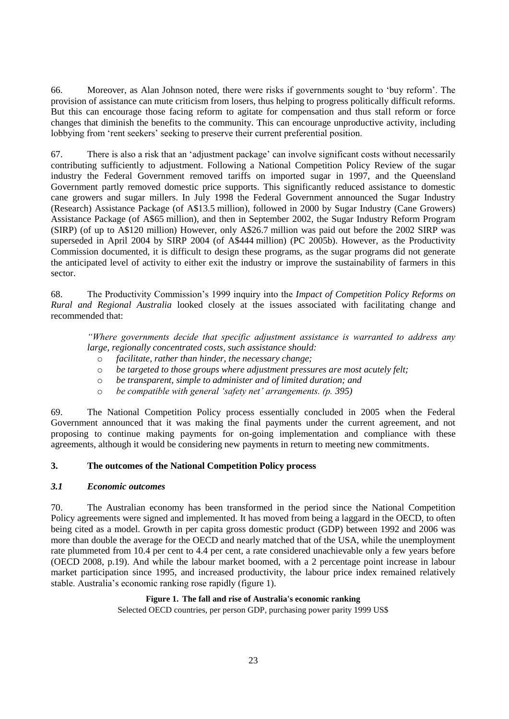66. Moreover, as Alan Johnson noted, there were risks if governments sought to ‗buy reform'. The provision of assistance can mute criticism from losers, thus helping to progress politically difficult reforms. But this can encourage those facing reform to agitate for compensation and thus stall reform or force changes that diminish the benefits to the community. This can encourage unproductive activity, including lobbying from 'rent seekers' seeking to preserve their current preferential position.

67. There is also a risk that an 'adjustment package' can involve significant costs without necessarily contributing sufficiently to adjustment. Following a National Competition Policy Review of the sugar industry the Federal Government removed tariffs on imported sugar in 1997, and the Queensland Government partly removed domestic price supports. This significantly reduced assistance to domestic cane growers and sugar millers. In July 1998 the Federal Government announced the Sugar Industry (Research) Assistance Package (of A\$13.5 million), followed in 2000 by Sugar Industry (Cane Growers) Assistance Package (of A\$65 million), and then in September 2002, the Sugar Industry Reform Program (SIRP) (of up to A\$120 million) However, only A\$26.7 million was paid out before the 2002 SIRP was superseded in April 2004 by SIRP 2004 (of A\$444 million) (PC 2005b). However, as the Productivity Commission documented, it is difficult to design these programs, as the sugar programs did not generate the anticipated level of activity to either exit the industry or improve the sustainability of farmers in this sector.

68. The Productivity Commission's 1999 inquiry into the *Impact of Competition Policy Reforms on Rural and Regional Australia* looked closely at the issues associated with facilitating change and recommended that:

*―Where governments decide that specific adjustment assistance is warranted to address any large, regionally concentrated costs, such assistance should:*

- o *facilitate, rather than hinder, the necessary change;*
- o *be targeted to those groups where adjustment pressures are most acutely felt;*
- o *be transparent, simple to administer and of limited duration; and*
- o *be compatible with general ‗safety net' arrangements. (p. 395)*

69. The National Competition Policy process essentially concluded in 2005 when the Federal Government announced that it was making the final payments under the current agreement, and not proposing to continue making payments for on-going implementation and compliance with these agreements, although it would be considering new payments in return to meeting new commitments.

### **3. The outcomes of the National Competition Policy process**

### *3.1 Economic outcomes*

70. The Australian economy has been transformed in the period since the National Competition Policy agreements were signed and implemented. It has moved from being a laggard in the OECD, to often being cited as a model. Growth in per capita gross domestic product (GDP) between 1992 and 2006 was more than double the average for the OECD and nearly matched that of the USA, while the unemployment rate plummeted from 10.4 per cent to 4.4 per cent, a rate considered unachievable only a few years before (OECD 2008, p.19). And while the labour market boomed, with a 2 percentage point increase in labour market participation since 1995, and increased productivity, the labour price index remained relatively stable. Australia's economic ranking rose rapidly (figure 1).

### **Figure 1. The fall and rise of Australia's economic ranking**

Selected OECD countries, per person GDP, purchasing power parity 1999 US\$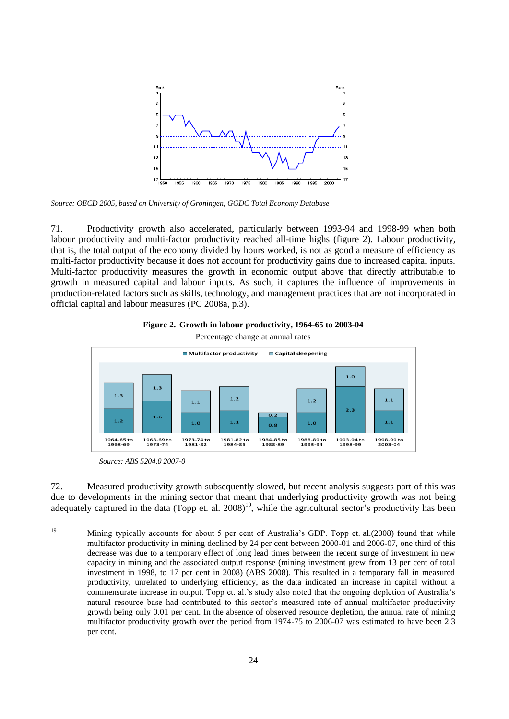

*Source: OECD 2005, based on University of Groningen, GGDC Total Economy Database*

71. Productivity growth also accelerated, particularly between 1993-94 and 1998-99 when both labour productivity and multi-factor productivity reached all-time highs (figure 2). Labour productivity, that is, the total output of the economy divided by hours worked, is not as good a measure of efficiency as multi-factor productivity because it does not account for productivity gains due to increased capital inputs. Multi-factor productivity measures the growth in economic output above that directly attributable to growth in measured capital and labour inputs. As such, it captures the influence of improvements in production-related factors such as skills, technology, and management practices that are not incorporated in official capital and labour measures (PC 2008a, p.3).





*Source: ABS 5204.0 2007-0*

72. Measured productivity growth subsequently slowed, but recent analysis suggests part of this was due to developments in the mining sector that meant that underlying productivity growth was not being adequately captured in the data (Topp et. al. 2008)<sup>19</sup>, while the agricultural sector's productivity has been

 $19$ <sup>19</sup> Mining typically accounts for about 5 per cent of Australia's GDP. Topp et. al.(2008) found that while multifactor productivity in mining declined by 24 per cent between 2000-01 and 2006-07, one third of this decrease was due to a temporary effect of long lead times between the recent surge of investment in new capacity in mining and the associated output response (mining investment grew from 13 per cent of total investment in 1998, to 17 per cent in 2008) (ABS 2008). This resulted in a temporary fall in measured productivity, unrelated to underlying efficiency, as the data indicated an increase in capital without a commensurate increase in output. Topp et. al.'s study also noted that the ongoing depletion of Australia's natural resource base had contributed to this sector's measured rate of annual multifactor productivity growth being only 0.01 per cent. In the absence of observed resource depletion, the annual rate of mining multifactor productivity growth over the period from 1974-75 to 2006-07 was estimated to have been 2.3 per cent.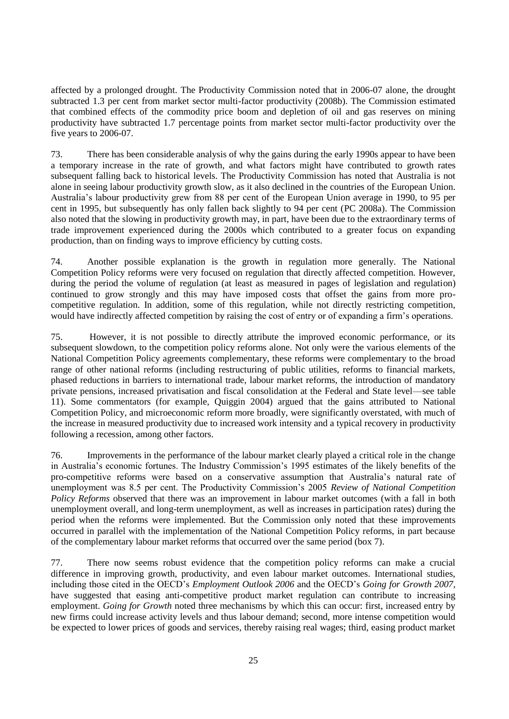affected by a prolonged drought. The Productivity Commission noted that in 2006-07 alone, the drought subtracted 1.3 per cent from market sector multi-factor productivity (2008b). The Commission estimated that combined effects of the commodity price boom and depletion of oil and gas reserves on mining productivity have subtracted 1.7 percentage points from market sector multi-factor productivity over the five years to 2006-07.

73. There has been considerable analysis of why the gains during the early 1990s appear to have been a temporary increase in the rate of growth, and what factors might have contributed to growth rates subsequent falling back to historical levels. The Productivity Commission has noted that Australia is not alone in seeing labour productivity growth slow, as it also declined in the countries of the European Union. Australia's labour productivity grew from 88 per cent of the European Union average in 1990, to 95 per cent in 1995, but subsequently has only fallen back slightly to 94 per cent (PC 2008a). The Commission also noted that the slowing in productivity growth may, in part, have been due to the extraordinary terms of trade improvement experienced during the 2000s which contributed to a greater focus on expanding production, than on finding ways to improve efficiency by cutting costs.

74. Another possible explanation is the growth in regulation more generally. The National Competition Policy reforms were very focused on regulation that directly affected competition. However, during the period the volume of regulation (at least as measured in pages of legislation and regulation) continued to grow strongly and this may have imposed costs that offset the gains from more procompetitive regulation. In addition, some of this regulation, while not directly restricting competition, would have indirectly affected competition by raising the cost of entry or of expanding a firm's operations.

75. However, it is not possible to directly attribute the improved economic performance, or its subsequent slowdown, to the competition policy reforms alone. Not only were the various elements of the National Competition Policy agreements complementary, these reforms were complementary to the broad range of other national reforms (including restructuring of public utilities, reforms to financial markets, phased reductions in barriers to international trade, labour market reforms, the introduction of mandatory private pensions, increased privatisation and fiscal consolidation at the Federal and State level—see table 11). Some commentators (for example, Quiggin 2004) argued that the gains attributed to National Competition Policy, and microeconomic reform more broadly, were significantly overstated, with much of the increase in measured productivity due to increased work intensity and a typical recovery in productivity following a recession, among other factors.

76. Improvements in the performance of the labour market clearly played a critical role in the change in Australia's economic fortunes. The Industry Commission's 1995 estimates of the likely benefits of the pro-competitive reforms were based on a conservative assumption that Australia's natural rate of unemployment was 8.5 per cent. The Productivity Commission's 2005 *Review of National Competition Policy Reforms* observed that there was an improvement in labour market outcomes (with a fall in both unemployment overall, and long-term unemployment, as well as increases in participation rates) during the period when the reforms were implemented. But the Commission only noted that these improvements occurred in parallel with the implementation of the National Competition Policy reforms, in part because of the complementary labour market reforms that occurred over the same period (box 7).

77. There now seems robust evidence that the competition policy reforms can make a crucial difference in improving growth, productivity, and even labour market outcomes. International studies, including those cited in the OECD's *Employment Outlook 2006* and the OECD's *Going for Growth 2007,* have suggested that easing anti-competitive product market regulation can contribute to increasing employment. *Going for Growth* noted three mechanisms by which this can occur: first, increased entry by new firms could increase activity levels and thus labour demand; second, more intense competition would be expected to lower prices of goods and services, thereby raising real wages; third, easing product market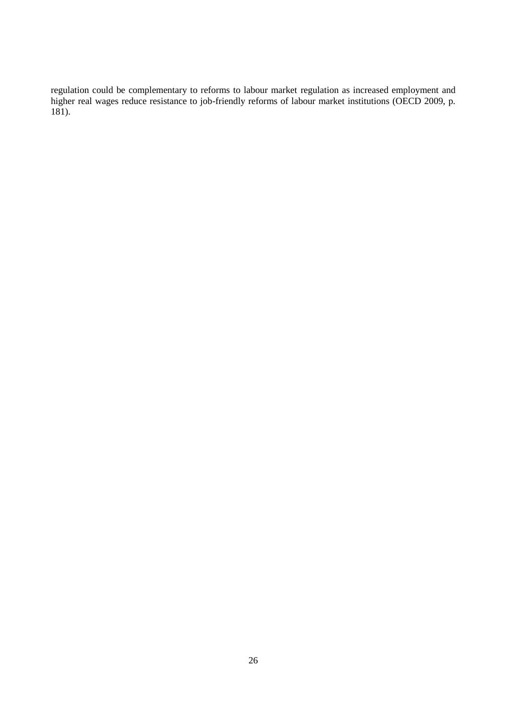regulation could be complementary to reforms to labour market regulation as increased employment and higher real wages reduce resistance to job-friendly reforms of labour market institutions (OECD 2009, p.  $181$ ).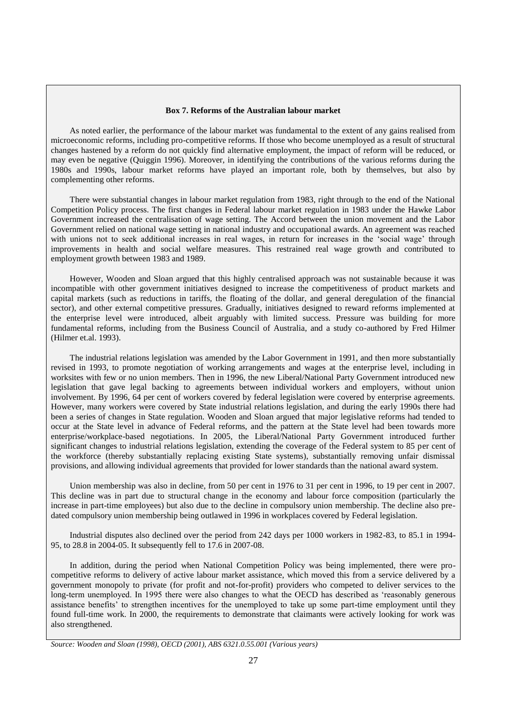#### **Box 7. Reforms of the Australian labour market**

As noted earlier, the performance of the labour market was fundamental to the extent of any gains realised from microeconomic reforms, including pro-competitive reforms. If those who become unemployed as a result of structural changes hastened by a reform do not quickly find alternative employment, the impact of reform will be reduced, or may even be negative (Quiggin 1996). Moreover, in identifying the contributions of the various reforms during the 1980s and 1990s, labour market reforms have played an important role, both by themselves, but also by complementing other reforms.

There were substantial changes in labour market regulation from 1983, right through to the end of the National Competition Policy process. The first changes in Federal labour market regulation in 1983 under the Hawke Labor Government increased the centralisation of wage setting. The Accord between the union movement and the Labor Government relied on national wage setting in national industry and occupational awards. An agreement was reached with unions not to seek additional increases in real wages, in return for increases in the 'social wage' through improvements in health and social welfare measures. This restrained real wage growth and contributed to employment growth between 1983 and 1989.

However, Wooden and Sloan argued that this highly centralised approach was not sustainable because it was incompatible with other government initiatives designed to increase the competitiveness of product markets and capital markets (such as reductions in tariffs, the floating of the dollar, and general deregulation of the financial sector), and other external competitive pressures. Gradually, initiatives designed to reward reforms implemented at the enterprise level were introduced, albeit arguably with limited success. Pressure was building for more fundamental reforms, including from the Business Council of Australia, and a study co-authored by Fred Hilmer (Hilmer et.al. 1993).

The industrial relations legislation was amended by the Labor Government in 1991, and then more substantially revised in 1993, to promote negotiation of working arrangements and wages at the enterprise level, including in worksites with few or no union members. Then in 1996, the new Liberal/National Party Government introduced new legislation that gave legal backing to agreements between individual workers and employers, without union involvement. By 1996, 64 per cent of workers covered by federal legislation were covered by enterprise agreements. However, many workers were covered by State industrial relations legislation, and during the early 1990s there had been a series of changes in State regulation. Wooden and Sloan argued that major legislative reforms had tended to occur at the State level in advance of Federal reforms, and the pattern at the State level had been towards more enterprise/workplace-based negotiations. In 2005, the Liberal/National Party Government introduced further significant changes to industrial relations legislation, extending the coverage of the Federal system to 85 per cent of the workforce (thereby substantially replacing existing State systems), substantially removing unfair dismissal provisions, and allowing individual agreements that provided for lower standards than the national award system.

Union membership was also in decline, from 50 per cent in 1976 to 31 per cent in 1996, to 19 per cent in 2007. This decline was in part due to structural change in the economy and labour force composition (particularly the increase in part-time employees) but also due to the decline in compulsory union membership. The decline also predated compulsory union membership being outlawed in 1996 in workplaces covered by Federal legislation.

Industrial disputes also declined over the period from 242 days per 1000 workers in 1982-83, to 85.1 in 1994- 95, to 28.8 in 2004-05. It subsequently fell to 17.6 in 2007-08.

In addition, during the period when National Competition Policy was being implemented, there were procompetitive reforms to delivery of active labour market assistance, which moved this from a service delivered by a government monopoly to private (for profit and not-for-profit) providers who competed to deliver services to the long-term unemployed. In 1995 there were also changes to what the OECD has described as 'reasonably generous assistance benefits' to strengthen incentives for the unemployed to take up some part-time employment until they found full-time work. In 2000, the requirements to demonstrate that claimants were actively looking for work was also strengthened.

*Source: Wooden and Sloan (1998), OECD (2001), ABS 6321.0.55.001 (Various years)*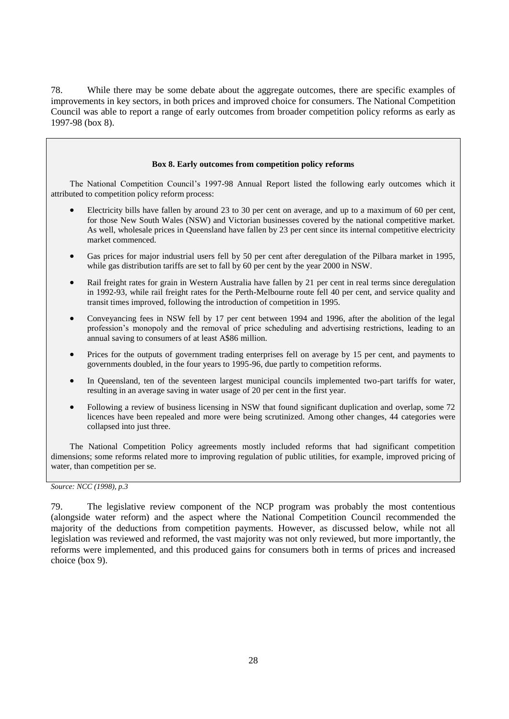78. While there may be some debate about the aggregate outcomes, there are specific examples of improvements in key sectors, in both prices and improved choice for consumers. The National Competition Council was able to report a range of early outcomes from broader competition policy reforms as early as 1997-98 (box 8).

### **Box 8. Early outcomes from competition policy reforms**

The National Competition Council's 1997-98 Annual Report listed the following early outcomes which it attributed to competition policy reform process:

- Electricity bills have fallen by around 23 to 30 per cent on average, and up to a maximum of 60 per cent, for those New South Wales (NSW) and Victorian businesses covered by the national competitive market. As well, wholesale prices in Queensland have fallen by 23 per cent since its internal competitive electricity market commenced.
- Gas prices for major industrial users fell by 50 per cent after deregulation of the Pilbara market in 1995, while gas distribution tariffs are set to fall by 60 per cent by the year 2000 in NSW.
- Rail freight rates for grain in Western Australia have fallen by 21 per cent in real terms since deregulation in 1992-93, while rail freight rates for the Perth-Melbourne route fell 40 per cent, and service quality and transit times improved, following the introduction of competition in 1995.
- Conveyancing fees in NSW fell by 17 per cent between 1994 and 1996, after the abolition of the legal profession's monopoly and the removal of price scheduling and advertising restrictions, leading to an annual saving to consumers of at least A\$86 million.
- Prices for the outputs of government trading enterprises fell on average by 15 per cent, and payments to governments doubled, in the four years to 1995-96, due partly to competition reforms.
- In Queensland, ten of the seventeen largest municipal councils implemented two-part tariffs for water, resulting in an average saving in water usage of 20 per cent in the first year.
- Following a review of business licensing in NSW that found significant duplication and overlap, some 72 licences have been repealed and more were being scrutinized. Among other changes, 44 categories were collapsed into just three.

The National Competition Policy agreements mostly included reforms that had significant competition dimensions; some reforms related more to improving regulation of public utilities, for example, improved pricing of water, than competition per se.

*Source: NCC (1998), p.3*

<sup>79.</sup> The legislative review component of the NCP program was probably the most contentious (alongside water reform) and the aspect where the National Competition Council recommended the majority of the deductions from competition payments. However, as discussed below, while not all legislation was reviewed and reformed, the vast majority was not only reviewed, but more importantly, the reforms were implemented, and this produced gains for consumers both in terms of prices and increased choice (box 9).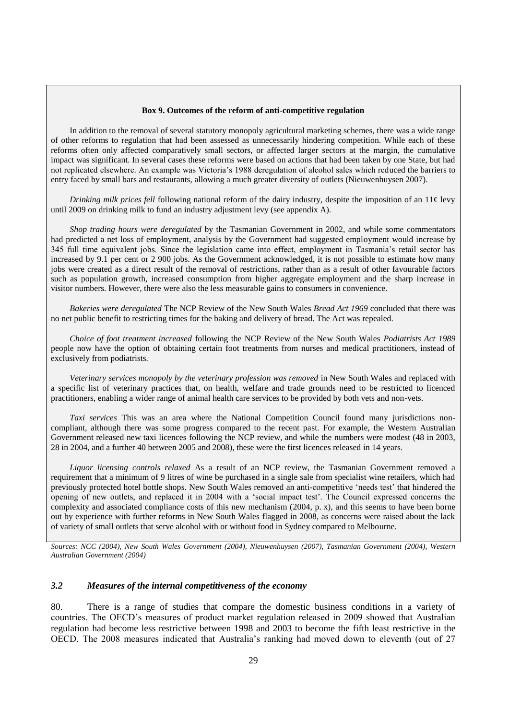#### **Box 9. Outcomes of the reform of anti-competitive regulation**

In addition to the removal of several statutory monopoly agricultural marketing schemes, there was a wide range of other reforms to regulation that had been assessed as unnecessarily hindering competition. While each of these reforms often only affected comparatively small sectors, or affected larger sectors at the margin, the cumulative impact was significant. In several cases these reforms were based on actions that had been taken by one State, but had not replicated elsewhere. An example was Victoria's 1988 deregulation of alcohol sales which reduced the barriers to entry faced by small bars and restaurants, allowing a much greater diversity of outlets (Nieuwenhuysen 2007).

*Drinking milk prices fell* following national reform of the dairy industry, despite the imposition of an 11¢ levy until 2009 on drinking milk to fund an industry adjustment levy (see appendix A).

*Shop trading hours were deregulated* by the Tasmanian Government in 2002, and while some commentators had predicted a net loss of employment, analysis by the Government had suggested employment would increase by 345 full time equivalent jobs. Since the legislation came into effect, employment in Tasmania's retail sector has increased by 9.1 per cent or 2 900 jobs. As the Government acknowledged, it is not possible to estimate how many jobs were created as a direct result of the removal of restrictions, rather than as a result of other favourable factors such as population growth, increased consumption from higher aggregate employment and the sharp increase in visitor numbers. However, there were also the less measurable gains to consumers in convenience.

*Bakeries were deregulated* The NCP Review of the New South Wales *Bread Act 1969* concluded that there was no net public benefit to restricting times for the baking and delivery of bread. The Act was repealed.

*Choice of foot treatment increased* following the NCP Review of the New South Wales *Podiatrists Act 1989* people now have the option of obtaining certain foot treatments from nurses and medical practitioners, instead of exclusively from podiatrists.

Veterinary services monopoly by the veterinary profession was removed in New South Wales and replaced with a specific list of veterinary practices that, on health, welfare and trade grounds need to be restricted to licenced practitioners, enabling a wider range of animal health care services to be provided by both vets and non-vets.

*Taxi services* This was an area where the National Competition Council found many jurisdictions noncompliant, although there was some progress compared to the recent past. For example, the Western Australian Government released new taxi licences following the NCP review, and while the numbers were modest (48 in 2003, 28 in 2004, and a further 40 between 2005 and 2008), these were the first licences released in 14 years.

*Liquor licensing controls relaxed* As a result of an NCP review, the Tasmanian Government removed a requirement that a minimum of 9 litres of wine be purchased in a single sale from specialist wine retailers, which had previously protected hotel bottle shops. New South Wales removed an anti-competitive 'needs test' that hindered the opening of new outlets, and replaced it in 2004 with a 'social impact test'. The Council expressed concerns the complexity and associated compliance costs of this new mechanism (2004, p. x), and this seems to have been borne out by experience with further reforms in New South Wales flagged in 2008, as concerns were raised about the lack of variety of small outlets that serve alcohol with or without food in Sydney compared to Melbourne.

*Sources: NCC (2004), New South Wales Government (2004), Nieuwenhuysen (2007), Tasmanian Government (2004), Western Australian Government (2004)*

### *3.2 Measures of the internal competitiveness of the economy*

80. There is a range of studies that compare the domestic business conditions in a variety of countries. The OECD's measures of product market regulation released in 2009 showed that Australian regulation had become less restrictive between 1998 and 2003 to become the fifth least restrictive in the OECD. The 2008 measures indicated that Australia's ranking had moved down to eleventh (out of 27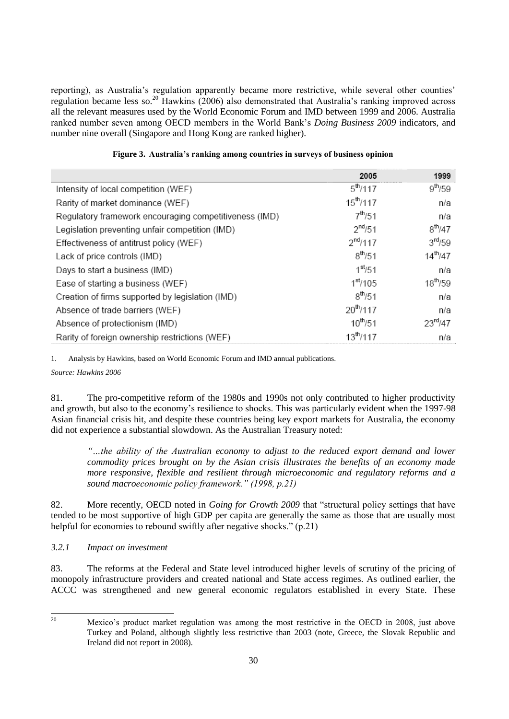reporting), as Australia's regulation apparently became more restrictive, while several other counties' regulation became less so.<sup>20</sup> Hawkins (2006) also demonstrated that Australia's ranking improved across all the relevant measures used by the World Economic Forum and IMD between 1999 and 2006. Australia ranked number seven among OECD members in the World Bank's *Doing Business 2009* indicators, and number nine overall (Singapore and Hong Kong are ranked higher).

|                                                        | 2005                  | 1999                |
|--------------------------------------------------------|-----------------------|---------------------|
| Intensity of local competition (WEF)                   | $5^{\text{th}}$ /117  | $9^{th}/59$         |
| Rarity of market dominance (WEF)                       | $15^{\text{th}}$ /117 | n/a                 |
| Regulatory framework encouraging competitiveness (IMD) | $7^{th}/51$           | n/a                 |
| Legislation preventing unfair competition (IMD)        | $2^{nd}/51$           | $8^{th}/47$         |
| Effectiveness of antitrust policy (WEF)                | $2^{nd}/117$          | 3 <sup>rd</sup> /59 |
| Lack of price controls (IMD)                           | $8^{th}/51$           | $14^{th}/47$        |
| Days to start a business (IMD)                         | 1 <sup>st</sup> /51   | n/a                 |
| Ease of starting a business (WEF)                      | 1 <sup>st</sup> /105  | $18^{th}/59$        |
| Creation of firms supported by legislation (IMD)       | $8^{th}/51$           | n/a                 |
| Absence of trade barriers (WEF)                        | $20^{th}/117$         | n/a                 |
| Absence of protectionism (IMD)                         | $10^{th}/51$          | $23^{\text{rd}}/47$ |
| Rarity of foreign ownership restrictions (WEF)         | $13^{th}/117$         | n/a                 |

### **Figure 3. Australia's ranking among countries in surveys of business opinion**

1. Analysis by Hawkins, based on World Economic Forum and IMD annual publications.

*Source: Hawkins 2006*

81. The pro-competitive reform of the 1980s and 1990s not only contributed to higher productivity and growth, but also to the economy's resilience to shocks. This was particularly evident when the 1997-98 Asian financial crisis hit, and despite these countries being key export markets for Australia, the economy did not experience a substantial slowdown. As the Australian Treasury noted:

*―…the ability of the Australian economy to adjust to the reduced export demand and lower commodity prices brought on by the Asian crisis illustrates the benefits of an economy made more responsive, flexible and resilient through microeconomic and regulatory reforms and a sound macroeconomic policy framework.‖ (1998, p.21)* 

82. More recently, OECD noted in *Going for Growth* 2009 that "structural policy settings that have tended to be most supportive of high GDP per capita are generally the same as those that are usually most helpful for economies to rebound swiftly after negative shocks." (p.21)

*3.2.1 Impact on investment*

83. The reforms at the Federal and State level introduced higher levels of scrutiny of the pricing of monopoly infrastructure providers and created national and State access regimes. As outlined earlier, the ACCC was strengthened and new general economic regulators established in every State. These

 $20<sub>0</sub>$ 

<sup>20</sup> Mexico's product market regulation was among the most restrictive in the OECD in 2008, just above Turkey and Poland, although slightly less restrictive than 2003 (note, Greece, the Slovak Republic and Ireland did not report in 2008).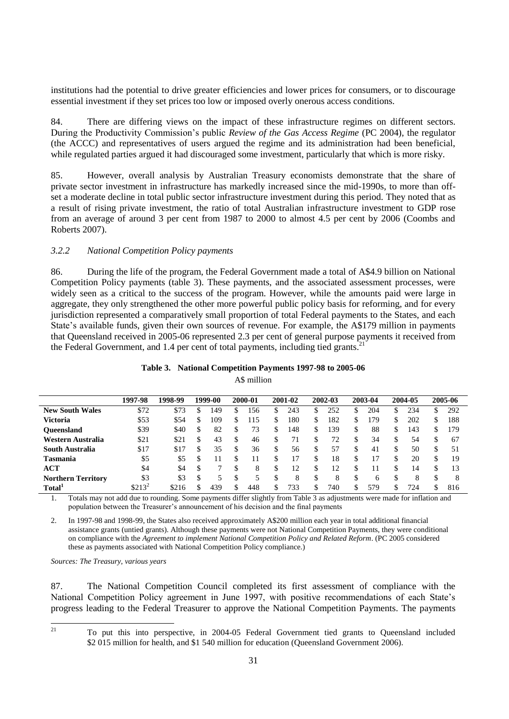institutions had the potential to drive greater efficiencies and lower prices for consumers, or to discourage essential investment if they set prices too low or imposed overly onerous access conditions.

84. There are differing views on the impact of these infrastructure regimes on different sectors. During the Productivity Commission's public *Review of the Gas Access Regime* (PC 2004), the regulator (the ACCC) and representatives of users argued the regime and its administration had been beneficial, while regulated parties argued it had discouraged some investment, particularly that which is more risky.

85. However, overall analysis by Australian Treasury economists demonstrate that the share of private sector investment in infrastructure has markedly increased since the mid-1990s, to more than offset a moderate decline in total public sector infrastructure investment during this period. They noted that as a result of rising private investment, the ratio of total Australian infrastructure investment to GDP rose from an average of around 3 per cent from 1987 to 2000 to almost 4.5 per cent by 2006 (Coombs and Roberts 2007).

### *3.2.2 National Competition Policy payments*

86. During the life of the program, the Federal Government made a total of A\$4.9 billion on National Competition Policy payments (table 3). These payments, and the associated assessment processes, were widely seen as a critical to the success of the program. However, while the amounts paid were large in aggregate, they only strengthened the other more powerful public policy basis for reforming, and for every jurisdiction represented a comparatively small proportion of total Federal payments to the States, and each State's available funds, given their own sources of revenue. For example, the A\$179 million in payments that Queensland received in 2005-06 represented 2.3 per cent of general purpose payments it received from the Federal Government, and 1.4 per cent of total payments, including tied grants.<sup>2</sup>

|  |  |  |  |  | Table 3. National Competition Payments 1997-98 to 2005-06 |
|--|--|--|--|--|-----------------------------------------------------------|
|--|--|--|--|--|-----------------------------------------------------------|

A\$ million

|                           | 1997-98  | 1998-99 |     | 1999-00 |    | 2000-01 |    | 2001-02 |    | 2002-03 |    | 2003-04 |    | 2004-05 |    | 2005-06 |
|---------------------------|----------|---------|-----|---------|----|---------|----|---------|----|---------|----|---------|----|---------|----|---------|
| <b>New South Wales</b>    | \$72     | \$73    | S   | 149     | S  | 156     | ה. | 243     | S  | 252     | \$ | 204     | \$ | 234     | \$ | 292     |
| Victoria                  | \$53     | \$54    | S   | 109     | S  | 115     | \$ | 180     | \$ | 182     | \$ | 179     | \$ | 202     | S  | 188     |
| <b>Oueensland</b>         | \$39     | \$40    | \$  | 82      | \$ | 73      | S  | 148     | S  | 139     | S  | 88      | S  | 143     | \$ | 179     |
| Western Australia         | \$21     | \$21    | \$  | 43      | S  | 46      | S  |         | S  | 72      | S  | 34      | S  | 54      |    | 67      |
| South Australia           | \$17     | \$17    | \$  | 35      | \$ | 36      | S  | 56      | \$ | 57      | \$ | 41      | \$ | 50      |    | 51      |
| Tasmania                  | \$5      | \$5     | S   |         | S  |         | \$ |         | \$ | 18      | \$ |         | S  | 20      |    | 19      |
| ACT                       | \$4      | \$4     | S   |         | S  | 8       | \$ |         | S  | 12      | \$ |         | S  | 14      |    | 13      |
| <b>Northern Territory</b> | \$3      | \$3     | \$. |         | \$ |         |    | 8       | S  | 8       |    |         |    | 8       |    | 8       |
| Total <sup>1</sup>        | $$213^2$ | \$216   |     | 439     | \$ | 448     | \$ | 733     | S  | 740     | \$ | 579     | \$ | 724     |    | 816     |

<span id="page-30-0"></span>1. Totals may not add due to rounding. Some payments differ slightly from Table 3 as adjustments were made for inflation and population between the Treasurer's announcement of his decision and the final payments

<span id="page-30-1"></span>2. In 1997-98 and 1998-99, the States also received approximately A\$200 million each year in total additional financial assistance grants (untied grants). Although these payments were not National Competition Payments, they were conditional on compliance with the *Agreement to implement National Competition Policy and Related Reform*. (PC 2005 considered these as payments associated with National Competition Policy compliance.)

*Sources: The Treasury, various years*

87. The National Competition Council completed its first assessment of compliance with the National Competition Policy agreement in June 1997, with positive recommendations of each State's progress leading to the Federal Treasurer to approve the National Competition Payments. The payments

 $21$ 

<sup>21</sup> To put this into perspective, in 2004-05 Federal Government tied grants to Queensland included \$2 015 million for health, and \$1 540 million for education (Queensland Government 2006).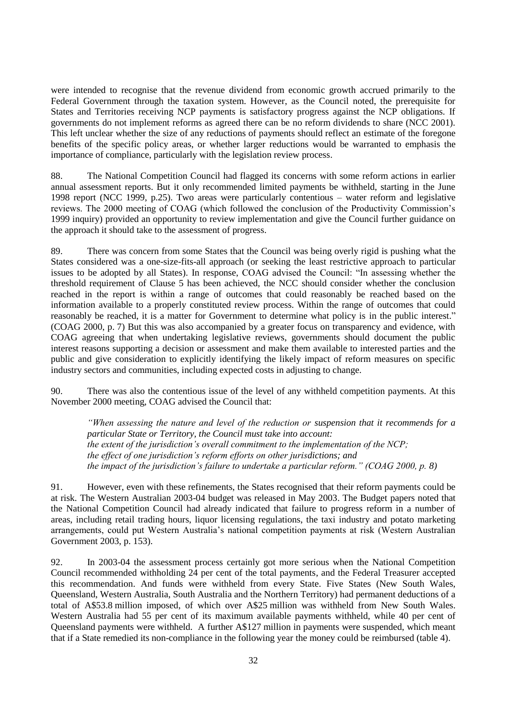were intended to recognise that the revenue dividend from economic growth accrued primarily to the Federal Government through the taxation system. However, as the Council noted, the prerequisite for States and Territories receiving NCP payments is satisfactory progress against the NCP obligations. If governments do not implement reforms as agreed there can be no reform dividends to share (NCC 2001). This left unclear whether the size of any reductions of payments should reflect an estimate of the foregone benefits of the specific policy areas, or whether larger reductions would be warranted to emphasis the importance of compliance, particularly with the legislation review process.

88. The National Competition Council had flagged its concerns with some reform actions in earlier annual assessment reports. But it only recommended limited payments be withheld, starting in the June 1998 report (NCC 1999, p.25). Two areas were particularly contentious – water reform and legislative reviews. The 2000 meeting of COAG (which followed the conclusion of the Productivity Commission's 1999 inquiry) provided an opportunity to review implementation and give the Council further guidance on the approach it should take to the assessment of progress.

89. There was concern from some States that the Council was being overly rigid is pushing what the States considered was a one-size-fits-all approach (or seeking the least restrictive approach to particular issues to be adopted by all States). In response, COAG advised the Council: "In assessing whether the threshold requirement of Clause 5 has been achieved, the NCC should consider whether the conclusion reached in the report is within a range of outcomes that could reasonably be reached based on the information available to a properly constituted review process. Within the range of outcomes that could reasonably be reached, it is a matter for Government to determine what policy is in the public interest." (COAG 2000, p. 7) But this was also accompanied by a greater focus on transparency and evidence, with COAG agreeing that when undertaking legislative reviews, governments should document the public interest reasons supporting a decision or assessment and make them available to interested parties and the public and give consideration to explicitly identifying the likely impact of reform measures on specific industry sectors and communities, including expected costs in adjusting to change.

90. There was also the contentious issue of the level of any withheld competition payments. At this November 2000 meeting, COAG advised the Council that:

*―When assessing the nature and level of the reduction or suspension that it recommends for a particular State or Territory, the Council must take into account: the extent of the jurisdiction's overall commitment to the implementation of the NCP; the effect of one jurisdiction's reform efforts on other jurisdictions; and the impact of the jurisdiction's failure to undertake a particular reform.‖ (COAG 2000, p. 8)*

91. However, even with these refinements, the States recognised that their reform payments could be at risk. The Western Australian 2003-04 budget was released in May 2003. The Budget papers noted that the National Competition Council had already indicated that failure to progress reform in a number of areas, including retail trading hours, liquor licensing regulations, the taxi industry and potato marketing arrangements, could put Western Australia's national competition payments at risk (Western Australian Government 2003, p. 153).

92. In 2003-04 the assessment process certainly got more serious when the National Competition Council recommended withholding 24 per cent of the total payments, and the Federal Treasurer accepted this recommendation. And funds were withheld from every State. Five States (New South Wales, Queensland, Western Australia, South Australia and the Northern Territory) had permanent deductions of a total of A\$53.8 million imposed, of which over A\$25 million was withheld from New South Wales. Western Australia had 55 per cent of its maximum available payments withheld, while 40 per cent of Queensland payments were withheld. A further A\$127 million in payments were suspended, which meant that if a State remedied its non-compliance in the following year the money could be reimbursed (table 4).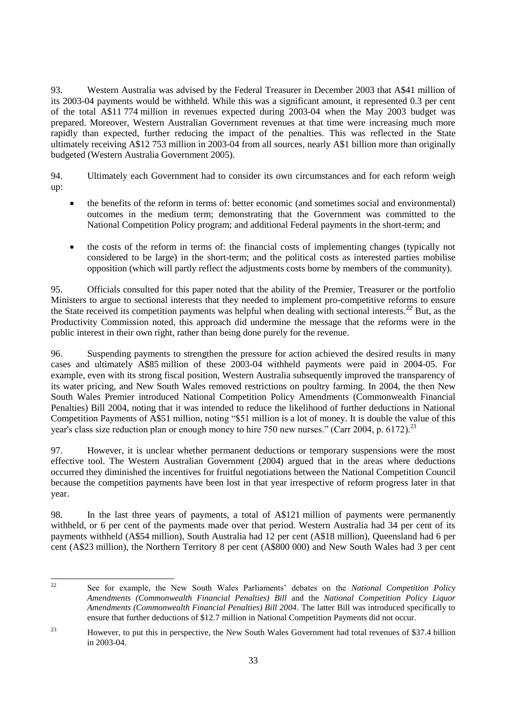93. Western Australia was advised by the Federal Treasurer in December 2003 that A\$41 million of its 2003-04 payments would be withheld. While this was a significant amount, it represented 0.3 per cent of the total A\$11 774 million in revenues expected during 2003-04 when the May 2003 budget was prepared. Moreover, Western Australian Government revenues at that time were increasing much more rapidly than expected, further reducing the impact of the penalties. This was reflected in the State ultimately receiving A\$12 753 million in 2003-04 from all sources, nearly A\$1 billion more than originally budgeted (Western Australia Government 2005).

94. Ultimately each Government had to consider its own circumstances and for each reform weigh up:

- the benefits of the reform in terms of: better economic (and sometimes social and environmental) outcomes in the medium term; demonstrating that the Government was committed to the National Competition Policy program; and additional Federal payments in the short-term; and
- the costs of the reform in terms of: the financial costs of implementing changes (typically not considered to be large) in the short-term; and the political costs as interested parties mobilise opposition (which will partly reflect the adjustments costs borne by members of the community).

95. Officials consulted for this paper noted that the ability of the Premier, Treasurer or the portfolio Ministers to argue to sectional interests that they needed to implement pro-competitive reforms to ensure the State received its competition payments was helpful when dealing with sectional interests.*<sup>22</sup>* But, as the Productivity Commission noted, this approach did undermine the message that the reforms were in the public interest in their own right, rather than being done purely for the revenue.

96. Suspending payments to strengthen the pressure for action achieved the desired results in many cases and ultimately A\$85 million of these 2003-04 withheld payments were paid in 2004-05. For example, even with its strong fiscal position, Western Australia subsequently improved the transparency of its water pricing, and New South Wales removed restrictions on poultry farming. In 2004, the then New South Wales Premier introduced National Competition Policy Amendments (Commonwealth Financial Penalties) Bill 2004, noting that it was intended to reduce the likelihood of further deductions in National Competition Payments of A\$51 million, noting "\$51 million is a lot of money. It is double the value of this year's class size reduction plan or enough money to hire 750 new nurses." (Carr 2004, p. 6172).<sup>23</sup>

97. However, it is unclear whether permanent deductions or temporary suspensions were the most effective tool. The Western Australian Government (2004) argued that in the areas where deductions occurred they diminished the incentives for fruitful negotiations between the National Competition Council because the competition payments have been lost in that year irrespective of reform progress later in that year.

98. In the last three years of payments, a total of A\$121 million of payments were permanently withheld, or 6 per cent of the payments made over that period. Western Australia had 34 per cent of its payments withheld (A\$54 million), South Australia had 12 per cent (A\$18 million), Queensland had 6 per cent (A\$23 million), the Northern Territory 8 per cent (A\$800 000) and New South Wales had 3 per cent

 $22$ <sup>22</sup> See for example, the New South Wales Parliaments' debates on the *National Competition Policy Amendments (Commonwealth Financial Penalties) Bill* and the *National Competition Policy Liquor Amendments (Commonwealth Financial Penalties) Bill 2004.* The latter Bill was introduced specifically to ensure that further deductions of \$12.7 million in National Competition Payments did not occur.

<sup>&</sup>lt;sup>23</sup> However, to put this in perspective, the New South Wales Government had total revenues of \$37.4 billion in 2003-04.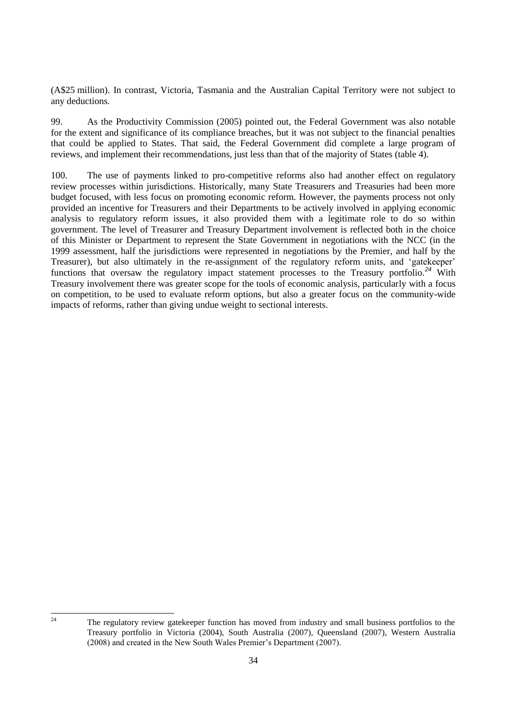(A\$25 million). In contrast, Victoria, Tasmania and the Australian Capital Territory were not subject to any deductions.

99. As the Productivity Commission (2005) pointed out, the Federal Government was also notable for the extent and significance of its compliance breaches, but it was not subject to the financial penalties that could be applied to States. That said, the Federal Government did complete a large program of reviews, and implement their recommendations, just less than that of the majority of States (table 4).

100. The use of payments linked to pro-competitive reforms also had another effect on regulatory review processes within jurisdictions. Historically, many State Treasurers and Treasuries had been more budget focused, with less focus on promoting economic reform. However, the payments process not only provided an incentive for Treasurers and their Departments to be actively involved in applying economic analysis to regulatory reform issues, it also provided them with a legitimate role to do so within government. The level of Treasurer and Treasury Department involvement is reflected both in the choice of this Minister or Department to represent the State Government in negotiations with the NCC (in the 1999 assessment, half the jurisdictions were represented in negotiations by the Premier, and half by the Treasurer), but also ultimately in the re-assignment of the regulatory reform units, and 'gatekeeper' functions that oversaw the regulatory impact statement processes to the Treasury portfolio.*<sup>24</sup>* With Treasury involvement there was greater scope for the tools of economic analysis, particularly with a focus on competition, to be used to evaluate reform options, but also a greater focus on the community-wide impacts of reforms, rather than giving undue weight to sectional interests.

 $\overline{24}$ 

<sup>24</sup> The regulatory review gatekeeper function has moved from industry and small business portfolios to the Treasury portfolio in Victoria (2004), South Australia (2007), Queensland (2007), Western Australia (2008) and created in the New South Wales Premier's Department (2007).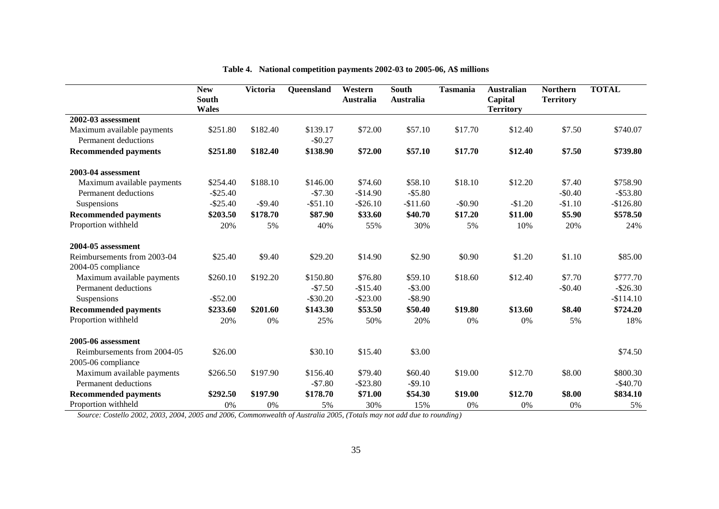|                             | <b>New</b><br>South<br><b>Wales</b> | <b>Victoria</b> | Queensland  | Western<br><b>Australia</b> | South<br><b>Australia</b> | <b>Tasmania</b> | <b>Australian</b><br>Capital<br><b>Territory</b> | <b>Northern</b><br><b>Territory</b> | <b>TOTAL</b> |
|-----------------------------|-------------------------------------|-----------------|-------------|-----------------------------|---------------------------|-----------------|--------------------------------------------------|-------------------------------------|--------------|
| 2002-03 assessment          |                                     |                 |             |                             |                           |                 |                                                  |                                     |              |
| Maximum available payments  | \$251.80                            | \$182.40        | \$139.17    | \$72.00                     | \$57.10                   | \$17.70         | \$12.40                                          | \$7.50                              | \$740.07     |
| Permanent deductions        |                                     |                 | $-$0.27$    |                             |                           |                 |                                                  |                                     |              |
| <b>Recommended payments</b> | \$251.80                            | \$182.40        | \$138.90    | \$72.00                     | \$57.10                   | \$17.70         | \$12.40                                          | \$7.50                              | \$739.80     |
| 2003-04 assessment          |                                     |                 |             |                             |                           |                 |                                                  |                                     |              |
| Maximum available payments  | \$254.40                            | \$188.10        | \$146.00    | \$74.60                     | \$58.10                   | \$18.10         | \$12.20                                          | \$7.40                              | \$758.90     |
| Permanent deductions        | $-$25.40$                           |                 | $-$7.30$    | $-$14.90$                   | $-$5.80$                  |                 |                                                  | $-$0.40$                            | $-$ \$53.80  |
| Suspensions                 | $-$25.40$                           | $-$ \$9.40      | $-$ \$51.10 | $-$26.10$                   | $-$11.60$                 | $-$0.90$        | $-$1.20$                                         | $-$1.10$                            | $-$126.80$   |
| <b>Recommended payments</b> | \$203.50                            | \$178.70        | \$87.90     | \$33.60                     | \$40.70                   | \$17.20         | \$11.00                                          | \$5.90                              | \$578.50     |
| Proportion withheld         | 20%                                 | 5%              | 40%         | 55%                         | 30%                       | 5%              | 10%                                              | 20%                                 | 24%          |
| 2004-05 assessment          |                                     |                 |             |                             |                           |                 |                                                  |                                     |              |
| Reimbursements from 2003-04 | \$25.40                             | \$9.40          | \$29.20     | \$14.90                     | \$2.90                    | \$0.90          | \$1.20                                           | \$1.10                              | \$85.00      |
| 2004-05 compliance          |                                     |                 |             |                             |                           |                 |                                                  |                                     |              |
| Maximum available payments  | \$260.10                            | \$192.20        | \$150.80    | \$76.80                     | \$59.10                   | \$18.60         | \$12.40                                          | \$7.70                              | \$777.70     |
| Permanent deductions        |                                     |                 | $-$7.50$    | $-$15.40$                   | $-$ \$3.00                |                 |                                                  | $-$0.40$                            | $-$26.30$    |
| Suspensions                 | $-$ \$52.00                         |                 | $-$ \$30.20 | $-$ \$23.00                 | $-$ \$8.90                |                 |                                                  |                                     | $-$114.10$   |
| <b>Recommended payments</b> | \$233.60                            | \$201.60        | \$143.30    | \$53.50                     | \$50.40                   | \$19.80         | \$13.60                                          | \$8.40                              | \$724.20     |
| Proportion withheld         | 20%                                 | 0%              | 25%         | 50%                         | 20%                       | 0%              | 0%                                               | 5%                                  | 18%          |
| 2005-06 assessment          |                                     |                 |             |                             |                           |                 |                                                  |                                     |              |
| Reimbursements from 2004-05 | \$26.00                             |                 | \$30.10     | \$15.40                     | \$3.00                    |                 |                                                  |                                     | \$74.50      |
| 2005-06 compliance          |                                     |                 |             |                             |                           |                 |                                                  |                                     |              |
| Maximum available payments  | \$266.50                            | \$197.90        | \$156.40    | \$79.40                     | \$60.40                   | \$19.00         | \$12.70                                          | \$8.00                              | \$800.30     |
| Permanent deductions        |                                     |                 | $-$7.80$    | $-$ \$23.80                 | $-$9.10$                  |                 |                                                  |                                     | $-$40.70$    |
| <b>Recommended payments</b> | \$292.50                            | \$197.90        | \$178.70    | \$71.00                     | \$54.30                   | \$19.00         | \$12.70                                          | \$8.00                              | \$834.10     |
| Proportion withheld         | 0%                                  | 0%              | 5%          | 30%                         | 15%                       | 0%              | 0%                                               | 0%                                  | 5%           |

### **Table 4. National competition payments 2002-03 to 2005-06, A\$ millions**

*Source: Costello 2002, 2003, 2004, 2005 and 2006, Commonwealth of Australia 2005, (Totals may not add due to rounding)*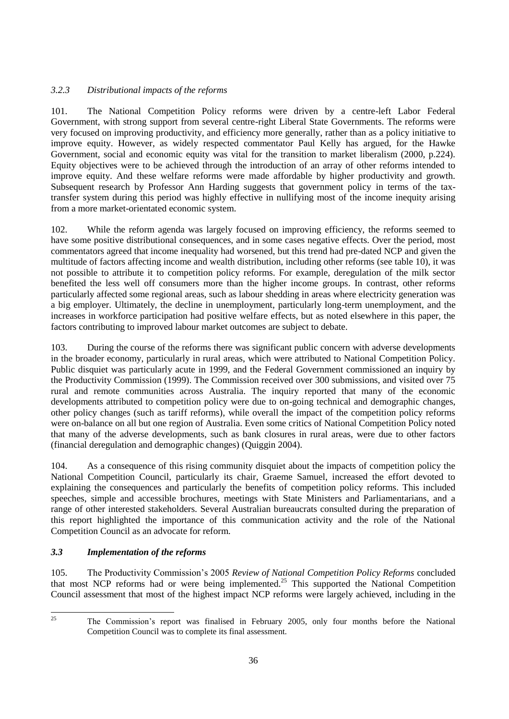## *3.2.3 Distributional impacts of the reforms*

101. The National Competition Policy reforms were driven by a centre-left Labor Federal Government, with strong support from several centre-right Liberal State Governments. The reforms were very focused on improving productivity, and efficiency more generally, rather than as a policy initiative to improve equity. However, as widely respected commentator Paul Kelly has argued, for the Hawke Government, social and economic equity was vital for the transition to market liberalism (2000, p.224). Equity objectives were to be achieved through the introduction of an array of other reforms intended to improve equity. And these welfare reforms were made affordable by higher productivity and growth. Subsequent research by Professor Ann Harding suggests that government policy in terms of the taxtransfer system during this period was highly effective in nullifying most of the income inequity arising from a more market-orientated economic system.

102. While the reform agenda was largely focused on improving efficiency, the reforms seemed to have some positive distributional consequences, and in some cases negative effects. Over the period, most commentators agreed that income inequality had worsened, but this trend had pre-dated NCP and given the multitude of factors affecting income and wealth distribution, including other reforms (see table 10), it was not possible to attribute it to competition policy reforms. For example, deregulation of the milk sector benefited the less well off consumers more than the higher income groups. In contrast, other reforms particularly affected some regional areas, such as labour shedding in areas where electricity generation was a big employer. Ultimately, the decline in unemployment, particularly long-term unemployment, and the increases in workforce participation had positive welfare effects, but as noted elsewhere in this paper, the factors contributing to improved labour market outcomes are subject to debate.

103. During the course of the reforms there was significant public concern with adverse developments in the broader economy, particularly in rural areas, which were attributed to National Competition Policy. Public disquiet was particularly acute in 1999, and the Federal Government commissioned an inquiry by the Productivity Commission (1999). The Commission received over 300 submissions, and visited over 75 rural and remote communities across Australia. The inquiry reported that many of the economic developments attributed to competition policy were due to on-going technical and demographic changes, other policy changes (such as tariff reforms), while overall the impact of the competition policy reforms were on-balance on all but one region of Australia. Even some critics of National Competition Policy noted that many of the adverse developments, such as bank closures in rural areas, were due to other factors (financial deregulation and demographic changes) (Quiggin 2004).

104. As a consequence of this rising community disquiet about the impacts of competition policy the National Competition Council, particularly its chair, Graeme Samuel, increased the effort devoted to explaining the consequences and particularly the benefits of competition policy reforms. This included speeches, simple and accessible brochures, meetings with State Ministers and Parliamentarians, and a range of other interested stakeholders. Several Australian bureaucrats consulted during the preparation of this report highlighted the importance of this communication activity and the role of the National Competition Council as an advocate for reform.

# *3.3 Implementation of the reforms*

105. The Productivity Commission's 2005 *Review of National Competition Policy Reforms* concluded that most NCP reforms had or were being implemented.<sup>25</sup> This supported the National Competition Council assessment that most of the highest impact NCP reforms were largely achieved, including in the

 $25\overline{)}$ 

<sup>25</sup> The Commission's report was finalised in February 2005, only four months before the National Competition Council was to complete its final assessment.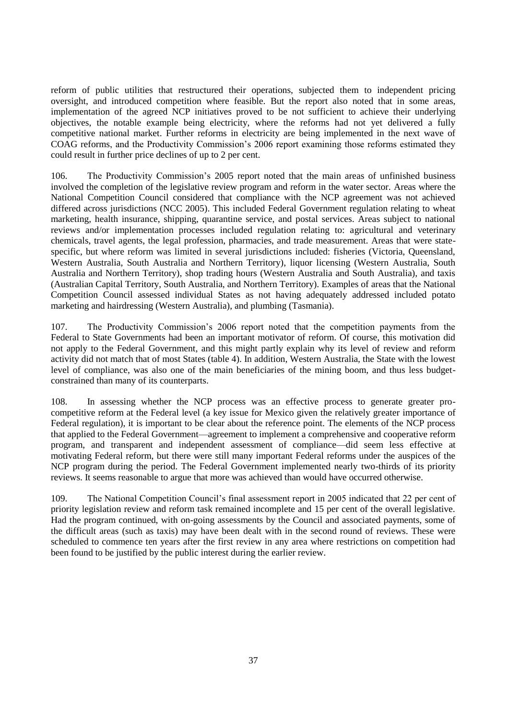reform of public utilities that restructured their operations, subjected them to independent pricing oversight, and introduced competition where feasible. But the report also noted that in some areas, implementation of the agreed NCP initiatives proved to be not sufficient to achieve their underlying objectives, the notable example being electricity, where the reforms had not yet delivered a fully competitive national market. Further reforms in electricity are being implemented in the next wave of COAG reforms, and the Productivity Commission's 2006 report examining those reforms estimated they could result in further price declines of up to 2 per cent.

106. The Productivity Commission's 2005 report noted that the main areas of unfinished business involved the completion of the legislative review program and reform in the water sector. Areas where the National Competition Council considered that compliance with the NCP agreement was not achieved differed across jurisdictions (NCC 2005). This included Federal Government regulation relating to wheat marketing, health insurance, shipping, quarantine service, and postal services. Areas subject to national reviews and/or implementation processes included regulation relating to: agricultural and veterinary chemicals, travel agents, the legal profession, pharmacies, and trade measurement. Areas that were statespecific, but where reform was limited in several jurisdictions included: fisheries (Victoria, Queensland, Western Australia, South Australia and Northern Territory), liquor licensing (Western Australia, South Australia and Northern Territory), shop trading hours (Western Australia and South Australia), and taxis (Australian Capital Territory, South Australia, and Northern Territory). Examples of areas that the National Competition Council assessed individual States as not having adequately addressed included potato marketing and hairdressing (Western Australia), and plumbing (Tasmania).

107. The Productivity Commission's 2006 report noted that the competition payments from the Federal to State Governments had been an important motivator of reform. Of course, this motivation did not apply to the Federal Government, and this might partly explain why its level of review and reform activity did not match that of most States (table 4). In addition, Western Australia, the State with the lowest level of compliance, was also one of the main beneficiaries of the mining boom, and thus less budgetconstrained than many of its counterparts.

108. In assessing whether the NCP process was an effective process to generate greater procompetitive reform at the Federal level (a key issue for Mexico given the relatively greater importance of Federal regulation), it is important to be clear about the reference point. The elements of the NCP process that applied to the Federal Government—agreement to implement a comprehensive and cooperative reform program, and transparent and independent assessment of compliance—did seem less effective at motivating Federal reform, but there were still many important Federal reforms under the auspices of the NCP program during the period. The Federal Government implemented nearly two-thirds of its priority reviews. It seems reasonable to argue that more was achieved than would have occurred otherwise.

109. The National Competition Council's final assessment report in 2005 indicated that 22 per cent of priority legislation review and reform task remained incomplete and 15 per cent of the overall legislative. Had the program continued, with on-going assessments by the Council and associated payments, some of the difficult areas (such as taxis) may have been dealt with in the second round of reviews. These were scheduled to commence ten years after the first review in any area where restrictions on competition had been found to be justified by the public interest during the earlier review.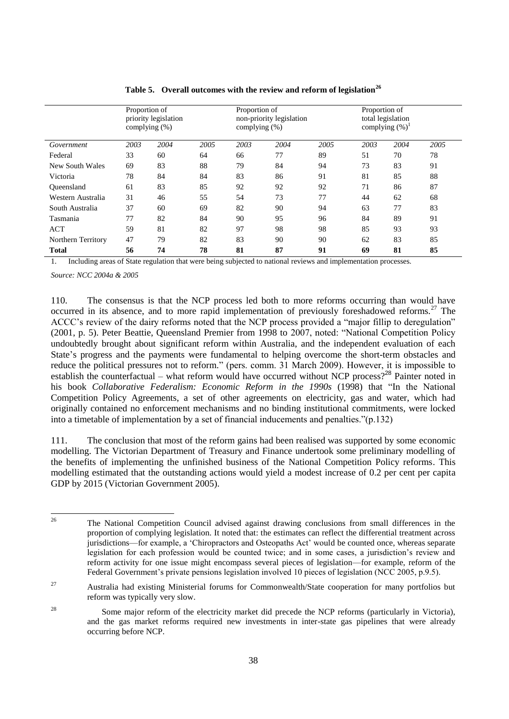|                    | Proportion of<br>priority legislation<br>complying (%) |      |      | Proportion of<br>complying (%) | non-priority legislation |      |      | Proportion of<br>total legislation<br>complying $(\%)^1$ |      |  |
|--------------------|--------------------------------------------------------|------|------|--------------------------------|--------------------------|------|------|----------------------------------------------------------|------|--|
| Government         | 2003                                                   | 2004 | 2005 | 2003                           | 2004                     | 2005 | 2003 | 2004                                                     | 2005 |  |
| Federal            | 33                                                     | 60   | 64   | 66                             | 77                       | 89   | 51   | 70                                                       | 78   |  |
| New South Wales    | 69                                                     | 83   | 88   | 79                             | 84                       | 94   | 73   | 83                                                       | 91   |  |
| Victoria           | 78                                                     | 84   | 84   | 83                             | 86                       | 91   | 81   | 85                                                       | 88   |  |
| <b>Oueensland</b>  | 61                                                     | 83   | 85   | 92                             | 92                       | 92   | 71   | 86                                                       | 87   |  |
| Western Australia  | 31                                                     | 46   | 55   | 54                             | 73                       | 77   | 44   | 62                                                       | 68   |  |
| South Australia    | 37                                                     | 60   | 69   | 82                             | 90                       | 94   | 63   | 77                                                       | 83   |  |
| Tasmania           | 77                                                     | 82   | 84   | 90                             | 95                       | 96   | 84   | 89                                                       | 91   |  |
| <b>ACT</b>         | 59                                                     | 81   | 82   | 97                             | 98                       | 98   | 85   | 93                                                       | 93   |  |
| Northern Territory | 47                                                     | 79   | 82   | 83                             | 90                       | 90   | 62   | 83                                                       | 85   |  |
| <b>Total</b>       | 56                                                     | 74   | 78   | 81                             | 87                       | 91   | 69   | 81                                                       | 85   |  |

| Table 5. Overall outcomes with the review and reform of legislation <sup>26</sup> |  |  |
|-----------------------------------------------------------------------------------|--|--|
|                                                                                   |  |  |

<span id="page-37-0"></span>1. Including areas of State regulation that were being subjected to national reviews and implementation processes.

*Source: NCC 2004a & 2005*

110. The consensus is that the NCP process led both to more reforms occurring than would have occurred in its absence, and to more rapid implementation of previously foreshadowed reforms.<sup>27</sup> The ACCC's review of the dairy reforms noted that the NCP process provided a "major fillip to deregulation" (2001, p. 5). Peter Beattie, Queensland Premier from 1998 to 2007, noted: "National Competition Policy" undoubtedly brought about significant reform within Australia, and the independent evaluation of each State's progress and the payments were fundamental to helping overcome the short-term obstacles and reduce the political pressures not to reform." (pers. comm. 31 March 2009). However, it is impossible to establish the counterfactual – what reform would have occurred without NCP process?<sup>28</sup> Painter noted in his book *Collaborative Federalism: Economic Reform in the 1990s* (1998) that "In the National Competition Policy Agreements, a set of other agreements on electricity, gas and water, which had originally contained no enforcement mechanisms and no binding institutional commitments, were locked into a timetable of implementation by a set of financial inducements and penalties." $(p.132)$ 

111. The conclusion that most of the reform gains had been realised was supported by some economic modelling. The Victorian Department of Treasury and Finance undertook some preliminary modelling of the benefits of implementing the unfinished business of the National Competition Policy reforms. This modelling estimated that the outstanding actions would yield a modest increase of 0.2 per cent per capita GDP by 2015 (Victorian Government 2005).

 $26$ <sup>26</sup> The National Competition Council advised against drawing conclusions from small differences in the proportion of complying legislation. It noted that: the estimates can reflect the differential treatment across jurisdictions—for example, a 'Chiropractors and Osteopaths Act' would be counted once, whereas separate legislation for each profession would be counted twice; and in some cases, a jurisdiction's review and reform activity for one issue might encompass several pieces of legislation—for example, reform of the Federal Government's private pensions legislation involved 10 pieces of legislation (NCC 2005, p.9.5).

<sup>27</sup> Australia had existing Ministerial forums for Commonwealth/State cooperation for many portfolios but reform was typically very slow.

<sup>&</sup>lt;sup>28</sup> Some major reform of the electricity market did precede the NCP reforms (particularly in Victoria), and the gas market reforms required new investments in inter-state gas pipelines that were already occurring before NCP.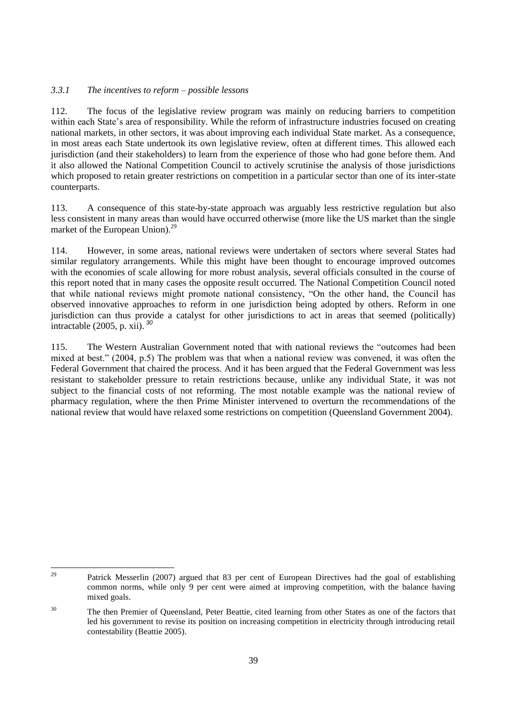### *3.3.1 The incentives to reform – possible lessons*

112. The focus of the legislative review program was mainly on reducing barriers to competition within each State's area of responsibility. While the reform of infrastructure industries focused on creating national markets, in other sectors, it was about improving each individual State market. As a consequence, in most areas each State undertook its own legislative review, often at different times. This allowed each jurisdiction (and their stakeholders) to learn from the experience of those who had gone before them. And it also allowed the National Competition Council to actively scrutinise the analysis of those jurisdictions which proposed to retain greater restrictions on competition in a particular sector than one of its inter-state counterparts.

113. A consequence of this state-by-state approach was arguably less restrictive regulation but also less consistent in many areas than would have occurred otherwise (more like the US market than the single market of the European Union).<sup>29</sup>

114. However, in some areas, national reviews were undertaken of sectors where several States had similar regulatory arrangements. While this might have been thought to encourage improved outcomes with the economies of scale allowing for more robust analysis, several officials consulted in the course of this report noted that in many cases the opposite result occurred. The National Competition Council noted that while national reviews might promote national consistency, "On the other hand, the Council has observed innovative approaches to reform in one jurisdiction being adopted by others. Reform in one jurisdiction can thus provide a catalyst for other jurisdictions to act in areas that seemed (politically) intractable (2005, p. xii). *<sup>30</sup>*

115. The Western Australian Government noted that with national reviews the "outcomes had been mixed at best." (2004, p.5) The problem was that when a national review was convened, it was often the Federal Government that chaired the process. And it has been argued that the Federal Government was less resistant to stakeholder pressure to retain restrictions because, unlike any individual State, it was not subject to the financial costs of not reforming. The most notable example was the national review of pharmacy regulation, where the then Prime Minister intervened to overturn the recommendations of the national review that would have relaxed some restrictions on competition (Queensland Government 2004).

 $29$ <sup>29</sup> Patrick Messerlin (2007) argued that 83 per cent of European Directives had the goal of establishing common norms, while only 9 per cent were aimed at improving competition, with the balance having mixed goals.

<sup>&</sup>lt;sup>30</sup> The then Premier of Queensland, Peter Beattie, cited learning from other States as one of the factors that led his government to revise its position on increasing competition in electricity through introducing retail contestability (Beattie 2005).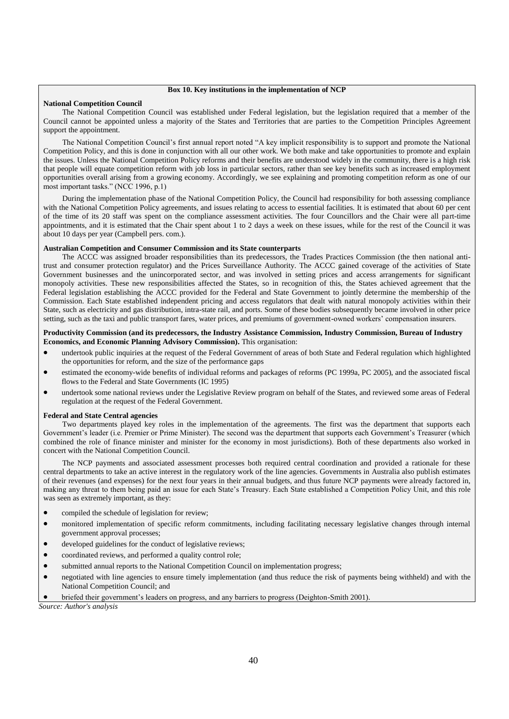#### **Box 10. Key institutions in the implementation of NCP**

#### **National Competition Council**

The National Competition Council was established under Federal legislation, but the legislation required that a member of the Council cannot be appointed unless a majority of the States and Territories that are parties to the Competition Principles Agreement support the appointment.

The National Competition Council's first annual report noted "A key implicit responsibility is to support and promote the National Competition Policy, and this is done in conjunction with all our other work. We both make and take opportunities to promote and explain the issues. Unless the National Competition Policy reforms and their benefits are understood widely in the community, there is a high risk that people will equate competition reform with job loss in particular sectors, rather than see key benefits such as increased employment opportunities overall arising from a growing economy. Accordingly, we see explaining and promoting competition reform as one of our most important tasks." (NCC 1996, p.1)

During the implementation phase of the National Competition Policy, the Council had responsibility for both assessing compliance with the National Competition Policy agreements, and issues relating to access to essential facilities. It is estimated that about 60 per cent of the time of its 20 staff was spent on the compliance assessment activities. The four Councillors and the Chair were all part-time appointments, and it is estimated that the Chair spent about 1 to 2 days a week on these issues, while for the rest of the Council it was about 10 days per year (Campbell pers. com.).

#### **Australian Competition and Consumer Commission and its State counterparts**

The ACCC was assigned broader responsibilities than its predecessors, the Trades Practices Commission (the then national antitrust and consumer protection regulator) and the Prices Surveillance Authority. The ACCC gained coverage of the activities of State Government businesses and the unincorporated sector, and was involved in setting prices and access arrangements for significant monopoly activities. These new responsibilities affected the States, so in recognition of this, the States achieved agreement that the Federal legislation establishing the ACCC provided for the Federal and State Government to jointly determine the membership of the Commission. Each State established independent pricing and access regulators that dealt with natural monopoly activities within their State, such as electricity and gas distribution, intra-state rail, and ports. Some of these bodies subsequently became involved in other price setting, such as the taxi and public transport fares, water prices, and premiums of government-owned workers' compensation insurers.

#### **Productivity Commission (and its predecessors, the Industry Assistance Commission, Industry Commission, Bureau of Industry Economics, and Economic Planning Advisory Commission).** This organisation:

- undertook public inquiries at the request of the Federal Government of areas of both State and Federal regulation which highlighted the opportunities for reform, and the size of the performance gaps
- estimated the economy-wide benefits of individual reforms and packages of reforms (PC 1999a, PC 2005), and the associated fiscal flows to the Federal and State Governments (IC 1995)
- undertook some national reviews under the Legislative Review program on behalf of the States, and reviewed some areas of Federal regulation at the request of the Federal Government.

#### **Federal and State Central agencies**

Two departments played key roles in the implementation of the agreements. The first was the department that supports each Government's leader (i.e. Premier or Prime Minister). The second was the department that supports each Government's Treasurer (which combined the role of finance minister and minister for the economy in most jurisdictions). Both of these departments also worked in concert with the National Competition Council.

The NCP payments and associated assessment processes both required central coordination and provided a rationale for these central departments to take an active interest in the regulatory work of the line agencies. Governments in Australia also publish estimates of their revenues (and expenses) for the next four years in their annual budgets, and thus future NCP payments were already factored in, making any threat to them being paid an issue for each State's Treasury. Each State established a Competition Policy Unit, and this role was seen as extremely important, as they:

- compiled the schedule of legislation for review;
- monitored implementation of specific reform commitments, including facilitating necessary legislative changes through internal government approval processes;
- developed guidelines for the conduct of legislative reviews;
- coordinated reviews, and performed a quality control role;
- submitted annual reports to the National Competition Council on implementation progress;
- negotiated with line agencies to ensure timely implementation (and thus reduce the risk of payments being withheld) and with the National Competition Council; and

briefed their government's leaders on progress, and any barriers to progress (Deighton-Smith 2001).

*Source: Author's analysis*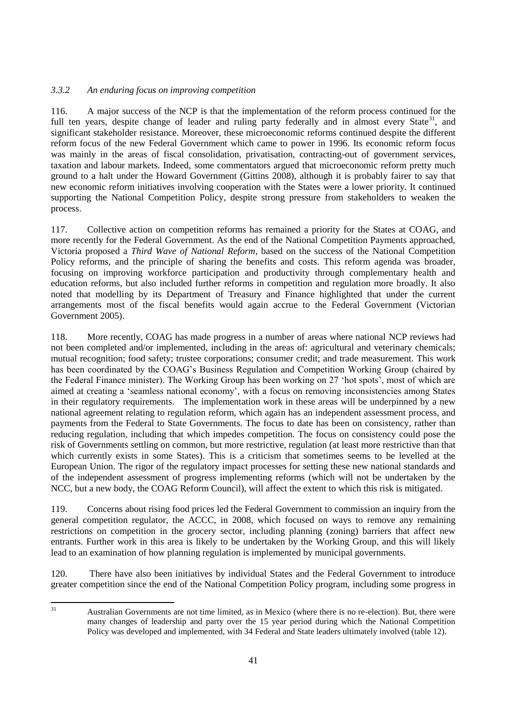### *3.3.2 An enduring focus on improving competition*

116. A major success of the NCP is that the implementation of the reform process continued for the full ten years, despite change of leader and ruling party federally and in almost every State<sup>31</sup>, and significant stakeholder resistance. Moreover, these microeconomic reforms continued despite the different reform focus of the new Federal Government which came to power in 1996. Its economic reform focus was mainly in the areas of fiscal consolidation, privatisation, contracting-out of government services, taxation and labour markets. Indeed, some commentators argued that microeconomic reform pretty much ground to a halt under the Howard Government (Gittins 2008), although it is probably fairer to say that new economic reform initiatives involving cooperation with the States were a lower priority. It continued supporting the National Competition Policy, despite strong pressure from stakeholders to weaken the process.

117. Collective action on competition reforms has remained a priority for the States at COAG, and more recently for the Federal Government. As the end of the National Competition Payments approached, Victoria proposed a *Third Wave of National Reform,* based on the success of the National Competition Policy reforms, and the principle of sharing the benefits and costs. This reform agenda was broader, focusing on improving workforce participation and productivity through complementary health and education reforms, but also included further reforms in competition and regulation more broadly. It also noted that modelling by its Department of Treasury and Finance highlighted that under the current arrangements most of the fiscal benefits would again accrue to the Federal Government (Victorian Government 2005).

118. More recently, COAG has made progress in a number of areas where national NCP reviews had not been completed and/or implemented, including in the areas of: agricultural and veterinary chemicals; mutual recognition; food safety; trustee corporations; consumer credit; and trade measurement. This work has been coordinated by the COAG's Business Regulation and Competition Working Group (chaired by the Federal Finance minister). The Working Group has been working on 27 ‗hot spots', most of which are aimed at creating a 'seamless national economy', with a focus on removing inconsistencies among States in their regulatory requirements. The implementation work in these areas will be underpinned by a new national agreement relating to regulation reform, which again has an independent assessment process, and payments from the Federal to State Governments. The focus to date has been on consistency, rather than reducing regulation, including that which impedes competition. The focus on consistency could pose the risk of Governments settling on common, but more restrictive, regulation (at least more restrictive than that which currently exists in some States). This is a criticism that sometimes seems to be levelled at the European Union. The rigor of the regulatory impact processes for setting these new national standards and of the independent assessment of progress implementing reforms (which will not be undertaken by the NCC, but a new body, the COAG Reform Council), will affect the extent to which this risk is mitigated.

119. Concerns about rising food prices led the Federal Government to commission an inquiry from the general competition regulator, the ACCC, in 2008, which focused on ways to remove any remaining restrictions on competition in the grocery sector, including planning (zoning) barriers that affect new entrants. Further work in this area is likely to be undertaken by the Working Group, and this will likely lead to an examination of how planning regulation is implemented by municipal governments.

120. There have also been initiatives by individual States and the Federal Government to introduce greater competition since the end of the National Competition Policy program, including some progress in

 $31$ 

<sup>31</sup> Australian Governments are not time limited, as in Mexico (where there is no re-election). But, there were many changes of leadership and party over the 15 year period during which the National Competition Policy was developed and implemented, with 34 Federal and State leaders ultimately involved (table 12).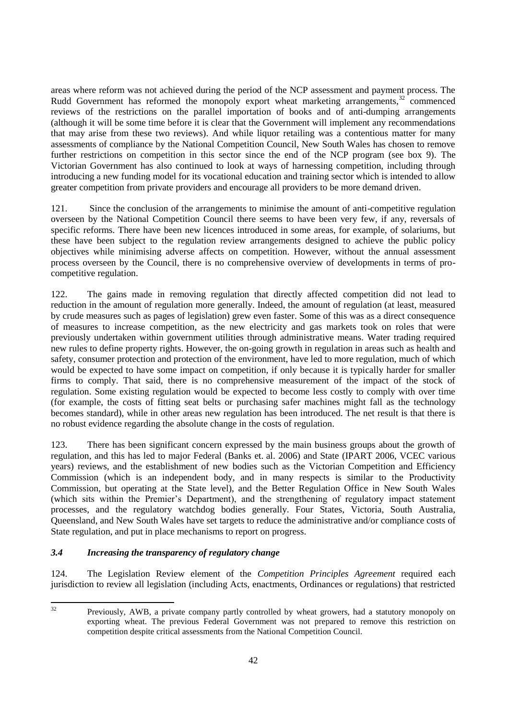areas where reform was not achieved during the period of the NCP assessment and payment process. The Rudd Government has reformed the monopoly export wheat marketing arrangements, $32$  commenced reviews of the restrictions on the parallel importation of books and of anti-dumping arrangements (although it will be some time before it is clear that the Government will implement any recommendations that may arise from these two reviews). And while liquor retailing was a contentious matter for many assessments of compliance by the National Competition Council, New South Wales has chosen to remove further restrictions on competition in this sector since the end of the NCP program (see box 9). The Victorian Government has also continued to look at ways of harnessing competition, including through introducing a new funding model for its vocational education and training sector which is intended to allow greater competition from private providers and encourage all providers to be more demand driven.

121. Since the conclusion of the arrangements to minimise the amount of anti-competitive regulation overseen by the National Competition Council there seems to have been very few, if any, reversals of specific reforms. There have been new licences introduced in some areas, for example, of solariums, but these have been subject to the regulation review arrangements designed to achieve the public policy objectives while minimising adverse affects on competition. However, without the annual assessment process overseen by the Council, there is no comprehensive overview of developments in terms of procompetitive regulation.

122. The gains made in removing regulation that directly affected competition did not lead to reduction in the amount of regulation more generally. Indeed, the amount of regulation (at least, measured by crude measures such as pages of legislation) grew even faster. Some of this was as a direct consequence of measures to increase competition, as the new electricity and gas markets took on roles that were previously undertaken within government utilities through administrative means. Water trading required new rules to define property rights. However, the on-going growth in regulation in areas such as health and safety, consumer protection and protection of the environment, have led to more regulation, much of which would be expected to have some impact on competition, if only because it is typically harder for smaller firms to comply. That said, there is no comprehensive measurement of the impact of the stock of regulation. Some existing regulation would be expected to become less costly to comply with over time (for example, the costs of fitting seat belts or purchasing safer machines might fall as the technology becomes standard), while in other areas new regulation has been introduced. The net result is that there is no robust evidence regarding the absolute change in the costs of regulation.

123. There has been significant concern expressed by the main business groups about the growth of regulation, and this has led to major Federal (Banks et. al. 2006) and State (IPART 2006, VCEC various years) reviews, and the establishment of new bodies such as the Victorian Competition and Efficiency Commission (which is an independent body, and in many respects is similar to the Productivity Commission, but operating at the State level), and the Better Regulation Office in New South Wales (which sits within the Premier's Department), and the strengthening of regulatory impact statement processes, and the regulatory watchdog bodies generally. Four States, Victoria, South Australia, Queensland, and New South Wales have set targets to reduce the administrative and/or compliance costs of State regulation, and put in place mechanisms to report on progress.

# *3.4 Increasing the transparency of regulatory change*

124. The Legislation Review element of the *Competition Principles Agreement* required each jurisdiction to review all legislation (including Acts, enactments, Ordinances or regulations) that restricted

 $32$ 

Previously, AWB, a private company partly controlled by wheat growers, had a statutory monopoly on exporting wheat. The previous Federal Government was not prepared to remove this restriction on competition despite critical assessments from the National Competition Council.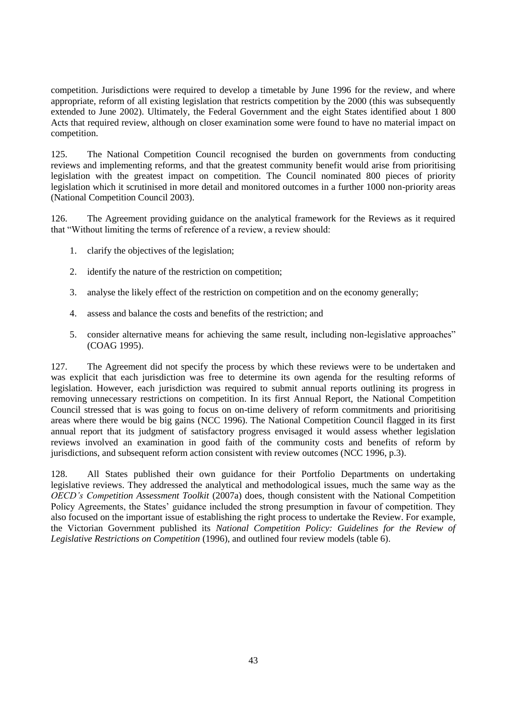competition. Jurisdictions were required to develop a timetable by June 1996 for the review, and where appropriate, reform of all existing legislation that restricts competition by the 2000 (this was subsequently extended to June 2002). Ultimately, the Federal Government and the eight States identified about 1 800 Acts that required review, although on closer examination some were found to have no material impact on competition.

125. The National Competition Council recognised the burden on governments from conducting reviews and implementing reforms, and that the greatest community benefit would arise from prioritising legislation with the greatest impact on competition. The Council nominated 800 pieces of priority legislation which it scrutinised in more detail and monitored outcomes in a further 1000 non-priority areas (National Competition Council 2003).

126. The Agreement providing guidance on the analytical framework for the Reviews as it required that "Without limiting the terms of reference of a review, a review should:

- 1. clarify the objectives of the legislation;
- 2. identify the nature of the restriction on competition;
- 3. analyse the likely effect of the restriction on competition and on the economy generally;
- 4. assess and balance the costs and benefits of the restriction; and
- 5. consider alternative means for achieving the same result, including non-legislative approaches" (COAG 1995).

127. The Agreement did not specify the process by which these reviews were to be undertaken and was explicit that each jurisdiction was free to determine its own agenda for the resulting reforms of legislation. However, each jurisdiction was required to submit annual reports outlining its progress in removing unnecessary restrictions on competition. In its first Annual Report, the National Competition Council stressed that is was going to focus on on-time delivery of reform commitments and prioritising areas where there would be big gains (NCC 1996). The National Competition Council flagged in its first annual report that its judgment of satisfactory progress envisaged it would assess whether legislation reviews involved an examination in good faith of the community costs and benefits of reform by jurisdictions, and subsequent reform action consistent with review outcomes (NCC 1996, p.3).

128. All States published their own guidance for their Portfolio Departments on undertaking legislative reviews. They addressed the analytical and methodological issues, much the same way as the *OECD's Competition Assessment Toolkit* (2007a) does, though consistent with the National Competition Policy Agreements, the States' guidance included the strong presumption in favour of competition. They also focused on the important issue of establishing the right process to undertake the Review. For example, the Victorian Government published its *National Competition Policy: Guidelines for the Review of Legislative Restrictions on Competition* (1996), and outlined four review models (table 6).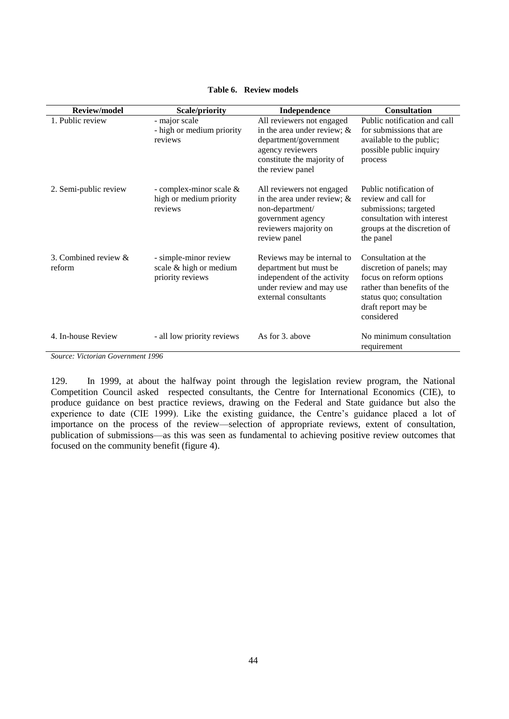| <b>Review/model</b>               | Scale/priority                                                      | Independence                                                                                                                                               | <b>Consultation</b>                                                                                                                                                         |
|-----------------------------------|---------------------------------------------------------------------|------------------------------------------------------------------------------------------------------------------------------------------------------------|-----------------------------------------------------------------------------------------------------------------------------------------------------------------------------|
| 1. Public review                  | - major scale<br>- high or medium priority<br>reviews               | All reviewers not engaged<br>in the area under review; $\&$<br>department/government<br>agency reviewers<br>constitute the majority of<br>the review panel | Public notification and call<br>for submissions that are<br>available to the public;<br>possible public inquiry<br>process                                                  |
| 2. Semi-public review             | - complex-minor scale $&$<br>high or medium priority<br>reviews     | All reviewers not engaged<br>in the area under review; $\&$<br>non-department/<br>government agency<br>reviewers majority on<br>review panel               | Public notification of<br>review and call for<br>submissions; targeted<br>consultation with interest<br>groups at the discretion of<br>the panel                            |
| 3. Combined review $\&$<br>reform | - simple-minor review<br>scale & high or medium<br>priority reviews | Reviews may be internal to<br>department but must be<br>independent of the activity<br>under review and may use<br>external consultants                    | Consultation at the<br>discretion of panels; may<br>focus on reform options<br>rather than benefits of the<br>status quo; consultation<br>draft report may be<br>considered |
| 4. In-house Review                | - all low priority reviews                                          | As for 3, above                                                                                                                                            | No minimum consultation<br>requirement                                                                                                                                      |

### **Table 6. Review models**

*Source: Victorian Government 1996*

129. In 1999, at about the halfway point through the legislation review program, the National Competition Council asked respected consultants, the Centre for International Economics (CIE), to produce guidance on best practice reviews, drawing on the Federal and State guidance but also the experience to date (CIE 1999). Like the existing guidance, the Centre's guidance placed a lot of importance on the process of the review—selection of appropriate reviews, extent of consultation, publication of submissions—as this was seen as fundamental to achieving positive review outcomes that focused on the community benefit (figure 4).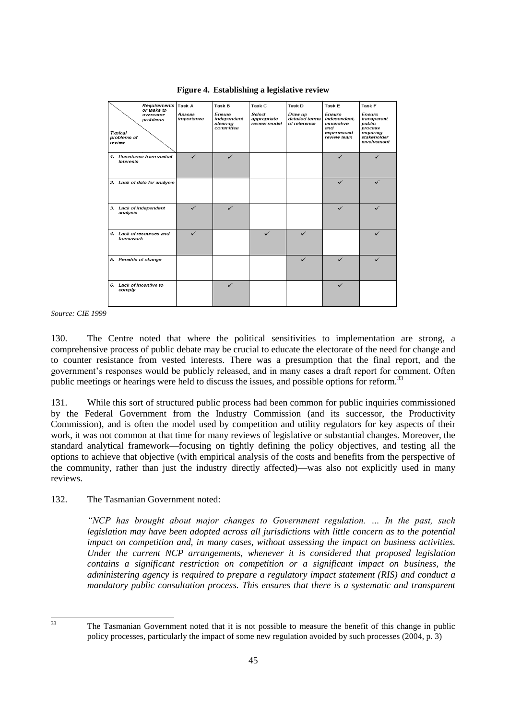| Requirements<br>or tasks to                              | Task A               | Task B                                         | Task C                                | Task D                                    | Task E                                                                           | Task F                                                                                |
|----------------------------------------------------------|----------------------|------------------------------------------------|---------------------------------------|-------------------------------------------|----------------------------------------------------------------------------------|---------------------------------------------------------------------------------------|
| overcome<br>problems<br>Typical<br>problems of<br>review | Assess<br>importance | Ensure<br>independent<br>steering<br>committee | Select<br>appropriate<br>review model | Draw up<br>detailed terms<br>of reference | <b>Ensure</b><br>independent,<br>innovative<br>and<br>experienced<br>review team | Ensure<br>transparent<br>public<br>process<br>requiring<br>stakeholder<br>involvement |
| 1. Resistance from vested<br>interests                   |                      |                                                |                                       |                                           |                                                                                  |                                                                                       |
| 2. Lack of data for analysis                             |                      |                                                |                                       |                                           | ✓                                                                                | ✓                                                                                     |
| 3. Lack of independent<br>analysis                       | ✓                    | ✓                                              |                                       |                                           | ✓                                                                                | ✓                                                                                     |
| 4. Lack of resources and<br>framework                    | ✓                    |                                                | ✓                                     | ✓                                         |                                                                                  | ✓                                                                                     |
| 5. Benefits of change                                    |                      |                                                |                                       | ✓                                         | ✓                                                                                |                                                                                       |
| 6. Lack of incentive to<br>comply                        |                      |                                                |                                       |                                           |                                                                                  |                                                                                       |

**Figure 4. Establishing a legislative review**

*Source: CIE 1999*

130. The Centre noted that where the political sensitivities to implementation are strong, a comprehensive process of public debate may be crucial to educate the electorate of the need for change and to counter resistance from vested interests. There was a presumption that the final report, and the government's responses would be publicly released, and in many cases a draft report for comment. Often public meetings or hearings were held to discuss the issues, and possible options for reform.<sup>33</sup>

131. While this sort of structured public process had been common for public inquiries commissioned by the Federal Government from the Industry Commission (and its successor, the Productivity Commission), and is often the model used by competition and utility regulators for key aspects of their work, it was not common at that time for many reviews of legislative or substantial changes. Moreover, the standard analytical framework—focusing on tightly defining the policy objectives, and testing all the options to achieve that objective (with empirical analysis of the costs and benefits from the perspective of the community, rather than just the industry directly affected)—was also not explicitly used in many reviews.

132. The Tasmanian Government noted:

*―NCP has brought about major changes to Government regulation. … In the past, such legislation may have been adopted across all jurisdictions with little concern as to the potential impact on competition and, in many cases, without assessing the impact on business activities. Under the current NCP arrangements, whenever it is considered that proposed legislation contains a significant restriction on competition or a significant impact on business, the administering agency is required to prepare a regulatory impact statement (RIS) and conduct a mandatory public consultation process. This ensures that there is a systematic and transparent* 

 $33$ 

The Tasmanian Government noted that it is not possible to measure the benefit of this change in public policy processes, particularly the impact of some new regulation avoided by such processes (2004, p. 3)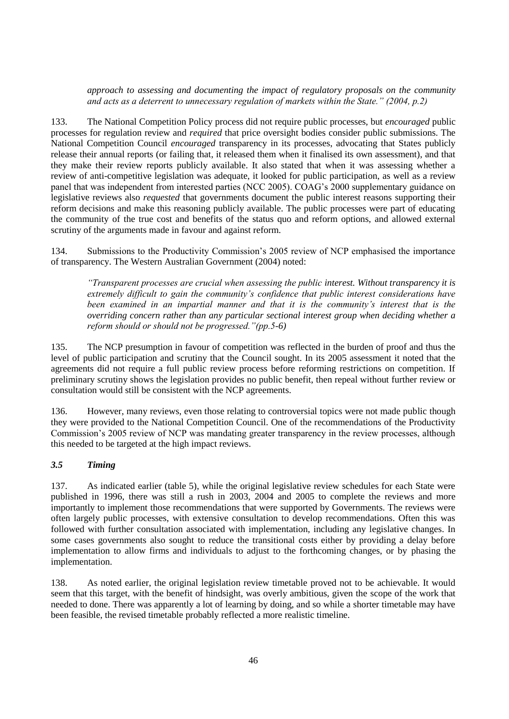*approach to assessing and documenting the impact of regulatory proposals on the community and acts as a deterrent to unnecessary regulation of markets within the State.‖ (2004, p.2)*

133. The National Competition Policy process did not require public processes, but *encouraged* public processes for regulation review and *required* that price oversight bodies consider public submissions. The National Competition Council *encouraged* transparency in its processes, advocating that States publicly release their annual reports (or failing that, it released them when it finalised its own assessment), and that they make their review reports publicly available. It also stated that when it was assessing whether a review of anti-competitive legislation was adequate, it looked for public participation, as well as a review panel that was independent from interested parties (NCC 2005). COAG's 2000 supplementary guidance on legislative reviews also *requested* that governments document the public interest reasons supporting their reform decisions and make this reasoning publicly available. The public processes were part of educating the community of the true cost and benefits of the status quo and reform options, and allowed external scrutiny of the arguments made in favour and against reform.

134. Submissions to the Productivity Commission's 2005 review of NCP emphasised the importance of transparency. The Western Australian Government (2004) noted:

*―Transparent processes are crucial when assessing the public interest. Without transparency it is extremely difficult to gain the community's confidence that public interest considerations have been examined in an impartial manner and that it is the community's interest that is the overriding concern rather than any particular sectional interest group when deciding whether a reform should or should not be progressed.* "(pp.5-6)

135. The NCP presumption in favour of competition was reflected in the burden of proof and thus the level of public participation and scrutiny that the Council sought. In its 2005 assessment it noted that the agreements did not require a full public review process before reforming restrictions on competition. If preliminary scrutiny shows the legislation provides no public benefit, then repeal without further review or consultation would still be consistent with the NCP agreements.

136. However, many reviews, even those relating to controversial topics were not made public though they were provided to the National Competition Council. One of the recommendations of the Productivity Commission's 2005 review of NCP was mandating greater transparency in the review processes, although this needed to be targeted at the high impact reviews.

### *3.5 Timing*

137. As indicated earlier (table 5), while the original legislative review schedules for each State were published in 1996, there was still a rush in 2003, 2004 and 2005 to complete the reviews and more importantly to implement those recommendations that were supported by Governments. The reviews were often largely public processes, with extensive consultation to develop recommendations. Often this was followed with further consultation associated with implementation, including any legislative changes. In some cases governments also sought to reduce the transitional costs either by providing a delay before implementation to allow firms and individuals to adjust to the forthcoming changes, or by phasing the implementation.

138. As noted earlier, the original legislation review timetable proved not to be achievable. It would seem that this target, with the benefit of hindsight, was overly ambitious, given the scope of the work that needed to done. There was apparently a lot of learning by doing, and so while a shorter timetable may have been feasible, the revised timetable probably reflected a more realistic timeline.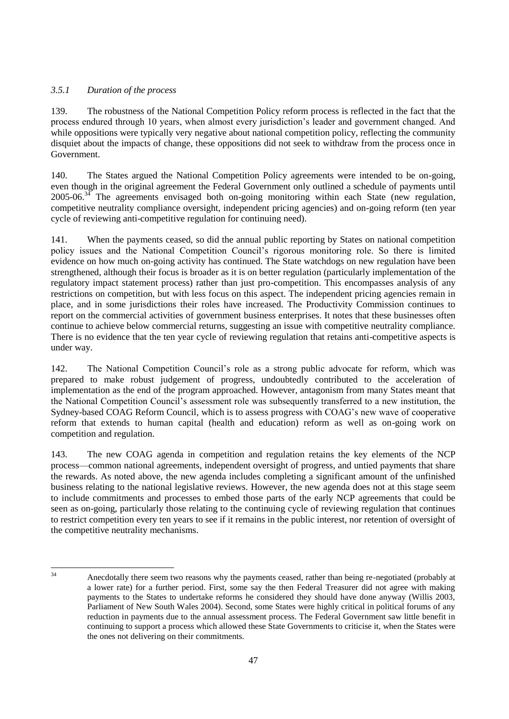# *3.5.1 Duration of the process*

139. The robustness of the National Competition Policy reform process is reflected in the fact that the process endured through 10 years, when almost every jurisdiction's leader and government changed. And while oppositions were typically very negative about national competition policy, reflecting the community disquiet about the impacts of change, these oppositions did not seek to withdraw from the process once in Government.

140. The States argued the National Competition Policy agreements were intended to be on-going, even though in the original agreement the Federal Government only outlined a schedule of payments until  $2005-06$ <sup>34</sup> The agreements envisaged both on-going monitoring within each State (new regulation, competitive neutrality compliance oversight, independent pricing agencies) and on-going reform (ten year cycle of reviewing anti-competitive regulation for continuing need).

141. When the payments ceased, so did the annual public reporting by States on national competition policy issues and the National Competition Council's rigorous monitoring role. So there is limited evidence on how much on-going activity has continued. The State watchdogs on new regulation have been strengthened, although their focus is broader as it is on better regulation (particularly implementation of the regulatory impact statement process) rather than just pro-competition. This encompasses analysis of any restrictions on competition, but with less focus on this aspect. The independent pricing agencies remain in place, and in some jurisdictions their roles have increased. The Productivity Commission continues to report on the commercial activities of government business enterprises. It notes that these businesses often continue to achieve below commercial returns, suggesting an issue with competitive neutrality compliance. There is no evidence that the ten year cycle of reviewing regulation that retains anti-competitive aspects is under way.

142. The National Competition Council's role as a strong public advocate for reform, which was prepared to make robust judgement of progress, undoubtedly contributed to the acceleration of implementation as the end of the program approached. However, antagonism from many States meant that the National Competition Council's assessment role was subsequently transferred to a new institution, the Sydney-based COAG Reform Council, which is to assess progress with COAG's new wave of cooperative reform that extends to human capital (health and education) reform as well as on-going work on competition and regulation.

143. The new COAG agenda in competition and regulation retains the key elements of the NCP process—common national agreements, independent oversight of progress, and untied payments that share the rewards. As noted above, the new agenda includes completing a significant amount of the unfinished business relating to the national legislative reviews. However, the new agenda does not at this stage seem to include commitments and processes to embed those parts of the early NCP agreements that could be seen as on-going, particularly those relating to the continuing cycle of reviewing regulation that continues to restrict competition every ten years to see if it remains in the public interest, nor retention of oversight of the competitive neutrality mechanisms.

 $34$ 

<sup>34</sup> Anecdotally there seem two reasons why the payments ceased, rather than being re-negotiated (probably at a lower rate) for a further period. First, some say the then Federal Treasurer did not agree with making payments to the States to undertake reforms he considered they should have done anyway (Willis 2003, Parliament of New South Wales 2004). Second, some States were highly critical in political forums of any reduction in payments due to the annual assessment process. The Federal Government saw little benefit in continuing to support a process which allowed these State Governments to criticise it, when the States were the ones not delivering on their commitments.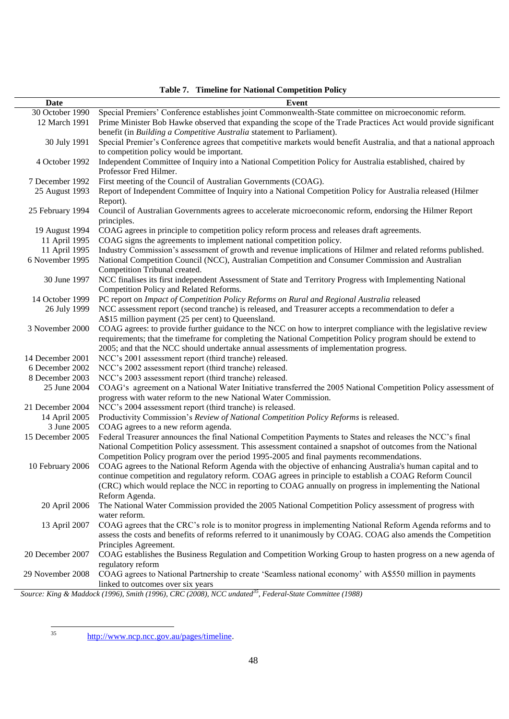| Date             | <b>Event</b>                                                                                                       |
|------------------|--------------------------------------------------------------------------------------------------------------------|
| 30 October 1990  | Special Premiers' Conference establishes joint Commonwealth-State committee on microeconomic reform.               |
| 12 March 1991    | Prime Minister Bob Hawke observed that expanding the scope of the Trade Practices Act would provide significant    |
|                  | benefit (in Building a Competitive Australia statement to Parliament).                                             |
| 30 July 1991     | Special Premier's Conference agrees that competitive markets would benefit Australia, and that a national approach |
|                  | to competition policy would be important.                                                                          |
| 4 October 1992   | Independent Committee of Inquiry into a National Competition Policy for Australia established, chaired by          |
|                  | Professor Fred Hilmer.                                                                                             |
| 7 December 1992  | First meeting of the Council of Australian Governments (COAG).                                                     |
| 25 August 1993   | Report of Independent Committee of Inquiry into a National Competition Policy for Australia released (Hilmer       |
|                  | Report).                                                                                                           |
| 25 February 1994 | Council of Australian Governments agrees to accelerate microeconomic reform, endorsing the Hilmer Report           |
|                  |                                                                                                                    |
|                  | principles.                                                                                                        |
| 19 August 1994   | COAG agrees in principle to competition policy reform process and releases draft agreements.                       |
| 11 April 1995    | COAG signs the agreements to implement national competition policy.                                                |
| 11 April 1995    | Industry Commission's assessment of growth and revenue implications of Hilmer and related reforms published.       |
| 6 November 1995  | National Competition Council (NCC), Australian Competition and Consumer Commission and Australian                  |
|                  | Competition Tribunal created.                                                                                      |
| 30 June 1997     | NCC finalises its first independent Assessment of State and Territory Progress with Implementing National          |
|                  | Competition Policy and Related Reforms.                                                                            |
| 14 October 1999  | PC report on Impact of Competition Policy Reforms on Rural and Regional Australia released                         |
| 26 July 1999     | NCC assessment report (second tranche) is released, and Treasurer accepts a recommendation to defer a              |
|                  | A\$15 million payment (25 per cent) to Queensland.                                                                 |
| 3 November 2000  | COAG agrees: to provide further guidance to the NCC on how to interpret compliance with the legislative review     |
|                  | requirements; that the timeframe for completing the National Competition Policy program should be extend to        |
|                  | 2005; and that the NCC should undertake annual assessments of implementation progress.                             |
| 14 December 2001 | NCC's 2001 assessment report (third tranche) released.                                                             |
| 6 December 2002  | NCC's 2002 assessment report (third tranche) released.                                                             |
| 8 December 2003  | NCC's 2003 assessment report (third tranche) released.                                                             |
| 25 June 2004     | COAG's agreement on a National Water Initiative transferred the 2005 National Competition Policy assessment of     |
|                  | progress with water reform to the new National Water Commission.                                                   |
| 21 December 2004 | NCC's 2004 assessment report (third tranche) is released.                                                          |
| 14 April 2005    | Productivity Commission's Review of National Competition Policy Reforms is released.                               |
| 3 June 2005      | COAG agrees to a new reform agenda.                                                                                |
| 15 December 2005 | Federal Treasurer announces the final National Competition Payments to States and releases the NCC's final         |
|                  | National Competition Policy assessment. This assessment contained a snapshot of outcomes from the National         |
|                  | Competition Policy program over the period 1995-2005 and final payments recommendations.                           |
| 10 February 2006 | COAG agrees to the National Reform Agenda with the objective of enhancing Australia's human capital and to         |
|                  | continue competition and regulatory reform. COAG agrees in principle to establish a COAG Reform Council            |
|                  | (CRC) which would replace the NCC in reporting to COAG annually on progress in implementing the National           |
|                  | Reform Agenda.                                                                                                     |
| 20 April 2006    | The National Water Commission provided the 2005 National Competition Policy assessment of progress with            |
|                  | water reform.                                                                                                      |
| 13 April 2007    | COAG agrees that the CRC's role is to monitor progress in implementing National Reform Agenda reforms and to       |
|                  | assess the costs and benefits of reforms referred to it unanimously by COAG. COAG also amends the Competition      |
|                  | Principles Agreement.                                                                                              |
| 20 December 2007 | COAG establishes the Business Regulation and Competition Working Group to hasten progress on a new agenda of       |
|                  | regulatory reform                                                                                                  |
| 29 November 2008 | COAG agrees to National Partnership to create 'Seamless national economy' with A\$550 million in payments          |
|                  | linked to outcomes over six years                                                                                  |
|                  |                                                                                                                    |

**Table 7. Timeline for National Competition Policy**

*Source: King & Maddock (1996), Smith (1996), CRC (2008), NCC undated<sup>35</sup>, Federal-State Committee (1988)*

 $\overline{35}$ 

[http://www.ncp.ncc.gov.au/pages/timeline.](http://www.ncp.ncc.gov.au/pages/timeline)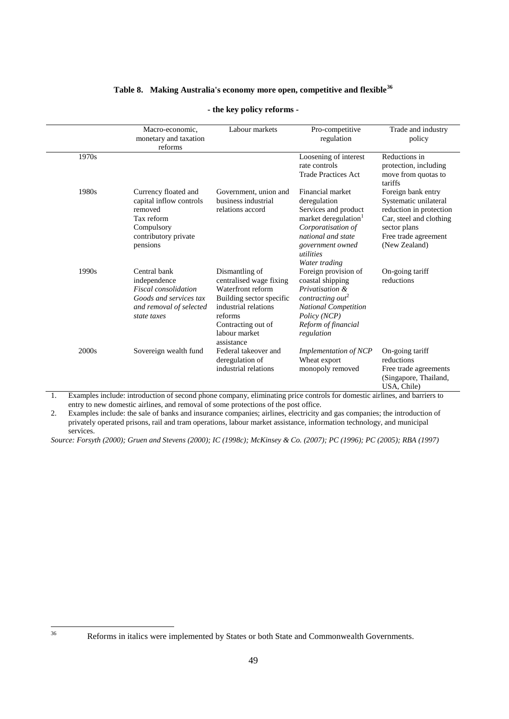# **Table 8. Making Australia's economy more open, competitive and flexible<sup>36</sup>**

|       | Macro-economic,<br>monetary and taxation<br>reforms                                                                             | Labour markets                                                                                                                                                                     | Pro-competitive<br>regulation                                                                                                                                                              | Trade and industry<br>policy                                                                                                                               |
|-------|---------------------------------------------------------------------------------------------------------------------------------|------------------------------------------------------------------------------------------------------------------------------------------------------------------------------------|--------------------------------------------------------------------------------------------------------------------------------------------------------------------------------------------|------------------------------------------------------------------------------------------------------------------------------------------------------------|
| 1970s |                                                                                                                                 |                                                                                                                                                                                    | Loosening of interest<br>rate controls<br><b>Trade Practices Act</b>                                                                                                                       | Reductions in<br>protection, including<br>move from quotas to<br>tariffs                                                                                   |
| 1980s | Currency floated and<br>capital inflow controls<br>removed<br>Tax reform<br>Compulsory<br>contributory private<br>pensions      | Government, union and<br>business industrial<br>relations accord                                                                                                                   | Financial market<br>deregulation<br>Services and product<br>market deregulation <sup>1</sup><br>Corporatisation of<br>national and state<br>government owned<br>utilities<br>Water trading | Foreign bank entry<br>Systematic unilateral<br>reduction in protection<br>Car, steel and clothing<br>sector plans<br>Free trade agreement<br>(New Zealand) |
| 1990s | Central bank<br>independence<br><b>Fiscal</b> consolidation<br>Goods and services tax<br>and removal of selected<br>state taxes | Dismantling of<br>centralised wage fixing<br>Waterfront reform<br>Building sector specific<br>industrial relations<br>reforms<br>Contracting out of<br>labour market<br>assistance | Foreign provision of<br>coastal shipping<br>Privatisation &<br>contracting out <sup>2</sup><br><b>National Competition</b><br>Policy (NCP)<br>Reform of financial<br>regulation            | On-going tariff<br>reductions                                                                                                                              |
| 2000s | Sovereign wealth fund                                                                                                           | Federal takeover and<br>deregulation of<br>industrial relations                                                                                                                    | Implementation of NCP<br>Wheat export<br>monopoly removed                                                                                                                                  | On-going tariff<br>reductions<br>Free trade agreements<br>(Singapore, Thailand,<br>USA, Chile)                                                             |

### **- the key policy reforms -**

<span id="page-48-0"></span>1. Examples include: introduction of second phone company, eliminating price controls for domestic airlines, and barriers to entry to new domestic airlines, and removal of some protections of the post office.

<span id="page-48-1"></span>2. Examples include: the sale of banks and insurance companies; airlines, electricity and gas companies; the introduction of privately operated prisons, rail and tram operations, labour market assistance, information technology, and municipal services.

*Source: Forsyth (2000); Gruen and Stevens (2000); IC (1998c); McKinsey & Co. (2007); PC (1996); PC (2005); RBA (1997)*

 $36$ 

Reforms in italics were implemented by States or both State and Commonwealth Governments.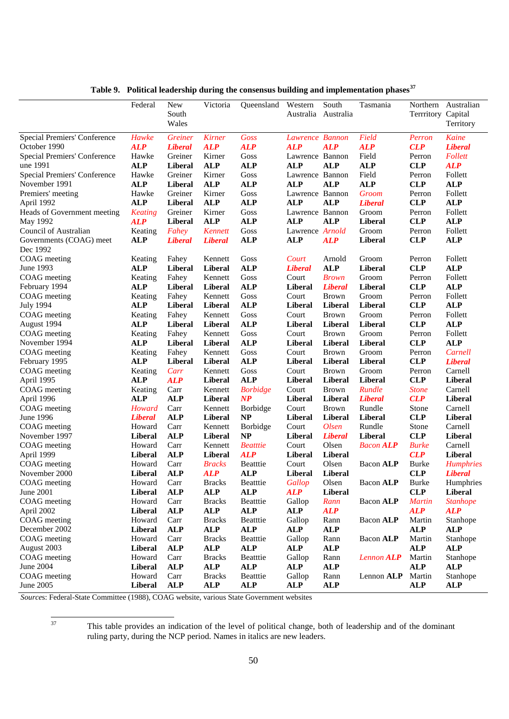|                                     | Federal        | New<br>South<br>Wales | Victoria       | Queensland      | Western<br>Australia | South<br>Australia | Tasmania         | Terrritory Capital | Northern Australian<br>Territory |
|-------------------------------------|----------------|-----------------------|----------------|-----------------|----------------------|--------------------|------------------|--------------------|----------------------------------|
| Special Premiers' Conference        | Hawke          | <i><b>Greiner</b></i> | <b>Kirner</b>  | Goss            | Lawrence Bannon      |                    | Field            | Perron             | Kaine                            |
| October 1990                        | <b>ALP</b>     | <b>Liberal</b>        | <b>ALP</b>     | <b>ALP</b>      | <b>ALP</b>           | <b>ALP</b>         | <b>ALP</b>       | CLP                | <b>Liberal</b>                   |
| Special Premiers' Conference        | Hawke          | Greiner               | Kirner         | Goss            | Lawrence Bannon      |                    | Field            | Perron             | Follett                          |
| une 1991                            | <b>ALP</b>     | Liberal               | <b>ALP</b>     | <b>ALP</b>      | <b>ALP</b>           | <b>ALP</b>         | <b>ALP</b>       | <b>CLP</b>         | <b>ALP</b>                       |
| <b>Special Premiers' Conference</b> | Hawke          | Greiner               | Kirner         | Goss            | Lawrence Bannon      |                    | Field            | Perron             | Follett                          |
| November 1991                       | <b>ALP</b>     | <b>Liberal</b>        | <b>ALP</b>     | <b>ALP</b>      | <b>ALP</b>           | <b>ALP</b>         | <b>ALP</b>       | <b>CLP</b>         | <b>ALP</b>                       |
| Premiers' meeting                   | Hawke          | Greiner               | Kirner         | Goss            | Lawrence Bannon      |                    | Groom            | Perron             | Follett                          |
| April 1992                          | <b>ALP</b>     | <b>Liberal</b>        | <b>ALP</b>     | <b>ALP</b>      | <b>ALP</b>           | <b>ALP</b>         | <b>Liberal</b>   | <b>CLP</b>         | <b>ALP</b>                       |
| Heads of Government meeting         | <b>Keating</b> | Greiner               | Kirner         | Goss            | Lawrence Bannon      |                    | Groom            | Perron             | Follett                          |
| May 1992                            | <b>ALP</b>     | <b>Liberal</b>        | <b>ALP</b>     | <b>ALP</b>      | <b>ALP</b>           | <b>ALP</b>         | <b>Liberal</b>   | <b>CLP</b>         | <b>ALP</b>                       |
| Council of Australian               | Keating        | Fahey                 | <b>Kennett</b> | Goss            | Lawrence Arnold      |                    | Groom            | Perron             | Follett                          |
| Governments (COAG) meet<br>Dec 1992 | <b>ALP</b>     | <b>Liberal</b>        | <b>Liberal</b> | <b>ALP</b>      | <b>ALP</b>           | <b>ALP</b>         | <b>Liberal</b>   | <b>CLP</b>         | <b>ALP</b>                       |
| COAG meeting                        | Keating        | Fahey                 | Kennett        | Goss            | Court                | Arnold             | Groom            | Perron             | Follett                          |
| June 1993                           | <b>ALP</b>     | Liberal               | <b>Liberal</b> | <b>ALP</b>      | <b>Liberal</b>       | <b>ALP</b>         | Liberal          | <b>CLP</b>         | <b>ALP</b>                       |
| COAG meeting                        | Keating        | Fahey                 | Kennett        | Goss            | Court                | <b>Brown</b>       | Groom            | Perron             | Follett                          |
| February 1994                       | <b>ALP</b>     | <b>Liberal</b>        | Liberal        | <b>ALP</b>      | <b>Liberal</b>       | <b>Liberal</b>     | Liberal          | <b>CLP</b>         | <b>ALP</b>                       |
| COAG meeting                        | Keating        | Fahey                 | Kennett        | Goss            | Court                | <b>Brown</b>       | Groom            | Perron             | Follett                          |
| <b>July 1994</b>                    | <b>ALP</b>     | Liberal               | <b>Liberal</b> | <b>ALP</b>      | <b>Liberal</b>       | Liberal            | Liberal          | <b>CLP</b>         | <b>ALP</b>                       |
| COAG meeting                        | Keating        | Fahey                 | Kennett        | Goss            | Court                | <b>Brown</b>       | Groom            | Perron             | Follett                          |
| August 1994                         | <b>ALP</b>     | <b>Liberal</b>        | Liberal        | <b>ALP</b>      | <b>Liberal</b>       | Liberal            | <b>Liberal</b>   | <b>CLP</b>         | <b>ALP</b>                       |
| COAG meeting                        | Keating        | Fahey                 | Kennett        | Goss            | Court                | <b>Brown</b>       | Groom            | Perron             | Follett                          |
| November 1994                       | <b>ALP</b>     | <b>Liberal</b>        | <b>Liberal</b> | <b>ALP</b>      | <b>Liberal</b>       | Liberal            | Liberal          | <b>CLP</b>         | <b>ALP</b>                       |
| COAG meeting                        | Keating        | Fahey                 | Kennett        | Goss            | Court                | <b>Brown</b>       | Groom            | Perron             | Carnell                          |
| February 1995                       | <b>ALP</b>     | Liberal               | <b>Liberal</b> | <b>ALP</b>      | <b>Liberal</b>       | Liberal            | Liberal          | <b>CLP</b>         | <b>Liberal</b>                   |
| COAG meeting                        | Keating        | Carr                  | Kennett        | Goss            | Court                | <b>Brown</b>       | Groom            | Perron             | Carnell                          |
| April 1995                          | <b>ALP</b>     | <b>ALP</b>            | <b>Liberal</b> | <b>ALP</b>      | <b>Liberal</b>       | <b>Liberal</b>     | <b>Liberal</b>   | <b>CLP</b>         | <b>Liberal</b>                   |
| COAG meeting                        | Keating        | Carr                  | Kennett        | <b>Borbidge</b> | Court                | <b>Brown</b>       | Rundle           | <b>Stone</b>       | Carnell                          |
| April 1996                          | <b>ALP</b>     | <b>ALP</b>            | <b>Liberal</b> | $\bf NP$        | <b>Liberal</b>       | Liberal            | <b>Liberal</b>   | CLP                | <b>Liberal</b>                   |
| COAG meeting                        | Howard         | Carr                  | Kennett        | <b>Borbidge</b> | Court                | <b>Brown</b>       | Rundle           | Stone              | Carnell                          |
| June 1996                           | <b>Liberal</b> | <b>ALP</b>            | <b>Liberal</b> | NP              | <b>Liberal</b>       | Liberal            | Liberal          | <b>CLP</b>         | Liberal                          |
| COAG meeting                        | Howard         | Carr                  | Kennett        | <b>Borbidge</b> | Court                | Olsen              | Rundle           | Stone              | Carnell                          |
| November 1997                       | Liberal        | <b>ALP</b>            | <b>Liberal</b> | <b>NP</b>       | <b>Liberal</b>       | <b>Liberal</b>     | <b>Liberal</b>   | <b>CLP</b>         | Liberal                          |
| COAG meeting                        | Howard         | Carr                  | Kennett        | <b>Beatttie</b> | Court                | Olsen              | <b>Bacon ALP</b> | <b>Burke</b>       | Carnell                          |
| April 1999                          | Liberal        | <b>ALP</b>            | Liberal        | <b>ALP</b>      | <b>Liberal</b>       | Liberal            |                  | CLP                | Liberal                          |
| COAG meeting                        | Howard         | Carr                  | <b>Bracks</b>  | <b>Beatttie</b> | Court                | Olsen              | <b>Bacon ALP</b> | Burke              | <b>Humphries</b>                 |
| November 2000                       | Liberal        | <b>ALP</b>            | <b>ALP</b>     | <b>ALP</b>      | <b>Liberal</b>       | Liberal            |                  | CLP                | <b>Liberal</b>                   |
| COAG meeting                        | Howard         | Carr                  | <b>Bracks</b>  | Beatttie        | Gallop               | Olsen              | Bacon ALP        | <b>Burke</b>       | Humphries                        |
| June 2001                           | Liberal        | <b>ALP</b>            | <b>ALP</b>     | <b>ALP</b>      | <b>ALP</b>           | <b>Liberal</b>     |                  | CLP                | Liberal                          |
| COAG meeting                        | Howard         | Carr                  | <b>Bracks</b>  | Beatttie        | Gallop               | Rann               | Bacon ALP        | <b>Martin</b>      | <b>Stanhope</b>                  |
| April 2002                          | Liberal        | <b>ALP</b>            | <b>ALP</b>     | <b>ALP</b>      | <b>ALP</b>           | <b>ALP</b>         |                  | <b>ALP</b>         | <b>ALP</b>                       |
| COAG meeting                        | Howard         | Carr                  | <b>Bracks</b>  | Beatttie        | Gallop               | Rann               | Bacon ALP        | Martin             | Stanhope                         |
| December 2002                       | Liberal        | <b>ALP</b>            | <b>ALP</b>     | <b>ALP</b>      | <b>ALP</b>           | <b>ALP</b>         |                  | <b>ALP</b>         | <b>ALP</b>                       |
| COAG meeting                        | Howard         | Carr                  | <b>Bracks</b>  | Beatttie        | Gallop               | Rann               | Bacon ALP        | Martin             | Stanhope                         |
| August 2003                         | Liberal        | <b>ALP</b>            | <b>ALP</b>     | <b>ALP</b>      | <b>ALP</b>           | <b>ALP</b>         |                  | <b>ALP</b>         | <b>ALP</b>                       |
| COAG meeting                        | Howard         | Carr                  | <b>Bracks</b>  | Beatttie        | Gallop               | Rann               | Lennon ALP       | Martin             | Stanhope                         |
| <b>June 2004</b>                    | Liberal        | <b>ALP</b>            | <b>ALP</b>     | ALP             | <b>ALP</b>           | <b>ALP</b>         |                  | <b>ALP</b>         | <b>ALP</b>                       |
| COAG meeting                        | Howard         | Carr                  | <b>Bracks</b>  | Beatttie        | Gallop               | Rann               | Lennon ALP       | Martin             | Stanhope                         |
| June 2005                           | Liberal        | <b>ALP</b>            | <b>ALP</b>     | ALP             | <b>ALP</b>           | <b>ALP</b>         |                  | <b>ALP</b>         | <b>ALP</b>                       |

**Table 9. Political leadership during the consensus building and implementation phases<sup>37</sup>**

*Source*s: Federal-State Committee (1988), COAG website, various State Government websites

 $37$ 

This table provides an indication of the level of political change, both of leadership and of the dominant ruling party, during the NCP period. Names in italics are new leaders.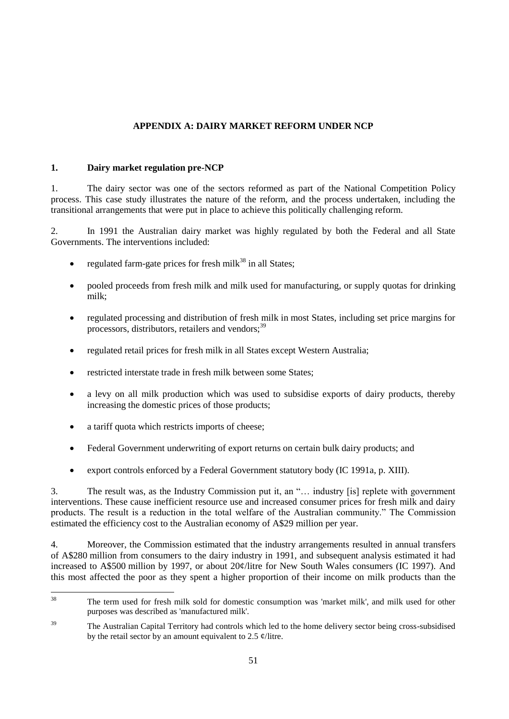# **APPENDIX A: DAIRY MARKET REFORM UNDER NCP**

### **1. Dairy market regulation pre-NCP**

1. The dairy sector was one of the sectors reformed as part of the National Competition Policy process. This case study illustrates the nature of the reform, and the process undertaken, including the transitional arrangements that were put in place to achieve this politically challenging reform.

2. In 1991 the Australian dairy market was highly regulated by both the Federal and all State Governments. The interventions included:

- regulated farm-gate prices for fresh milk $38$  in all States;
- pooled proceeds from fresh milk and milk used for manufacturing, or supply quotas for drinking milk;
- regulated processing and distribution of fresh milk in most States, including set price margins for processors, distributors, retailers and vendors;<sup>39</sup>
- regulated retail prices for fresh milk in all States except Western Australia;
- restricted interstate trade in fresh milk between some States;
- a levy on all milk production which was used to subsidise exports of dairy products, thereby increasing the domestic prices of those products;
- a tariff quota which restricts imports of cheese;
- Federal Government underwriting of export returns on certain bulk dairy products; and
- export controls enforced by a Federal Government statutory body (IC 1991a, p. XIII).

3. The result was, as the Industry Commission put it, an "... industry [is] replete with government interventions. These cause inefficient resource use and increased consumer prices for fresh milk and dairy products. The result is a reduction in the total welfare of the Australian community." The Commission estimated the efficiency cost to the Australian economy of A\$29 million per year.

4. Moreover, the Commission estimated that the industry arrangements resulted in annual transfers of A\$280 million from consumers to the dairy industry in 1991, and subsequent analysis estimated it had increased to A\$500 million by 1997, or about 20¢/litre for New South Wales consumers (IC 1997). And this most affected the poor as they spent a higher proportion of their income on milk products than the

 $38$ <sup>38</sup> The term used for fresh milk sold for domestic consumption was 'market milk', and milk used for other purposes was described as 'manufactured milk'.

<sup>&</sup>lt;sup>39</sup> The Australian Capital Territory had controls which led to the home delivery sector being cross-subsidised by the retail sector by an amount equivalent to 2.5  $\phi$ /litre.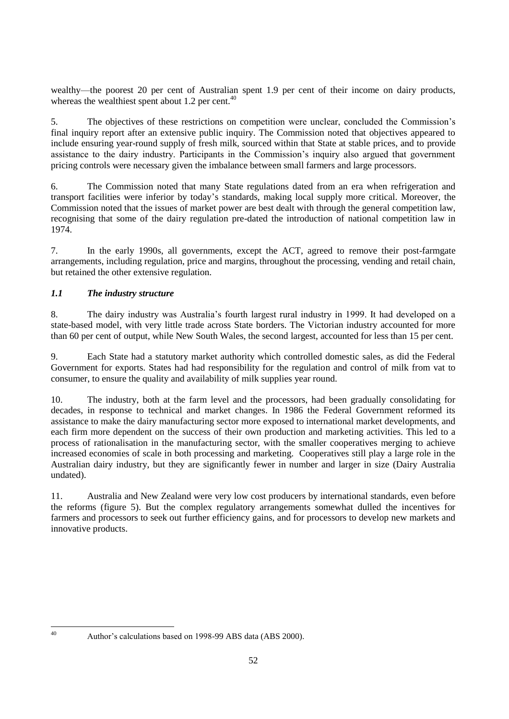wealthy—the poorest 20 per cent of Australian spent 1.9 per cent of their income on dairy products, whereas the wealthiest spent about 1.2 per cent. $40$ 

5. The objectives of these restrictions on competition were unclear, concluded the Commission's final inquiry report after an extensive public inquiry. The Commission noted that objectives appeared to include ensuring year-round supply of fresh milk, sourced within that State at stable prices, and to provide assistance to the dairy industry. Participants in the Commission's inquiry also argued that government pricing controls were necessary given the imbalance between small farmers and large processors.

6. The Commission noted that many State regulations dated from an era when refrigeration and transport facilities were inferior by today's standards, making local supply more critical. Moreover, the Commission noted that the issues of market power are best dealt with through the general competition law, recognising that some of the dairy regulation pre-dated the introduction of national competition law in 1974.

7. In the early 1990s, all governments, except the ACT, agreed to remove their post-farmgate arrangements, including regulation, price and margins, throughout the processing, vending and retail chain, but retained the other extensive regulation.

# *1.1 The industry structure*

8. The dairy industry was Australia's fourth largest rural industry in 1999. It had developed on a state-based model, with very little trade across State borders. The Victorian industry accounted for more than 60 per cent of output, while New South Wales, the second largest, accounted for less than 15 per cent.

9. Each State had a statutory market authority which controlled domestic sales, as did the Federal Government for exports. States had had responsibility for the regulation and control of milk from vat to consumer, to ensure the quality and availability of milk supplies year round.

10. The industry, both at the farm level and the processors, had been gradually consolidating for decades, in response to technical and market changes. In 1986 the Federal Government reformed its assistance to make the dairy manufacturing sector more exposed to international market developments, and each firm more dependent on the success of their own production and marketing activities. This led to a process of rationalisation in the manufacturing sector, with the smaller cooperatives merging to achieve increased economies of scale in both processing and marketing. Cooperatives still play a large role in the Australian dairy industry, but they are significantly fewer in number and larger in size (Dairy Australia undated).

11. Australia and New Zealand were very low cost producers by international standards, even before the reforms (figure 5). But the complex regulatory arrangements somewhat dulled the incentives for farmers and processors to seek out further efficiency gains, and for processors to develop new markets and innovative products.

 $40^{\circ}$ 

Author's calculations based on 1998-99 ABS data (ABS 2000).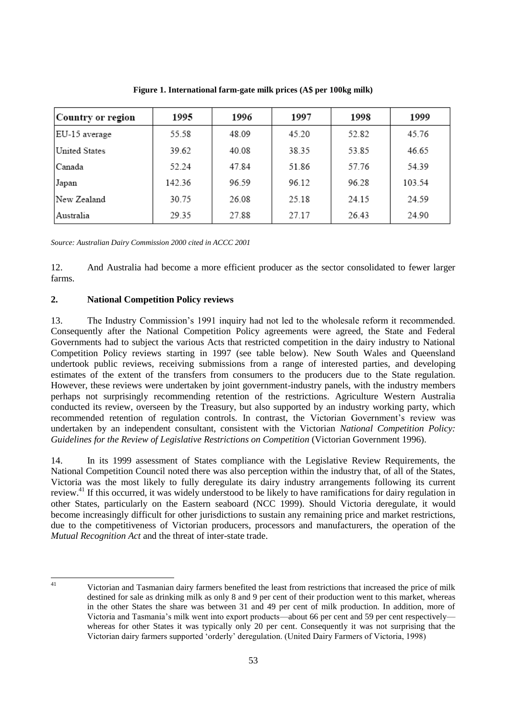| Country or region | 1995   | 1996  | 1997  | 1998  | 1999   |
|-------------------|--------|-------|-------|-------|--------|
| EU-15 average     | 55.58  | 48.09 | 45.20 | 52.82 | 45.76  |
| United States     | 39.62  | 40.08 | 38.35 | 53.85 | 46.65  |
| Canada            | 52.24  | 47.84 | 51.86 | 57.76 | 54.39  |
| Japan             | 142.36 | 96.59 | 96.12 | 96.28 | 103.54 |
| New Zealand       | 30.75  | 26.08 | 25.18 | 24.15 | 24.59  |
| Australia         | 29.35  | 27.88 | 27.17 | 26.43 | 24.90  |

**Figure 1. International farm-gate milk prices (A\$ per 100kg milk)**

*Source: Australian Dairy Commission 2000 cited in ACCC 2001*

12. And Australia had become a more efficient producer as the sector consolidated to fewer larger farms.

### **2. National Competition Policy reviews**

13. The Industry Commission's 1991 inquiry had not led to the wholesale reform it recommended. Consequently after the National Competition Policy agreements were agreed, the State and Federal Governments had to subject the various Acts that restricted competition in the dairy industry to National Competition Policy reviews starting in 1997 (see table below). New South Wales and Queensland undertook public reviews, receiving submissions from a range of interested parties, and developing estimates of the extent of the transfers from consumers to the producers due to the State regulation. However, these reviews were undertaken by joint government-industry panels, with the industry members perhaps not surprisingly recommending retention of the restrictions. Agriculture Western Australia conducted its review, overseen by the Treasury, but also supported by an industry working party, which recommended retention of regulation controls. In contrast, the Victorian Government's review was undertaken by an independent consultant, consistent with the Victorian *National Competition Policy: Guidelines for the Review of Legislative Restrictions on Competition* (Victorian Government 1996).

14. In its 1999 assessment of States compliance with the Legislative Review Requirements, the National Competition Council noted there was also perception within the industry that, of all of the States, Victoria was the most likely to fully deregulate its dairy industry arrangements following its current review.<sup>41</sup> If this occurred, it was widely understood to be likely to have ramifications for dairy regulation in other States, particularly on the Eastern seaboard (NCC 1999). Should Victoria deregulate, it would become increasingly difficult for other jurisdictions to sustain any remaining price and market restrictions, due to the competitiveness of Victorian producers, processors and manufacturers, the operation of the *Mutual Recognition Act* and the threat of inter-state trade.

 $41$ 

<sup>41</sup> Victorian and Tasmanian dairy farmers benefited the least from restrictions that increased the price of milk destined for sale as drinking milk as only 8 and 9 per cent of their production went to this market, whereas in the other States the share was between 31 and 49 per cent of milk production. In addition, more of Victoria and Tasmania's milk went into export products—about 66 per cent and 59 per cent respectively whereas for other States it was typically only 20 per cent. Consequently it was not surprising that the Victorian dairy farmers supported ‗orderly' deregulation. (United Dairy Farmers of Victoria, 1998)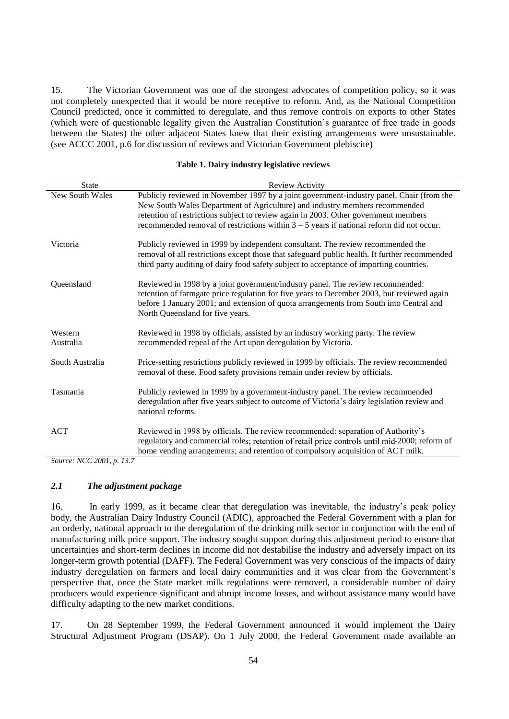15. The Victorian Government was one of the strongest advocates of competition policy, so it was not completely unexpected that it would be more receptive to reform. And, as the National Competition Council predicted, once it committed to deregulate, and thus remove controls on exports to other States (which were of questionable legality given the Australian Constitution's guarantee of free trade in goods between the States) the other adjacent States knew that their existing arrangements were unsustainable. (see ACCC 2001, p.6 for discussion of reviews and Victorian Government plebiscite)

#### **Table 1. Dairy industry legislative reviews**

| <b>State</b>              | Review Activity                                                                                                                                                                                                                                                                                                                                              |
|---------------------------|--------------------------------------------------------------------------------------------------------------------------------------------------------------------------------------------------------------------------------------------------------------------------------------------------------------------------------------------------------------|
| <b>New South Wales</b>    | Publicly reviewed in November 1997 by a joint government-industry panel. Chair (from the<br>New South Wales Department of Agriculture) and industry members recommended<br>retention of restrictions subject to review again in 2003. Other government members<br>recommended removal of restrictions within $3 - 5$ years if national reform did not occur. |
| Victoria                  | Publicly reviewed in 1999 by independent consultant. The review recommended the<br>removal of all restrictions except those that safeguard public health. It further recommended<br>third party auditing of dairy food safety subject to acceptance of importing countries.                                                                                  |
| Queensland                | Reviewed in 1998 by a joint government/industry panel. The review recommended:<br>retention of farmgate price regulation for five years to December 2003, but reviewed again<br>before 1 January 2001; and extension of quota arrangements from South into Central and<br>North Queensland for five years.                                                   |
| Western<br>Australia      | Reviewed in 1998 by officials, assisted by an industry working party. The review<br>recommended repeal of the Act upon deregulation by Victoria.                                                                                                                                                                                                             |
| South Australia           | Price-setting restrictions publicly reviewed in 1999 by officials. The review recommended<br>removal of these. Food safety provisions remain under review by officials.                                                                                                                                                                                      |
| Tasmania                  | Publicly reviewed in 1999 by a government-industry panel. The review recommended<br>deregulation after five years subject to outcome of Victoria's dairy legislation review and<br>national reforms.                                                                                                                                                         |
| <b>ACT</b>                | Reviewed in 1998 by officials. The review recommended: separation of Authority's<br>regulatory and commercial roles; retention of retail price controls until mid-2000; reform of<br>home vending arrangements; and retention of compulsory acquisition of ACT milk.                                                                                         |
| Source: NCC 2001, p. 13.7 |                                                                                                                                                                                                                                                                                                                                                              |

# *2.1 The adjustment package*

16. In early 1999, as it became clear that deregulation was inevitable, the industry's peak policy body, the Australian Dairy Industry Council (ADIC), approached the Federal Government with a plan for an orderly, national approach to the deregulation of the drinking milk sector in conjunction with the end of manufacturing milk price support. The industry sought support during this adjustment period to ensure that uncertainties and short-term declines in income did not destabilise the industry and adversely impact on its longer-term growth potential (DAFF). The Federal Government was very conscious of the impacts of dairy industry deregulation on farmers and local dairy communities and it was clear from the Government's perspective that, once the State market milk regulations were removed, a considerable number of dairy producers would experience significant and abrupt income losses, and without assistance many would have difficulty adapting to the new market conditions.

17. On 28 September 1999, the Federal Government announced it would implement the Dairy Structural Adjustment Program (DSAP). On 1 July 2000, the Federal Government made available an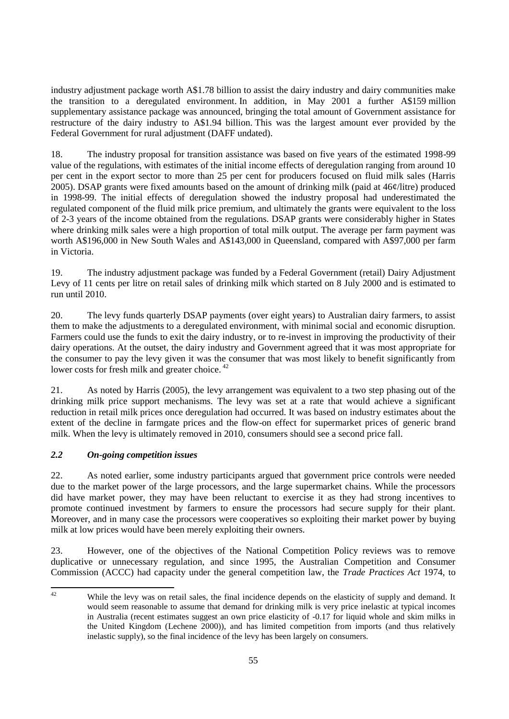industry adjustment package worth A\$1.78 billion to assist the dairy industry and dairy communities make the transition to a deregulated environment. In addition, in May 2001 a further A\$159 million supplementary assistance package was announced, bringing the total amount of Government assistance for restructure of the dairy industry to A\$1.94 billion. This was the largest amount ever provided by the Federal Government for rural adjustment (DAFF undated).

18. The industry proposal for transition assistance was based on five years of the estimated 1998-99 value of the regulations, with estimates of the initial income effects of deregulation ranging from around 10 per cent in the export sector to more than 25 per cent for producers focused on fluid milk sales (Harris 2005). DSAP grants were fixed amounts based on the amount of drinking milk (paid at 46¢/litre) produced in 1998-99. The initial effects of deregulation showed the industry proposal had underestimated the regulated component of the fluid milk price premium, and ultimately the grants were equivalent to the loss of 2-3 years of the income obtained from the regulations. DSAP grants were considerably higher in States where drinking milk sales were a high proportion of total milk output. The average per farm payment was worth A\$196,000 in New South Wales and A\$143,000 in Queensland, compared with A\$97,000 per farm in Victoria.

19. The industry adjustment package was funded by a Federal Government (retail) Dairy Adjustment Levy of 11 cents per litre on retail sales of drinking milk which started on 8 July 2000 and is estimated to run until 2010.

20. The levy funds quarterly DSAP payments (over eight years) to Australian dairy farmers, to assist them to make the adjustments to a deregulated environment, with minimal social and economic disruption. Farmers could use the funds to exit the dairy industry, or to re-invest in improving the productivity of their dairy operations. At the outset, the dairy industry and Government agreed that it was most appropriate for the consumer to pay the levy given it was the consumer that was most likely to benefit significantly from lower costs for fresh milk and greater choice.<sup>42</sup>

21. As noted by Harris (2005), the levy arrangement was equivalent to a two step phasing out of the drinking milk price support mechanisms. The levy was set at a rate that would achieve a significant reduction in retail milk prices once deregulation had occurred. It was based on industry estimates about the extent of the decline in farmgate prices and the flow-on effect for supermarket prices of generic brand milk. When the levy is ultimately removed in 2010, consumers should see a second price fall.

# *2.2 On-going competition issues*

22. As noted earlier, some industry participants argued that government price controls were needed due to the market power of the large processors, and the large supermarket chains. While the processors did have market power, they may have been reluctant to exercise it as they had strong incentives to promote continued investment by farmers to ensure the processors had secure supply for their plant. Moreover, and in many case the processors were cooperatives so exploiting their market power by buying milk at low prices would have been merely exploiting their owners.

23. However, one of the objectives of the National Competition Policy reviews was to remove duplicative or unnecessary regulation, and since 1995, the Australian Competition and Consumer Commission (ACCC) had capacity under the general competition law, the *Trade Practices Act* 1974, to

 $42$ While the levy was on retail sales, the final incidence depends on the elasticity of supply and demand. It would seem reasonable to assume that demand for drinking milk is very price inelastic at typical incomes in Australia (recent estimates suggest an own price elasticity of -0.17 for liquid whole and skim milks in the United Kingdom (Lechene 2000)), and has limited competition from imports (and thus relatively inelastic supply), so the final incidence of the levy has been largely on consumers.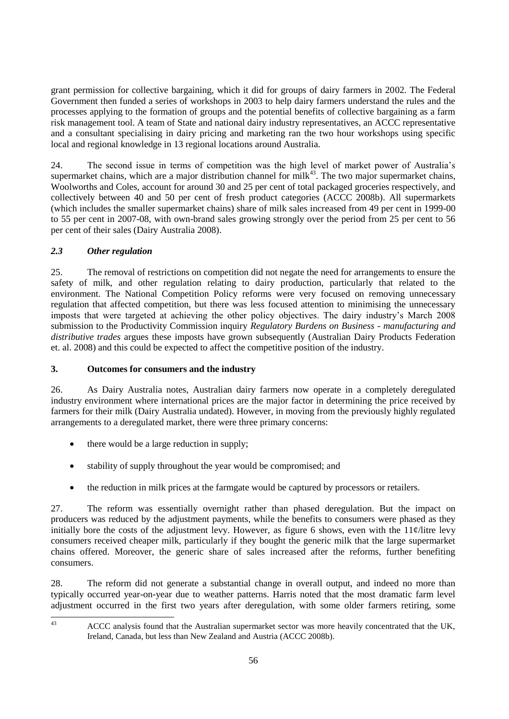grant permission for collective bargaining, which it did for groups of dairy farmers in 2002. The Federal Government then funded a series of workshops in 2003 to help dairy farmers understand the rules and the processes applying to the formation of groups and the potential benefits of collective bargaining as a farm risk management tool. A team of State and national dairy industry representatives, an ACCC representative and a consultant specialising in dairy pricing and marketing ran the two hour workshops using specific local and regional knowledge in 13 regional locations around Australia.

24. The second issue in terms of competition was the high level of market power of Australia's supermarket chains, which are a major distribution channel for milk $43$ . The two major supermarket chains, Woolworths and Coles, account for around 30 and 25 per cent of total packaged groceries respectively, and collectively between 40 and 50 per cent of fresh product categories (ACCC 2008b). All supermarkets (which includes the smaller supermarket chains) share of milk sales increased from 49 per cent in 1999-00 to 55 per cent in 2007-08, with own-brand sales growing strongly over the period from 25 per cent to 56 per cent of their sales (Dairy Australia 2008).

# *2.3 Other regulation*

25. The removal of restrictions on competition did not negate the need for arrangements to ensure the safety of milk, and other regulation relating to dairy production, particularly that related to the environment. The National Competition Policy reforms were very focused on removing unnecessary regulation that affected competition, but there was less focused attention to minimising the unnecessary imposts that were targeted at achieving the other policy objectives. The dairy industry's March 2008 submission to the Productivity Commission inquiry *Regulatory Burdens on Business - manufacturing and distributive trades* argues these imposts have grown subsequently (Australian Dairy Products Federation et. al. 2008) and this could be expected to affect the competitive position of the industry.

# **3. Outcomes for consumers and the industry**

26. As Dairy Australia notes, Australian dairy farmers now operate in a completely deregulated industry environment where international prices are the major factor in determining the price received by farmers for their milk (Dairy Australia undated). However, in moving from the previously highly regulated arrangements to a deregulated market, there were three primary concerns:

- $\bullet$  there would be a large reduction in supply;
- stability of supply throughout the year would be compromised; and
- the reduction in milk prices at the farmgate would be captured by processors or retailers.

27. The reform was essentially overnight rather than phased deregulation. But the impact on producers was reduced by the adjustment payments, while the benefits to consumers were phased as they initially bore the costs of the adjustment levy. However, as figure 6 shows, even with the  $11¢$ /litre levy consumers received cheaper milk, particularly if they bought the generic milk that the large supermarket chains offered. Moreover, the generic share of sales increased after the reforms, further benefiting consumers.

28. The reform did not generate a substantial change in overall output, and indeed no more than typically occurred year-on-year due to weather patterns. Harris noted that the most dramatic farm level adjustment occurred in the first two years after deregulation, with some older farmers retiring, some

 $43$ 

<sup>43</sup> ACCC analysis found that the Australian supermarket sector was more heavily concentrated that the UK, Ireland, Canada, but less than New Zealand and Austria (ACCC 2008b).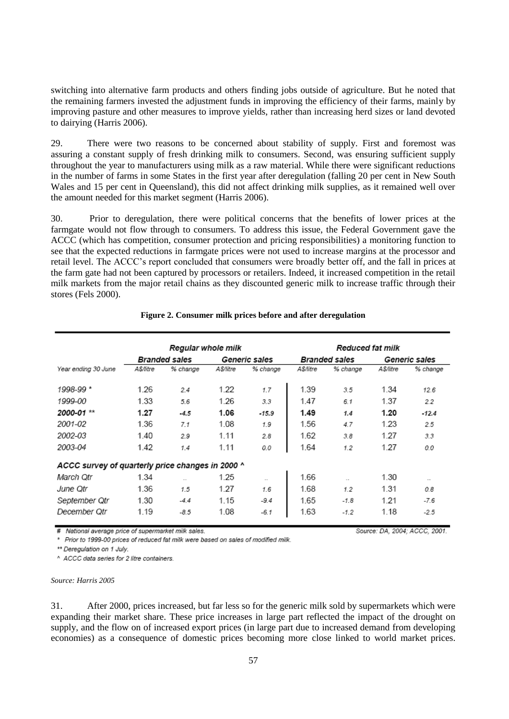switching into alternative farm products and others finding jobs outside of agriculture. But he noted that the remaining farmers invested the adjustment funds in improving the efficiency of their farms, mainly by improving pasture and other measures to improve yields, rather than increasing herd sizes or land devoted to dairying (Harris 2006).

29. There were two reasons to be concerned about stability of supply. First and foremost was assuring a constant supply of fresh drinking milk to consumers. Second, was ensuring sufficient supply throughout the year to manufacturers using milk as a raw material. While there were significant reductions in the number of farms in some States in the first year after deregulation (falling 20 per cent in New South Wales and 15 per cent in Queensland), this did not affect drinking milk supplies, as it remained well over the amount needed for this market segment (Harris 2006).

30. Prior to deregulation, there were political concerns that the benefits of lower prices at the farmgate would not flow through to consumers. To address this issue, the Federal Government gave the ACCC (which has competition, consumer protection and pricing responsibilities) a monitoring function to see that the expected reductions in farmgate prices were not used to increase margins at the processor and retail level. The ACCC's report concluded that consumers were broadly better off, and the fall in prices at the farm gate had not been captured by processors or retailers. Indeed, it increased competition in the retail milk markets from the major retail chains as they discounted generic milk to increase traffic through their stores (Fels 2000).

|                                                  | Regular whole milk   |          |               | <b>Reduced fat milk</b> |                      |          |               |           |
|--------------------------------------------------|----------------------|----------|---------------|-------------------------|----------------------|----------|---------------|-----------|
|                                                  | <b>Branded sales</b> |          | Generic sales |                         | <b>Branded sales</b> |          | Generic sales |           |
| Year ending 30 June                              | A\$/litre            | % change | A\$/litre     | % change                | A\$/litre            | % change | A\$/litre     | % change  |
| 1998-99*                                         | 1.26                 | 2.4      | 1.22          | 1.7                     | 1.39                 | 3.5      | 1.34          | 12.6      |
| 1999-00                                          | 1.33                 | 5.6      | 1.26          | 3.3                     | 1.47                 | 6.1      | 1.37          | 22        |
| 2000-01 **                                       | 1.27                 | $-4.5$   | 1.06          | $-15.9$                 | 1.49                 | 1.4      | 1.20          | $-12.4$   |
| 2001-02                                          | 1.36                 | 7.1      | 1.08          | 1.9                     | 1.56                 | 4.7      | 1.23          | 2.5       |
| 2002-03                                          | 1.40                 | 2.9      | 1.11          | 2.8                     | 1.62                 | 3.8      | 1.27          | 3.3       |
| 2003-04                                          | 1.42                 | 1.4      | 1.11          | 0.0                     | 1.64                 | 1.2      | 1.27          | 0.0       |
| ACCC survey of quarterly price changes in 2000 ^ |                      |          |               |                         |                      |          |               |           |
| March Otr                                        | 1.34                 | $\sim$   | 1.25          | $\sim$                  | 1.66                 | $\sim$   | 1.30          | $\ddotsc$ |
| June Otr                                         | 1.36                 | 1.5      | 1.27          | 1.6                     | 1.68                 | 1.2      | 1.31          | 0.8       |
| September Qtr                                    | 1.30                 | $-4.4$   | 1.15          | $-9.4$                  | 1.65                 | $-1.8$   | 1.21          | $-7.6$    |
| December Otr                                     | 1.19                 | $-8.5$   | 1.08          | $-6.1$                  | 1.63                 | $-1.2$   | 1.18          | $-2.5$    |

### **Figure 2. Consumer milk prices before and after deregulation**

# National average price of supermarket milk sales.

\* Prior to 1999-00 prices of reduced fat milk were based on sales of modified milk.

\*\* Deregulation on 1 July.

^ ACCC data series for 2 litre containers.

#### *Source: Harris 2005*

31. After 2000, prices increased, but far less so for the generic milk sold by supermarkets which were expanding their market share. These price increases in large part reflected the impact of the drought on supply, and the flow on of increased export prices (in large part due to increased demand from developing economies) as a consequence of domestic prices becoming more close linked to world market prices.

Source: DA, 2004; ACCC, 2001.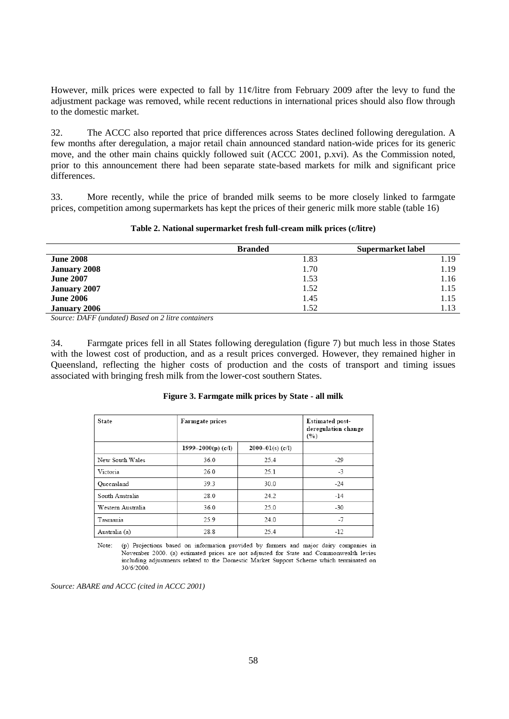However, milk prices were expected to fall by  $11¢$ /litre from February 2009 after the levy to fund the adjustment package was removed, while recent reductions in international prices should also flow through to the domestic market.

32. The ACCC also reported that price differences across States declined following deregulation. A few months after deregulation, a major retail chain announced standard nation-wide prices for its generic move, and the other main chains quickly followed suit (ACCC 2001, p.xvi). As the Commission noted, prior to this announcement there had been separate state-based markets for milk and significant price differences.

33. More recently, while the price of branded milk seems to be more closely linked to farmgate prices, competition among supermarkets has kept the prices of their generic milk more stable (table 16)

|                     | <b>Branded</b> | Supermarket label |
|---------------------|----------------|-------------------|
| <b>June 2008</b>    | 1.83           | 1.19              |
| <b>January 2008</b> | 1.70           | 1.19              |
| <b>June 2007</b>    | 1.53           | 1.16              |
| <b>January 2007</b> | 1.52           | 1.15              |
| <b>June 2006</b>    | 1.45           | 1.15              |
| <b>January 2006</b> | 1.52           | 1.13              |

*Source: DAFF (undated) Based on 2 litre containers*

34. Farmgate prices fell in all States following deregulation (figure 7) but much less in those States with the lowest cost of production, and as a result prices converged. However, they remained higher in Queensland, reflecting the higher costs of production and the costs of transport and timing issues associated with bringing fresh milk from the lower-cost southern States.

| <b>State</b>      | Farmgate prices    |                      | <b>Estimated post-</b><br>deregulation change<br>(°) |
|-------------------|--------------------|----------------------|------------------------------------------------------|
|                   | 1999–2000(p) (c/l) | $2000 - 01(s)$ (c/I) |                                                      |
| New South Wales   | 36.0               | 25.4                 | $-29$                                                |
| Victoria          | 26.0               | 25.1                 | $-3$                                                 |
| Queensland        | 39.3               | 30.0                 | $-24$                                                |
| South Australia   | 28.0               | 24.2                 | $-14$                                                |
| Western Australia | 36.0               | 25.0                 | $-30$                                                |
| Tasmania          | 25.9               | 24.0                 | $-7$                                                 |
| Australia (a)     | 28.8               | 25.4                 | $-12$                                                |

### **Figure 3. Farmgate milk prices by State - all milk**

Note: (p) Projections based on information provided by farmers and major dairy companies in November 2000. (a) estimated prices are not adjusted for State and Commonwealth levies including adjustments related to the Domestic Market Support Scheme which terminated on 30/6/2000.

*Source: ABARE and ACCC (cited in ACCC 2001)*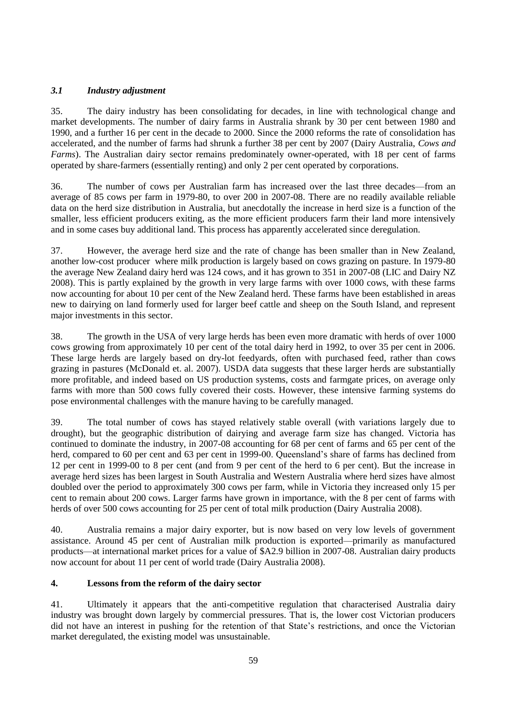# *3.1 Industry adjustment*

35. The dairy industry has been consolidating for decades, in line with technological change and market developments. The number of dairy farms in Australia shrank by 30 per cent between 1980 and 1990, and a further 16 per cent in the decade to 2000. Since the 2000 reforms the rate of consolidation has accelerated, and the number of farms had shrunk a further 38 per cent by 2007 (Dairy Australia, *Cows and Farms*). The Australian dairy sector remains predominately owner-operated, with 18 per cent of farms operated by share-farmers (essentially renting) and only 2 per cent operated by corporations.

36. The number of cows per Australian farm has increased over the last three decades—from an average of 85 cows per farm in 1979-80, to over 200 in 2007-08. There are no readily available reliable data on the herd size distribution in Australia, but anecdotally the increase in herd size is a function of the smaller, less efficient producers exiting, as the more efficient producers farm their land more intensively and in some cases buy additional land. This process has apparently accelerated since deregulation.

37. However, the average herd size and the rate of change has been smaller than in New Zealand, another low-cost producer where milk production is largely based on cows grazing on pasture. In 1979-80 the average New Zealand dairy herd was 124 cows, and it has grown to 351 in 2007-08 (LIC and Dairy NZ 2008). This is partly explained by the growth in very large farms with over 1000 cows, with these farms now accounting for about 10 per cent of the New Zealand herd. These farms have been established in areas new to dairying on land formerly used for larger beef cattle and sheep on the South Island, and represent major investments in this sector.

38. The growth in the USA of very large herds has been even more dramatic with herds of over 1000 cows growing from approximately 10 per cent of the total dairy herd in 1992, to over 35 per cent in 2006. These large herds are largely based on dry-lot feedyards, often with purchased feed, rather than cows grazing in pastures (McDonald et. al. 2007). USDA data suggests that these larger herds are substantially more profitable, and indeed based on US production systems, costs and farmgate prices, on average only farms with more than 500 cows fully covered their costs. However, these intensive farming systems do pose environmental challenges with the manure having to be carefully managed.

39. The total number of cows has stayed relatively stable overall (with variations largely due to drought), but the geographic distribution of dairying and average farm size has changed. Victoria has continued to dominate the industry, in 2007-08 accounting for 68 per cent of farms and 65 per cent of the herd, compared to 60 per cent and 63 per cent in 1999-00. Queensland's share of farms has declined from 12 per cent in 1999-00 to 8 per cent (and from 9 per cent of the herd to 6 per cent). But the increase in average herd sizes has been largest in South Australia and Western Australia where herd sizes have almost doubled over the period to approximately 300 cows per farm, while in Victoria they increased only 15 per cent to remain about 200 cows. Larger farms have grown in importance, with the 8 per cent of farms with herds of over 500 cows accounting for 25 per cent of total milk production (Dairy Australia 2008).

40. Australia remains a major dairy exporter, but is now based on very low levels of government assistance. Around 45 per cent of Australian milk production is exported—primarily as manufactured products—at international market prices for a value of \$A2.9 billion in 2007-08. Australian dairy products now account for about 11 per cent of world trade (Dairy Australia 2008).

### **4. Lessons from the reform of the dairy sector**

41. Ultimately it appears that the anti-competitive regulation that characterised Australia dairy industry was brought down largely by commercial pressures. That is, the lower cost Victorian producers did not have an interest in pushing for the retention of that State's restrictions, and once the Victorian market deregulated, the existing model was unsustainable.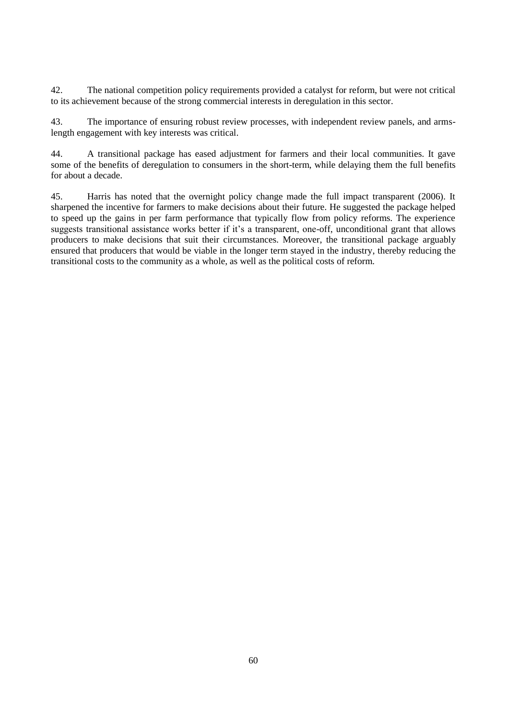42. The national competition policy requirements provided a catalyst for reform, but were not critical to its achievement because of the strong commercial interests in deregulation in this sector.

43. The importance of ensuring robust review processes, with independent review panels, and armslength engagement with key interests was critical.

44. A transitional package has eased adjustment for farmers and their local communities. It gave some of the benefits of deregulation to consumers in the short-term, while delaying them the full benefits for about a decade.

45. Harris has noted that the overnight policy change made the full impact transparent (2006). It sharpened the incentive for farmers to make decisions about their future. He suggested the package helped to speed up the gains in per farm performance that typically flow from policy reforms. The experience suggests transitional assistance works better if it's a transparent, one-off, unconditional grant that allows producers to make decisions that suit their circumstances. Moreover, the transitional package arguably ensured that producers that would be viable in the longer term stayed in the industry, thereby reducing the transitional costs to the community as a whole, as well as the political costs of reform.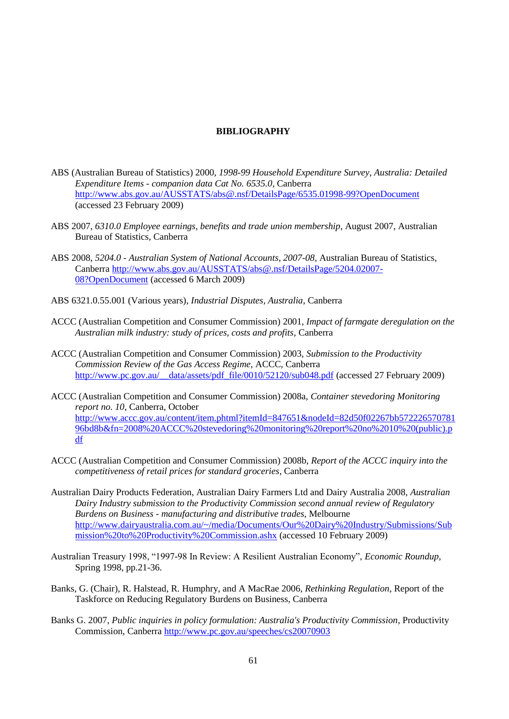### **BIBLIOGRAPHY**

- ABS (Australian Bureau of Statistics) 2000, *1998-99 Household Expenditure Survey, Australia: Detailed Expenditure Items - companion data Cat No. 6535.0*, Canberra <http://www.abs.gov.au/AUSSTATS/abs@.nsf/DetailsPage/6535.01998-99?OpenDocument> (accessed 23 February 2009)
- ABS 2007, *6310.0 Employee earnings, benefits and trade union membership*, August 2007, Australian Bureau of Statistics, Canberra
- ABS 2008, *5204.0 - Australian System of National Accounts, 2007-08*, Australian Bureau of Statistics, Canberra [http://www.abs.gov.au/AUSSTATS/abs@.nsf/DetailsPage/5204.02007-](http://www.abs.gov.au/AUSSTATS/abs@.nsf/DetailsPage/5204.02007-08?OpenDocument) [08?OpenDocument](http://www.abs.gov.au/AUSSTATS/abs@.nsf/DetailsPage/5204.02007-08?OpenDocument) (accessed 6 March 2009)
- ABS 6321.0.55.001 (Various years), *Industrial Disputes, Australia*, Canberra
- ACCC (Australian Competition and Consumer Commission) 2001, *Impact of farmgate deregulation on the Australian milk industry: study of prices, costs and profits,* Canberra
- ACCC (Australian Competition and Consumer Commission) 2003, *Submission to the Productivity Commission Review of the Gas Access Regime,* ACCC, Canberra [http://www.pc.gov.au/\\_\\_data/assets/pdf\\_file/0010/52120/sub048.pdf](http://www.pc.gov.au/__data/assets/pdf_file/0010/52120/sub048.pdf) (accessed 27 February 2009)
- ACCC (Australian Competition and Consumer Commission) 2008a, *Container stevedoring Monitoring report no. 10*, Canberra, October [http://www.accc.gov.au/content/item.phtml?itemId=847651&nodeId=82d50f02267bb572226570781](http://www.accc.gov.au/content/item.phtml?itemId=847651&nodeId=82d50f02267bb57222657078196bd8b&fn=2008%20ACCC%20stevedoring%20monitoring%20report%20no%2010%20(public).pdf) [96bd8b&fn=2008%20ACCC%20stevedoring%20monitoring%20report%20no%2010%20\(public\).p](http://www.accc.gov.au/content/item.phtml?itemId=847651&nodeId=82d50f02267bb57222657078196bd8b&fn=2008%20ACCC%20stevedoring%20monitoring%20report%20no%2010%20(public).pdf) [df](http://www.accc.gov.au/content/item.phtml?itemId=847651&nodeId=82d50f02267bb57222657078196bd8b&fn=2008%20ACCC%20stevedoring%20monitoring%20report%20no%2010%20(public).pdf)
- ACCC (Australian Competition and Consumer Commission) 2008b, *Report of the ACCC inquiry into the competitiveness of retail prices for standard groceries,* Canberra
- Australian Dairy Products Federation, Australian Dairy Farmers Ltd and Dairy Australia 2008, *Australian Dairy Industry submission to the Productivity Commission second annual review of Regulatory Burdens on Business - manufacturing and distributive trades*, Melbourne [http://www.dairyaustralia.com.au/~/media/Documents/Our%20Dairy%20Industry/Submissions/Sub](http://www.dairyaustralia.com.au/~/media/Documents/Our%20Dairy%20Industry/Submissions/Submission%20to%20Productivity%20Commission.ashx) [mission%20to%20Productivity%20Commission.ashx](http://www.dairyaustralia.com.au/~/media/Documents/Our%20Dairy%20Industry/Submissions/Submission%20to%20Productivity%20Commission.ashx) (accessed 10 February 2009)
- Australian Treasury 1998, "1997-98 In Review: A Resilient Australian Economy", *Economic Roundup*, Spring 1998, pp.21-36.
- Banks, G. (Chair), R. Halstead, R. Humphry, and A MacRae 2006, *Rethinking Regulation,* Report of the Taskforce on Reducing Regulatory Burdens on Business, Canberra
- Banks G. 2007, *Public inquiries in policy formulation: Australia's Productivity Commission*, Productivity Commission, Canberra<http://www.pc.gov.au/speeches/cs20070903>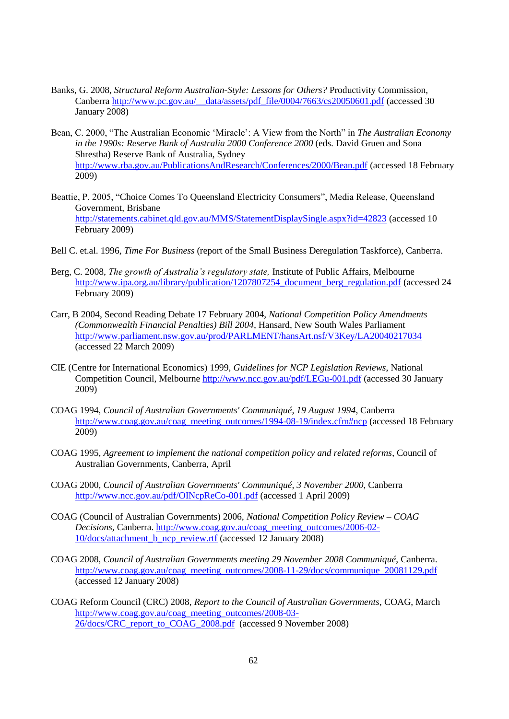- Banks, G. 2008, *Structural Reform Australian-Style: Lessons for Others?* Productivity Commission, Canberra [http://www.pc.gov.au/\\_\\_data/assets/pdf\\_file/0004/7663/cs20050601.pdf](http://www.pc.gov.au/__data/assets/pdf_file/0004/7663/cs20050601.pdf) (accessed 30 January 2008)
- Bean, C. 2000, "The Australian Economic 'Miracle': A View from the North" in *The Australian Economy in the 1990s: Reserve Bank of Australia 2000 Conference 2000* (eds. David Gruen and Sona Shrestha) Reserve Bank of Australia, Sydney <http://www.rba.gov.au/PublicationsAndResearch/Conferences/2000/Bean.pdf> (accessed 18 February 2009)
- Beattie, P. 2005, "Choice Comes To Queensland Electricity Consumers", Media Release, Queensland Government, Brisbane <http://statements.cabinet.qld.gov.au/MMS/StatementDisplaySingle.aspx?id=42823> (accessed 10 February 2009)
- Bell C. et.al. 1996, *Time For Business* (report of the Small Business Deregulation Taskforce), Canberra.
- Berg, C. 2008, *The growth of Australia's regulatory state,* Institute of Public Affairs, Melbourne [http://www.ipa.org.au/library/publication/1207807254\\_document\\_berg\\_regulation.pdf](http://www.ipa.org.au/library/publication/1207807254_document_berg_regulation.pdf) (accessed 24 February 2009)
- Carr, B 2004, Second Reading Debate 17 February 2004, *National Competition Policy Amendments (Commonwealth Financial Penalties) Bill 2004,* Hansard, New South Wales Parliament <http://www.parliament.nsw.gov.au/prod/PARLMENT/hansArt.nsf/V3Key/LA20040217034> (accessed 22 March 2009)
- CIE (Centre for International Economics) 1999, *Guidelines for NCP Legislation Reviews*, National Competition Council, Melbourne<http://www.ncc.gov.au/pdf/LEGu-001.pdf> (accessed 30 January 2009)
- COAG 1994, *Council of Australian Governments' Communiqué, 19 August 1994*, Canberra [http://www.coag.gov.au/coag\\_meeting\\_outcomes/1994-08-19/index.cfm#ncp](http://www.coag.gov.au/coag_meeting_outcomes/1994-08-19/index.cfm#ncp) (accessed 18 February 2009)
- COAG 1995, *Agreement to implement the national competition policy and related reforms*, Council of Australian Governments, Canberra, April
- COAG 2000, *Council of Australian Governments' Communiqué, 3 November 2000*, Canberra <http://www.ncc.gov.au/pdf/OINcpReCo-001.pdf> (accessed 1 April 2009)
- COAG (Council of Australian Governments) 2006, *National Competition Policy Review – COAG Decisions*, Canberra. [http://www.coag.gov.au/coag\\_meeting\\_outcomes/2006-02-](http://www.coag.gov.au/coag_meeting_outcomes/2006-02-10/docs/attachment_b_ncp_review.rtf) [10/docs/attachment\\_b\\_ncp\\_review.rtf](http://www.coag.gov.au/coag_meeting_outcomes/2006-02-10/docs/attachment_b_ncp_review.rtf) (accessed 12 January 2008)
- COAG 2008, *Council of Australian Governments meeting 29 November 2008 Communiqué*, Canberra. [http://www.coag.gov.au/coag\\_meeting\\_outcomes/2008-11-29/docs/communique\\_20081129.pdf](http://www.coag.gov.au/coag_meeting_outcomes/2008-11-29/docs/communique_20081129.pdf) (accessed 12 January 2008)
- COAG Reform Council (CRC) 2008, *Report to the Council of Australian Governments*, COAG, March [http://www.coag.gov.au/coag\\_meeting\\_outcomes/2008-03-](http://www.coag.gov.au/coag_meeting_outcomes/2008-03-26/docs/CRC_report_to_COAG_2008.pdf) [26/docs/CRC\\_report\\_to\\_COAG\\_2008.pdf](http://www.coag.gov.au/coag_meeting_outcomes/2008-03-26/docs/CRC_report_to_COAG_2008.pdf) (accessed 9 November 2008)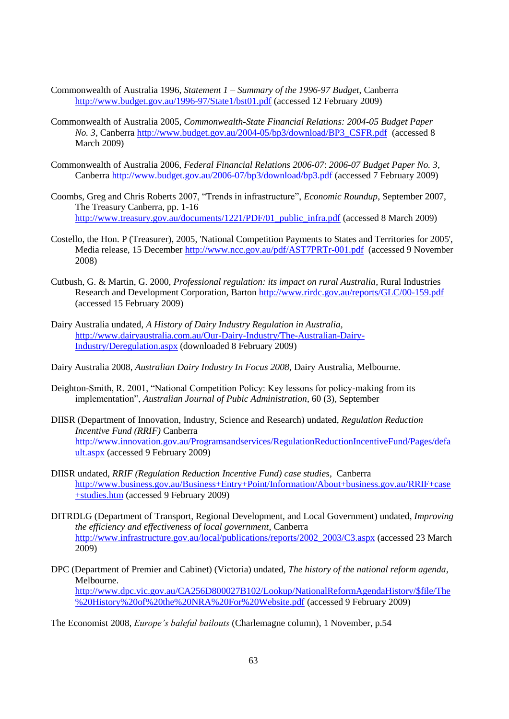- Commonwealth of Australia 1996, *Statement 1 – Summary of the 1996-97 Budget*, Canberra <http://www.budget.gov.au/1996-97/State1/bst01.pdf> (accessed 12 February 2009)
- Commonwealth of Australia 2005, *Commonwealth-State Financial Relations: 2004-05 Budget Paper No. 3*, Canberra [http://www.budget.gov.au/2004-05/bp3/download/BP3\\_CSFR.pdf](http://www.budget.gov.au/2004-05/bp3/download/BP3_CSFR.pdf) (accessed 8 March 2009)
- Commonwealth of Australia 2006, *Federal Financial Relations 2006-07*: *2006-07 Budget Paper No. 3*, Canberra<http://www.budget.gov.au/2006-07/bp3/download/bp3.pdf> (accessed 7 February 2009)
- Coombs, Greg and Chris Roberts 2007, "Trends in infrastructure", *Economic Roundup*, September 2007, The Treasury Canberra, pp. 1-16 [http://www.treasury.gov.au/documents/1221/PDF/01\\_public\\_infra.pdf](http://www.treasury.gov.au/documents/1221/PDF/01_public_infra.pdf) (accessed 8 March 2009)
- Costello, the Hon. P (Treasurer), 2005, 'National Competition Payments to States and Territories for 2005', Media release, 15 December<http://www.ncc.gov.au/pdf/AST7PRTr-001.pdf>(accessed 9 November 2008)
- Cutbush, G. & Martin, G. 2000, *Professional regulation: its impact on rural Australia*, Rural Industries Research and Development Corporation, Barton<http://www.rirdc.gov.au/reports/GLC/00-159.pdf> (accessed 15 February 2009)
- Dairy Australia undated, *A History of Dairy Industry Regulation in Australia,* [http://www.dairyaustralia.com.au/Our-Dairy-Industry/The-Australian-Dairy-](http://www.dairyaustralia.com.au/Our-Dairy-Industry/The-Australian-Dairy-Industry/Deregulation.aspx)[Industry/Deregulation.aspx](http://www.dairyaustralia.com.au/Our-Dairy-Industry/The-Australian-Dairy-Industry/Deregulation.aspx) (downloaded 8 February 2009)
- Dairy Australia 2008, *Australian Dairy Industry In Focus 2008,* Dairy Australia, Melbourne.
- Deighton-Smith, R. 2001, "National Competition Policy: Key lessons for policy-making from its implementation", *Australian Journal of Pubic Administration*, 60 (3), September
- DIISR (Department of Innovation, Industry, Science and Research) undated, *Regulation Reduction Incentive Fund (RRIF)* Canberra [http://www.innovation.gov.au/Programsandservices/RegulationReductionIncentiveFund/Pages/defa](http://www.innovation.gov.au/Programsandservices/RegulationReductionIncentiveFund/Pages/default.aspx) [ult.aspx](http://www.innovation.gov.au/Programsandservices/RegulationReductionIncentiveFund/Pages/default.aspx) (accessed 9 February 2009)
- DIISR undated, *RRIF (Regulation Reduction Incentive Fund) case studies,* Canberra [http://www.business.gov.au/Business+Entry+Point/Information/About+business.gov.au/RRIF+case](http://www.business.gov.au/Business+Entry+Point/Information/About+business.gov.au/RRIF+case+studies.htm) [+studies.htm](http://www.business.gov.au/Business+Entry+Point/Information/About+business.gov.au/RRIF+case+studies.htm) (accessed 9 February 2009)
- DITRDLG (Department of Transport, Regional Development, and Local Government) undated, *Improving the efficiency and effectiveness of local government*, Canberra [http://www.infrastructure.gov.au/local/publications/reports/2002\\_2003/C3.aspx](http://www.infrastructure.gov.au/local/publications/reports/2002_2003/C3.aspx) (accessed 23 March 2009)
- DPC (Department of Premier and Cabinet) (Victoria) undated, *The history of the national reform agenda*, Melbourne. [http://www.dpc.vic.gov.au/CA256D800027B102/Lookup/NationalReformAgendaHistory/\\$file/The](http://www.dpc.vic.gov.au/CA256D800027B102/Lookup/NationalReformAgendaHistory/$file/The%20History%20of%20the%20NRA%20For%20Website.pdf) [%20History%20of%20the%20NRA%20For%20Website.pdf](http://www.dpc.vic.gov.au/CA256D800027B102/Lookup/NationalReformAgendaHistory/$file/The%20History%20of%20the%20NRA%20For%20Website.pdf) (accessed 9 February 2009)
- The Economist 2008, *Europe's baleful bailouts* (Charlemagne column), 1 November, p.54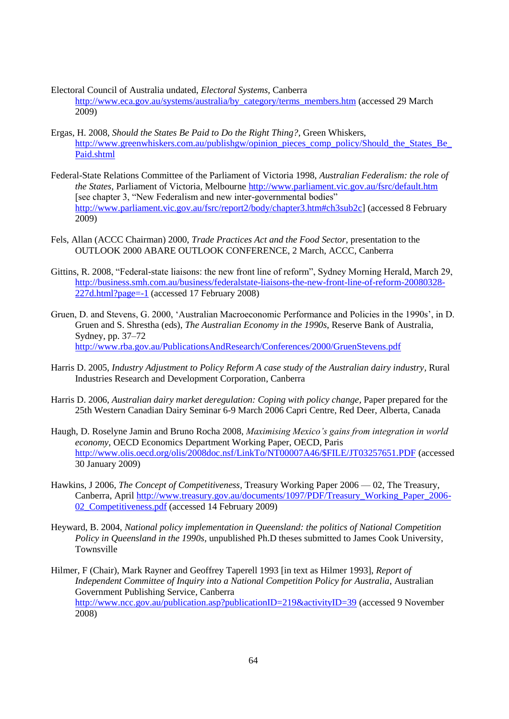- Electoral Council of Australia undated, *Electoral Systems,* Canberra [http://www.eca.gov.au/systems/australia/by\\_category/terms\\_members.htm](http://www.eca.gov.au/systems/australia/by_category/terms_members.htm) (accessed 29 March 2009)
- Ergas, H. 2008, *Should the States Be Paid to Do the Right Thing?*, Green Whiskers, [http://www.greenwhiskers.com.au/publishgw/opinion\\_pieces\\_comp\\_policy/Should\\_the\\_States\\_Be\\_](http://www.greenwhiskers.com.au/publishgw/opinion_pieces_comp_policy/Should_the_States_Be_Paid.shtml) [Paid.shtml](http://www.greenwhiskers.com.au/publishgw/opinion_pieces_comp_policy/Should_the_States_Be_Paid.shtml)
- Federal-State Relations Committee of the Parliament of Victoria 1998, *Australian Federalism: the role of the States*, Parliament of Victoria, Melbourn[e http://www.parliament.vic.gov.au/fsrc/default.htm](http://www.parliament.vic.gov.au/fsrc/default.htm)  [see chapter 3, "New Federalism and new inter-governmental bodies" [http://www.parliament.vic.gov.au/fsrc/report2/body/chapter3.htm#ch3sub2c\]](http://www.parliament.vic.gov.au/fsrc/report2/body/chapter3.htm#ch3sub2c) (accessed 8 February 2009)
- Fels, Allan (ACCC Chairman) 2000, *Trade Practices Act and the Food Sector,* presentation to the OUTLOOK 2000 ABARE OUTLOOK CONFERENCE, 2 March, ACCC, Canberra
- Gittins, R. 2008, "Federal-state liaisons: the new front line of reform", Sydney Morning Herald, March 29, [http://business.smh.com.au/business/federalstate-liaisons-the-new-front-line-of-reform-20080328-](http://business.smh.com.au/business/federalstate-liaisons-the-new-front-line-of-reform-20080328-227d.html?page=-1) [227d.html?page=-1](http://business.smh.com.au/business/federalstate-liaisons-the-new-front-line-of-reform-20080328-227d.html?page=-1) (accessed 17 February 2008)
- Gruen, D. and Stevens, G. 2000, ‗Australian Macroeconomic Performance and Policies in the 1990s', in D. Gruen and S. Shrestha (eds), *The Australian Economy in the 1990s*, Reserve Bank of Australia, Sydney, pp. 37–72 <http://www.rba.gov.au/PublicationsAndResearch/Conferences/2000/GruenStevens.pdf>
- Harris D. 2005, *Industry Adjustment to Policy Reform A case study of the Australian dairy industry*, Rural Industries Research and Development Corporation, Canberra
- Harris D. 2006, *Australian dairy market deregulation: Coping with policy change*, Paper prepared for the 25th Western Canadian Dairy Seminar 6-9 March 2006 Capri Centre, Red Deer, Alberta, Canada
- Haugh, D. Roselyne Jamin and Bruno Rocha 2008, *Maximising Mexico's gains from integration in world economy*, OECD Economics Department Working Paper, OECD, Paris [http://www.olis.oecd.org/olis/2008doc.nsf/LinkTo/NT00007A46/\\$FILE/JT03257651.PDF](http://www.olis.oecd.org/olis/2008doc.nsf/LinkTo/NT00007A46/$FILE/JT03257651.PDF) (accessed 30 January 2009)
- Hawkins, J 2006, *The Concept of Competitiveness*, Treasury Working Paper 2006 02, The Treasury, Canberra, April [http://www.treasury.gov.au/documents/1097/PDF/Treasury\\_Working\\_Paper\\_2006-](http://www.treasury.gov.au/documents/1097/PDF/Treasury_Working_Paper_2006-02_Competitiveness.pdf) [02\\_Competitiveness.pdf](http://www.treasury.gov.au/documents/1097/PDF/Treasury_Working_Paper_2006-02_Competitiveness.pdf) (accessed 14 February 2009)
- Heyward, B. 2004, *National policy implementation in Queensland: the politics of National Competition Policy in Queensland in the 1990s,* unpublished Ph.D theses submitted to James Cook University, Townsville
- Hilmer, F (Chair), Mark Rayner and Geoffrey Taperell 1993 [in text as Hilmer 1993], *Report of Independent Committee of Inquiry into a National Competition Policy for Australia*, Australian Government Publishing Service, Canberra <http://www.ncc.gov.au/publication.asp?publicationID=219&activityID=39> (accessed 9 November 2008)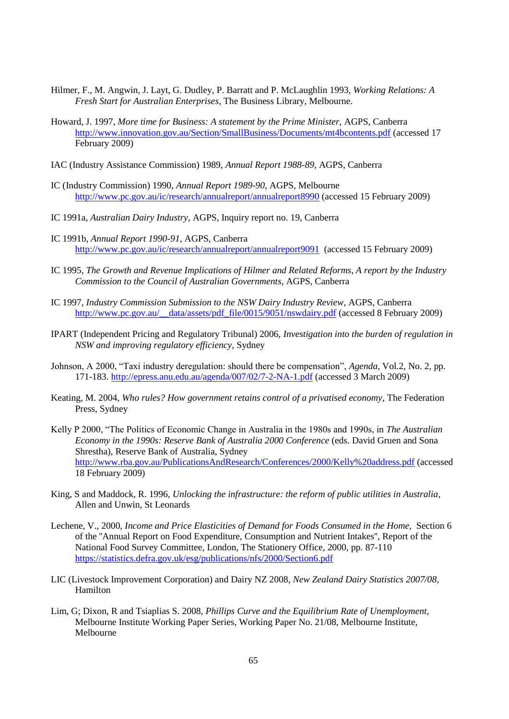- Hilmer, F., M. Angwin, J. Layt, G. Dudley, P. Barratt and P. McLaughlin 1993, *Working Relations: A Fresh Start for Australian Enterprises*, The Business Library, Melbourne.
- Howard, J. 1997, *More time for Business: A statement by the Prime Minister,* AGPS, Canberra <http://www.innovation.gov.au/Section/SmallBusiness/Documents/mt4bcontents.pdf> (accessed 17) February 2009)
- IAC (Industry Assistance Commission) 1989, *Annual Report 1988-89,* AGPS, Canberra
- IC (Industry Commission) 1990, *Annual Report 1989-90*, AGPS, Melbourne <http://www.pc.gov.au/ic/research/annualreport/annualreport8990> (accessed 15 February 2009)
- IC 1991a, *Australian Dairy Industry*, AGPS, Inquiry report no. 19, Canberra
- IC 1991b, *Annual Report 1990-91*, AGPS, Canberra <http://www.pc.gov.au/ic/research/annualreport/annualreport9091>(accessed 15 February 2009)
- IC 1995, *The Growth and Revenue Implications of Hilmer and Related Reforms, A report by the Industry Commission to the Council of Australian Governments*, AGPS, Canberra
- IC 1997, *Industry Commission Submission to the NSW Dairy Industry Review*, AGPS, Canberra [http://www.pc.gov.au/\\_\\_data/assets/pdf\\_file/0015/9051/nswdairy.pdf](http://www.pc.gov.au/__data/assets/pdf_file/0015/9051/nswdairy.pdf) (accessed 8 February 2009)
- IPART (Independent Pricing and Regulatory Tribunal) 2006, *Investigation into the burden of regulation in NSW and improving regulatory efficiency*, Sydney
- Johnson, A 2000, "Taxi industry deregulation: should there be compensation", *Agenda*, Vol.2, No. 2, pp. 171-183.<http://epress.anu.edu.au/agenda/007/02/7-2-NA-1.pdf> (accessed 3 March 2009)
- Keating, M. 2004, *Who rules? How government retains control of a privatised economy*, The Federation Press, Sydney
- Kelly P 2000, "The Politics of Economic Change in Australia in the 1980s and 1990s, in *The Australian Economy in the 1990s: Reserve Bank of Australia 2000 Conference* (eds. David Gruen and Sona Shrestha), Reserve Bank of Australia, Sydney <http://www.rba.gov.au/PublicationsAndResearch/Conferences/2000/Kelly%20address.pdf> (accessed 18 February 2009)
- King, S and Maddock, R. 1996, *Unlocking the infrastructure: the reform of public utilities in Australia*, Allen and Unwin, St Leonards
- Lechene, V., 2000, *Income and Price Elasticities of Demand for Foods Consumed in the Home,* Section 6 of the ''Annual Report on Food Expenditure, Consumption and Nutrient Intakes'', Report of the National Food Survey Committee, London, The Stationery Office, 2000, pp. 87-110 <https://statistics.defra.gov.uk/esg/publications/nfs/2000/Section6.pdf>
- LIC (Livestock Improvement Corporation) and Dairy NZ 2008, *New Zealand Dairy Statistics 2007/08,*  Hamilton
- Lim, G; Dixon, R and Tsiaplias S. 2008, *Phillips Curve and the Equilibrium Rate of Unemployment,*  Melbourne Institute Working Paper Series, Working Paper No. 21/08, Melbourne Institute, Melbourne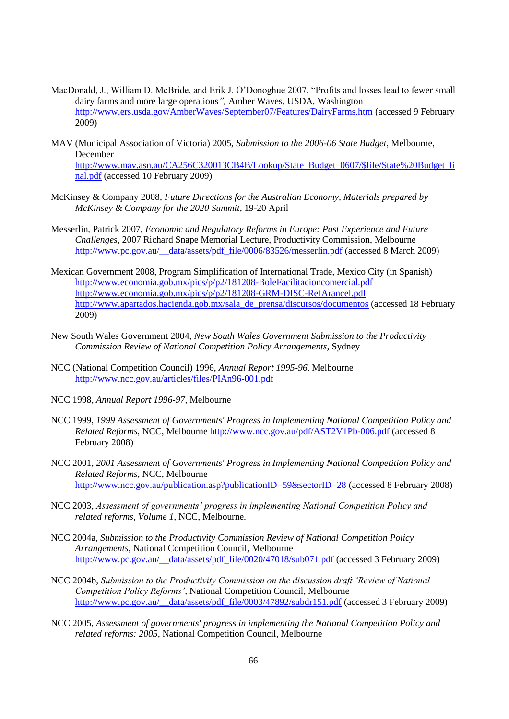- MacDonald, J., William D. McBride, and Erik J. O'Donoghue 2007, "Profits and losses lead to fewer small dairy farms and more large operations<sup>7</sup>, Amber Waves, USDA, Washington <http://www.ers.usda.gov/AmberWaves/September07/Features/DairyFarms.htm> (accessed 9 February 2009)
- MAV (Municipal Association of Victoria) 2005, *Submission to the 2006-06 State Budget*, Melbourne, December [http://www.mav.asn.au/CA256C320013CB4B/Lookup/State\\_Budget\\_0607/\\$file/State%20Budget\\_fi](http://www.mav.asn.au/CA256C320013CB4B/Lookup/State_Budget_0607/$file/State%20Budget_final.pdf) [nal.pdf](http://www.mav.asn.au/CA256C320013CB4B/Lookup/State_Budget_0607/$file/State%20Budget_final.pdf) (accessed 10 February 2009)
- McKinsey & Company 2008, *Future Directions for the Australian Economy, Materials prepared by McKinsey & Company for the 2020 Summit*, 19-20 April
- Messerlin, Patrick 2007, *Economic and Regulatory Reforms in Europe: Past Experience and Future Challenges,* 2007 Richard Snape Memorial Lecture, Productivity Commission, Melbourne [http://www.pc.gov.au/\\_\\_data/assets/pdf\\_file/0006/83526/messerlin.pdf](http://www.pc.gov.au/__data/assets/pdf_file/0006/83526/messerlin.pdf) (accessed 8 March 2009)
- Mexican Government 2008, Program Simplification of International Trade, Mexico City (in Spanish) <http://www.economia.gob.mx/pics/p/p2/181208-BoleFacilitacioncomercial.pdf> <http://www.economia.gob.mx/pics/p/p2/181208-GRM-DISC-RefArancel.pdf> [http://www.apartados.hacienda.gob.mx/sala\\_de\\_prensa/discursos/documentos](http://www.apartados.hacienda.gob.mx/sala_de_prensa/discursos/documentos) (accessed 18 February 2009)
- New South Wales Government 2004, *New South Wales Government Submission to the Productivity Commission Review of National Competition Policy Arrangements,* Sydney
- NCC (National Competition Council) 1996, *Annual Report 1995-96,* Melbourne <http://www.ncc.gov.au/articles/files/PIAn96-001.pdf>
- NCC 1998, *Annual Report 1996-97,* Melbourne
- NCC 1999, *1999 Assessment of Governments' Progress in Implementing National Competition Policy and Related Reforms,* NCC, Melbourne<http://www.ncc.gov.au/pdf/AST2V1Pb-006.pdf> (accessed 8 February 2008)
- NCC 2001, *2001 Assessment of Governments' Progress in Implementing National Competition Policy and Related Reforms,* NCC, Melbourne [http://www.ncc.gov.au/publication.asp?publicationID=59&sectorID=28](http://www.ncc.gov.au/publication.asp?publicationID=59§orID=28) (accessed 8 February 2008)
- NCC 2003, *Assessment of governments' progress in implementing National Competition Policy and related reforms, Volume 1,* NCC, Melbourne.
- NCC 2004a, *Submission to the Productivity Commission Review of National Competition Policy Arrangements,* National Competition Council, Melbourne http://www.pc.gov.au/\_data/assets/pdf\_file/0020/47018/sub071.pdf (accessed 3 February 2009)
- NCC 2004b, *Submission to the Productivity Commission on the discussion draft ‗Review of National Competition Policy Reforms',* National Competition Council, Melbourne [http://www.pc.gov.au/\\_\\_data/assets/pdf\\_file/0003/47892/subdr151.pdf](http://www.pc.gov.au/__data/assets/pdf_file/0003/47892/subdr151.pdf) (accessed 3 February 2009)
- NCC 2005, *Assessment of governments' progress in implementing the National Competition Policy and related reforms: 2005,* National Competition Council, Melbourne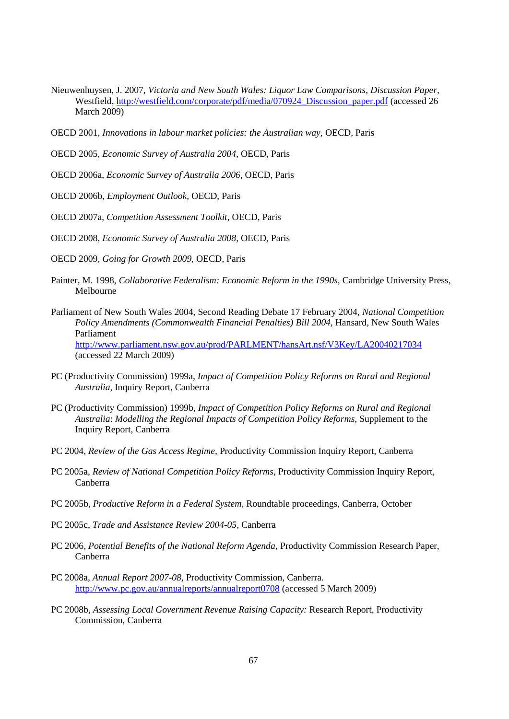- Nieuwenhuysen, J. 2007, *Victoria and New South Wales: Liquor Law Comparisons*, *Discussion Paper,*  Westfield, [http://westfield.com/corporate/pdf/media/070924\\_Discussion\\_paper.pdf](http://westfield.com/corporate/pdf/media/070924_Discussion_paper.pdf) (accessed 26 March 2009)
- OECD 2001, *Innovations in labour market policies: the Australian way,* OECD, Paris
- OECD 2005, *Economic Survey of Australia 2004*, OECD, Paris
- OECD 2006a, *Economic Survey of Australia 2006*, OECD, Paris
- OECD 2006b, *Employment Outlook,* OECD, Paris
- OECD 2007a, *Competition Assessment Toolkit*, OECD, Paris
- OECD 2008, *Economic Survey of Australia 2008*, OECD, Paris
- OECD 2009, *Going for Growth 2009*, OECD, Paris
- Painter, M. 1998, *Collaborative Federalism: Economic Reform in the 1990s,* Cambridge University Press, Melbourne
- Parliament of New South Wales 2004, Second Reading Debate 17 February 2004, *National Competition Policy Amendments (Commonwealth Financial Penalties) Bill 2004,* Hansard, New South Wales Parliament <http://www.parliament.nsw.gov.au/prod/PARLMENT/hansArt.nsf/V3Key/LA20040217034> (accessed 22 March 2009)
- PC (Productivity Commission) 1999a, *Impact of Competition Policy Reforms on Rural and Regional Australia*, Inquiry Report, Canberra
- PC (Productivity Commission) 1999b, *Impact of Competition Policy Reforms on Rural and Regional Australia*: *Modelling the Regional Impacts of Competition Policy Reforms,* Supplement to the Inquiry Report, Canberra
- PC 2004, *Review of the Gas Access Regime,* Productivity Commission Inquiry Report, Canberra
- PC 2005a, *Review of National Competition Policy Reforms*, Productivity Commission Inquiry Report, Canberra
- PC 2005b, *Productive Reform in a Federal System*, Roundtable proceedings, Canberra, October
- PC 2005c, *Trade and Assistance Review 2004-05,* Canberra
- PC 2006, *Potential Benefits of the National Reform Agenda*, Productivity Commission Research Paper, Canberra
- PC 2008a, *Annual Report 2007-08,* Productivity Commission, Canberra. <http://www.pc.gov.au/annualreports/annualreport0708> (accessed 5 March 2009)
- PC 2008b, *Assessing Local Government Revenue Raising Capacity:* Research Report, Productivity Commission, Canberra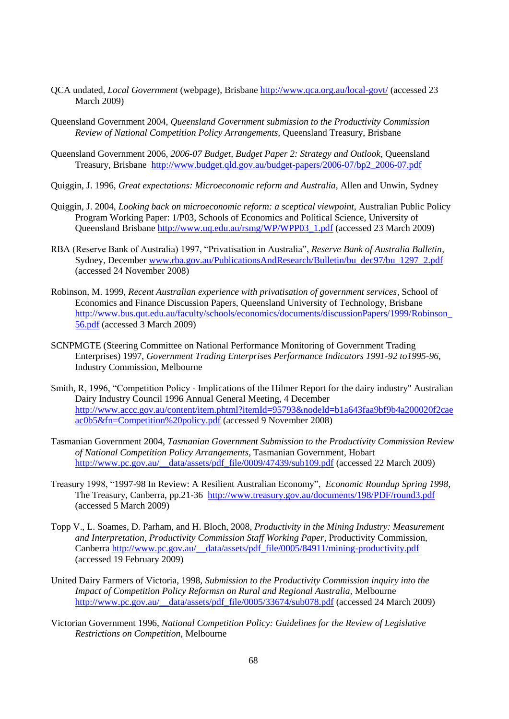- QCA undated, *Local Government* (webpage), Brisbane<http://www.qca.org.au/local-govt/> (accessed 23 March 2009)
- Queensland Government 2004, *Queensland Government submission to the Productivity Commission Review of National Competition Policy Arrangements,* Queensland Treasury, Brisbane
- Queensland Government 2006, *2006-07 Budget, Budget Paper 2: Strategy and Outlook,* Queensland Treasury, Brisbane [http://www.budget.qld.gov.au/budget-papers/2006-07/bp2\\_2006-07.pdf](http://www.budget.qld.gov.au/budget-papers/2006-07/bp2_2006-07.pdf)
- Quiggin, J. 1996, *Great expectations: Microeconomic reform and Australia,* Allen and Unwin, Sydney
- Quiggin, J. 2004, *Looking back on microeconomic reform: a sceptical viewpoint,* Australian Public Policy Program Working Paper: 1/P03*,* Schools of Economics and Political Science, University of Queensland Brisbane [http://www.uq.edu.au/rsmg/WP/WPP03\\_1.pdf](http://www.uq.edu.au/rsmg/WP/WPP03_1.pdf) (accessed 23 March 2009)
- RBA (Reserve Bank of Australia) 1997, "Privatisation in Australia", *Reserve Bank of Australia Bulletin*, Sydney, December [www.rba.gov.au/PublicationsAndResearch/Bulletin/bu\\_dec97/bu\\_1297\\_2.pdf](http://www.rba.gov.au/PublicationsAndResearch/Bulletin/bu_dec97/bu_1297_2.pdf)  (accessed 24 November 2008)
- Robinson, M. 1999, *Recent Australian experience with privatisation of government services*, School of Economics and Finance Discussion Papers, Queensland University of Technology, Brisbane [http://www.bus.qut.edu.au/faculty/schools/economics/documents/discussionPapers/1999/Robinson\\_](http://www.bus.qut.edu.au/faculty/schools/economics/documents/discussionPapers/1999/Robinson_56.pdf) [56.pdf](http://www.bus.qut.edu.au/faculty/schools/economics/documents/discussionPapers/1999/Robinson_56.pdf) (accessed 3 March 2009)
- SCNPMGTE (Steering Committee on National Performance Monitoring of Government Trading Enterprises) 1997, *Government Trading Enterprises Performance Indicators 1991-92 to1995-96,*  Industry Commission, Melbourne
- Smith, R, 1996, "Competition Policy Implications of the Hilmer Report for the dairy industry" Australian Dairy Industry Council 1996 Annual General Meeting, 4 December [http://www.accc.gov.au/content/item.phtml?itemId=95793&nodeId=b1a643faa9bf9b4a200020f2cae](http://www.accc.gov.au/content/item.phtml?itemId=95793&nodeId=b1a643faa9bf9b4a200020f2caeac0b5&fn=Competition%20policy.pdf) [ac0b5&fn=Competition%20policy.pdf](http://www.accc.gov.au/content/item.phtml?itemId=95793&nodeId=b1a643faa9bf9b4a200020f2caeac0b5&fn=Competition%20policy.pdf) (accessed 9 November 2008)
- Tasmanian Government 2004, *Tasmanian Government Submission to the Productivity Commission Review of National Competition Policy Arrangements*, Tasmanian Government, Hobart [http://www.pc.gov.au/\\_\\_data/assets/pdf\\_file/0009/47439/sub109.pdf](http://www.pc.gov.au/__data/assets/pdf_file/0009/47439/sub109.pdf) (accessed 22 March 2009)
- Treasury 1998, "1997-98 In Review: A Resilient Australian Economy", *Economic Roundup Spring 1998*, The Treasury, Canberra, pp.21-36 <http://www.treasury.gov.au/documents/198/PDF/round3.pdf> (accessed 5 March 2009)
- Topp V., L. Soames, D. Parham, and H. Bloch, 2008*, Productivity in the Mining Industry: Measurement and Interpretation, Productivity Commission Staff Working Paper,* Productivity Commission, Canberra [http://www.pc.gov.au/\\_\\_data/assets/pdf\\_file/0005/84911/mining-productivity.pdf](http://www.pc.gov.au/__data/assets/pdf_file/0005/84911/mining-productivity.pdf) (accessed 19 February 2009)
- United Dairy Farmers of Victoria, 1998, *Submission to the Productivity Commission inquiry into the Impact of Competition Policy Reformsn on Rural and Regional Australia,* Melbourne [http://www.pc.gov.au/\\_\\_data/assets/pdf\\_file/0005/33674/sub078.pdf](http://www.pc.gov.au/__data/assets/pdf_file/0005/33674/sub078.pdf) (accessed 24 March 2009)
- Victorian Government 1996, *National Competition Policy: Guidelines for the Review of Legislative Restrictions on Competition,* Melbourne